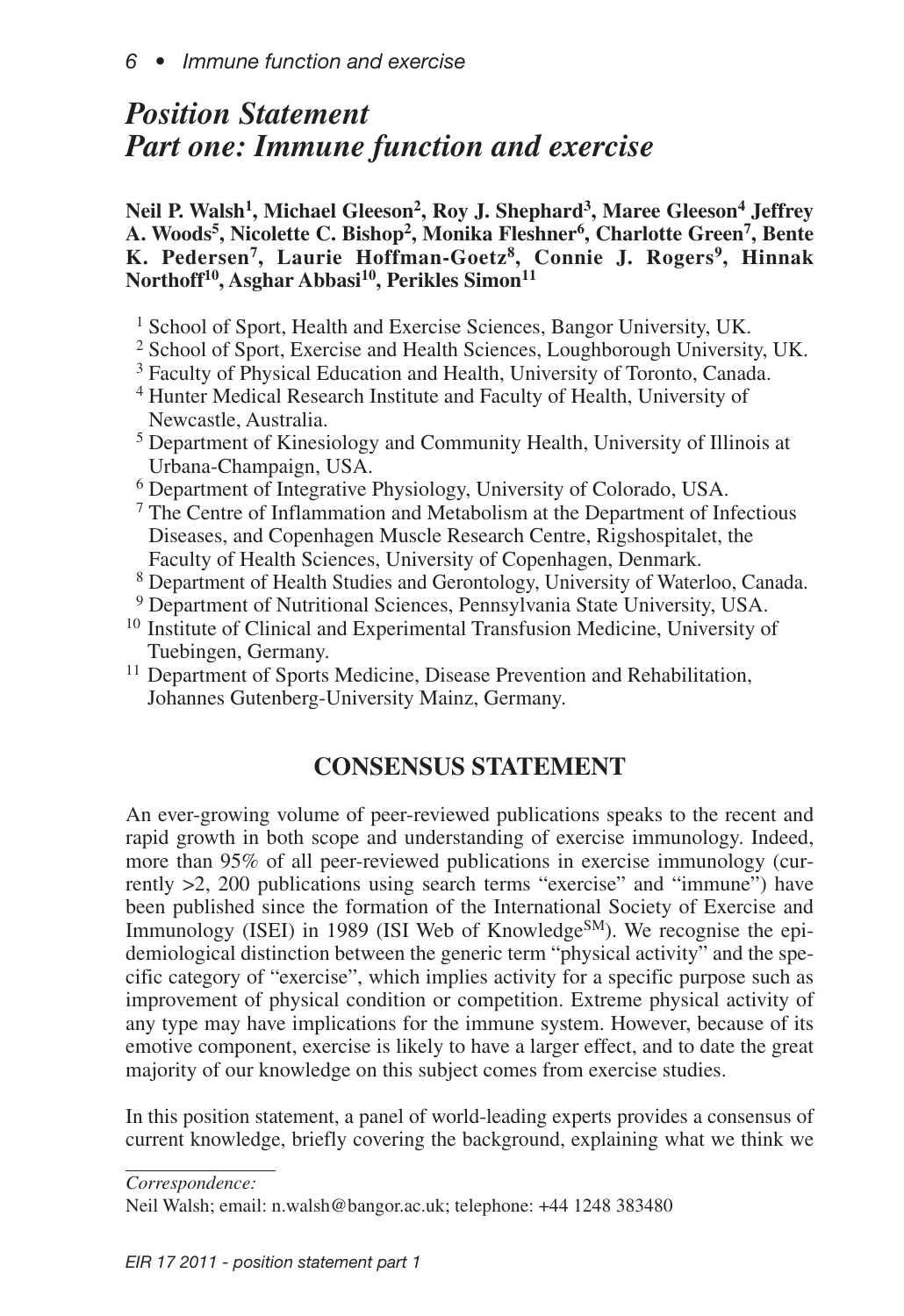# *Position Statement Part one: Immune function and exercise*

**Neil P. Walsh1, Michael Gleeson2, Roy J. Shephard3, Maree Gleeson4 Jeffrey A. Woods5, Nicolette C. Bishop2, Monika Fleshner6, Charlotte Green7, Bente K. Pedersen7, Laurie Hoffman-Goetz8, Connie J. Rogers9, Hinnak Northoff10, Asghar Abbasi 10, Perikles Simon11**

- <sup>1</sup> School of Sport, Health and Exercise Sciences, Bangor University, UK.
- <sup>2</sup> School of Sport, Exercise and Health Sciences, Loughborough University, UK.
- <sup>3</sup> Faculty of Physical Education and Health, University of Toronto, Canada.
- 1<sup>4</sup> Hunter Medical Research Institute and Faculty of Health, University of Newcastle, Australia.
- 1<sup>5</sup> Department of Kinesiology and Community Health, University of Illinois at Urbana-Champaign, USA.
- 1<sup>6</sup> Department of Integrative Physiology, University of Colorado, USA.
- $<sup>7</sup>$  The Centre of Inflammation and Metabolism at the Department of Infectious</sup> Diseases, and Copenhagen Muscle Research Centre, Rigshospitalet, the Faculty of Health Sciences, University of Copenhagen, Denmark.
- 1<sup>8</sup> Department of Health Studies and Gerontology, University of Waterloo, Canada.
- 
- <sup>19</sup> Department of Nutritional Sciences, Pennsylvania State University, USA. <sup>10</sup> Institute of Clinical and Experimental Transfusion Medicine, University of
- Tuebingen, Germany. <sup>11</sup> Department of Sports Medicine, Disease Prevention and Rehabilitation, Johannes Gutenberg-University Mainz, Germany.

## **CONSENSUS STATEMENT**

An ever-growing volume of peer-reviewed publications speaks to the recent and rapid growth in both scope and understanding of exercise immunology. Indeed, more than 95% of all peer-reviewed publications in exercise immunology (currently >2, 200 publications using search terms "exercise" and "immune") have been published since the formation of the International Society of Exercise and Immunology (ISEI) in 1989 (ISI Web of Knowledge<sup>SM</sup>). We recognise the epidemiological distinction between the generic term "physical activity" and the specific category of "exercise", which implies activity for a specific purpose such as improvement of physical condition or competition. Extreme physical activity of any type may have implications for the immune system. However, because of its emotive component, exercise is likely to have a larger effect, and to date the great majority of our knowledge on this subject comes from exercise studies.

In this position statement, a panel of world-leading experts provides a consensus of current knowledge, briefly covering the background, explaining what we think we

*Correspondence:*

Neil Walsh; email: n.walsh@bangor.ac.uk; telephone: +44 1248 383480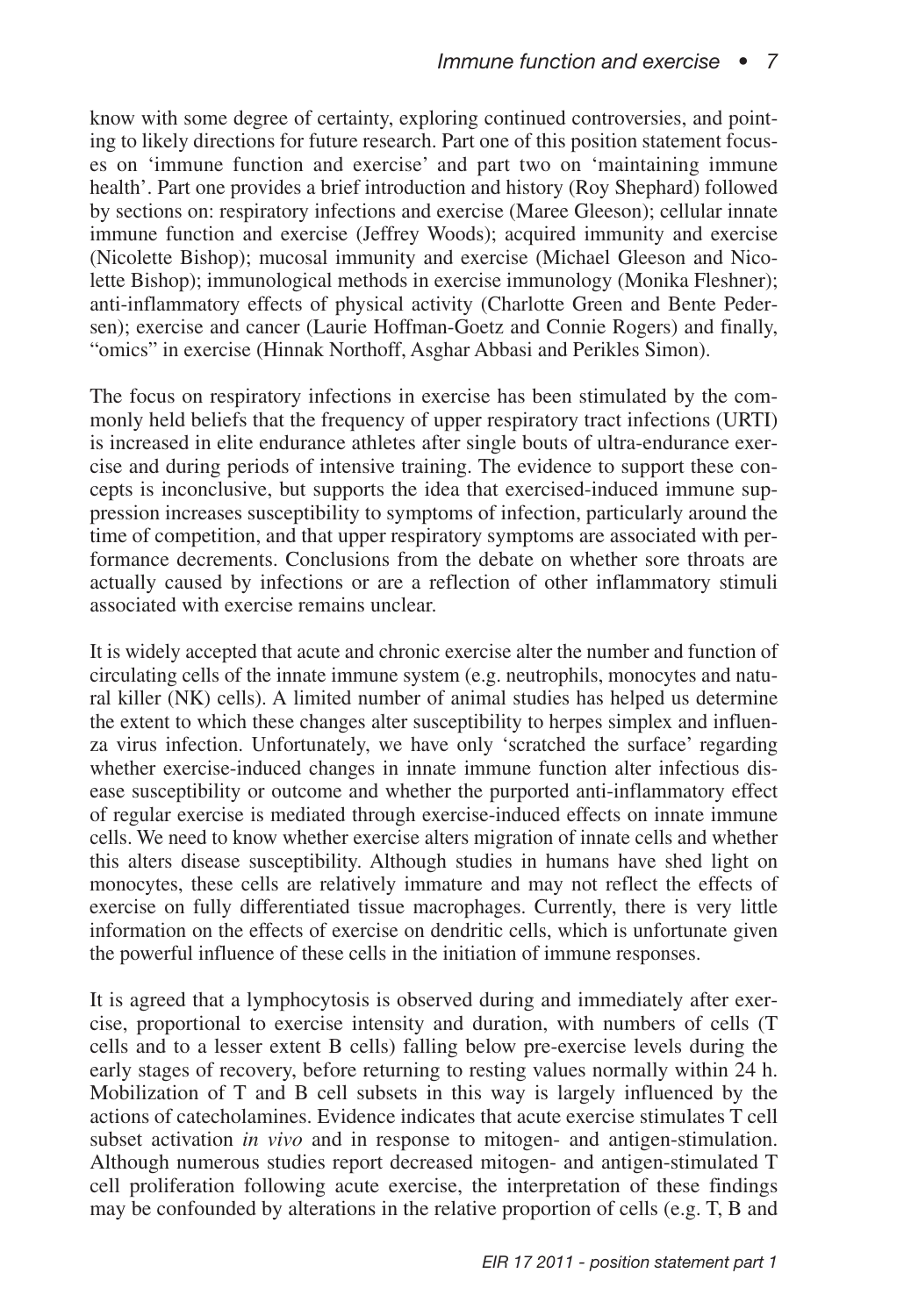know with some degree of certainty, exploring continued controversies, and pointing to likely directions for future research. Part one of this position statement focuses on 'immune function and exercise' and part two on 'maintaining immune health'. Part one provides a brief introduction and history (Roy Shephard) followed by sections on: respiratory infections and exercise (Maree Gleeson); cellular innate immune function and exercise (Jeffrey Woods); acquired immunity and exercise (Nicolette Bishop); mucosal immunity and exercise (Michael Gleeson and Nicolette Bishop); immunological methods in exercise immunology (Monika Fleshner); anti-inflammatory effects of physical activity (Charlotte Green and Bente Pedersen); exercise and cancer (Laurie Hoffman-Goetz and Connie Rogers) and finally, "omics" in exercise (Hinnak Northoff, Asghar Abbasi and Perikles Simon).

The focus on respiratory infections in exercise has been stimulated by the commonly held beliefs that the frequency of upper respiratory tract infections (URTI) is increased in elite endurance athletes after single bouts of ultra-endurance exercise and during periods of intensive training. The evidence to support these concepts is inconclusive, but supports the idea that exercised-induced immune suppression increases susceptibility to symptoms of infection, particularly around the time of competition, and that upper respiratory symptoms are associated with performance decrements. Conclusions from the debate on whether sore throats are actually caused by infections or are a reflection of other inflammatory stimuli associated with exercise remains unclear.

It is widely accepted that acute and chronic exercise alter the number and function of circulating cells of the innate immune system (e.g. neutrophils, monocytes and natural killer (NK) cells). A limited number of animal studies has helped us determine the extent to which these changes alter susceptibility to herpes simplex and influenza virus infection. Unfortunately, we have only 'scratched the surface' regarding whether exercise-induced changes in innate immune function alter infectious disease susceptibility or outcome and whether the purported anti-inflammatory effect of regular exercise is mediated through exercise-induced effects on innate immune cells. We need to know whether exercise alters migration of innate cells and whether this alters disease susceptibility. Although studies in humans have shed light on monocytes, these cells are relatively immature and may not reflect the effects of exercise on fully differentiated tissue macrophages. Currently, there is very little information on the effects of exercise on dendritic cells, which is unfortunate given the powerful influence of these cells in the initiation of immune responses.

It is agreed that a lymphocytosis is observed during and immediately after exercise, proportional to exercise intensity and duration, with numbers of cells (T cells and to a lesser extent B cells) falling below pre-exercise levels during the early stages of recovery, before returning to resting values normally within 24 h. Mobilization of T and B cell subsets in this way is largely influenced by the actions of catecholamines. Evidence indicates that acute exercise stimulates T cell subset activation *in vivo* and in response to mitogen- and antigen-stimulation. Although numerous studies report decreased mitogen- and antigen-stimulated T cell proliferation following acute exercise, the interpretation of these findings may be confounded by alterations in the relative proportion of cells (e.g. T, B and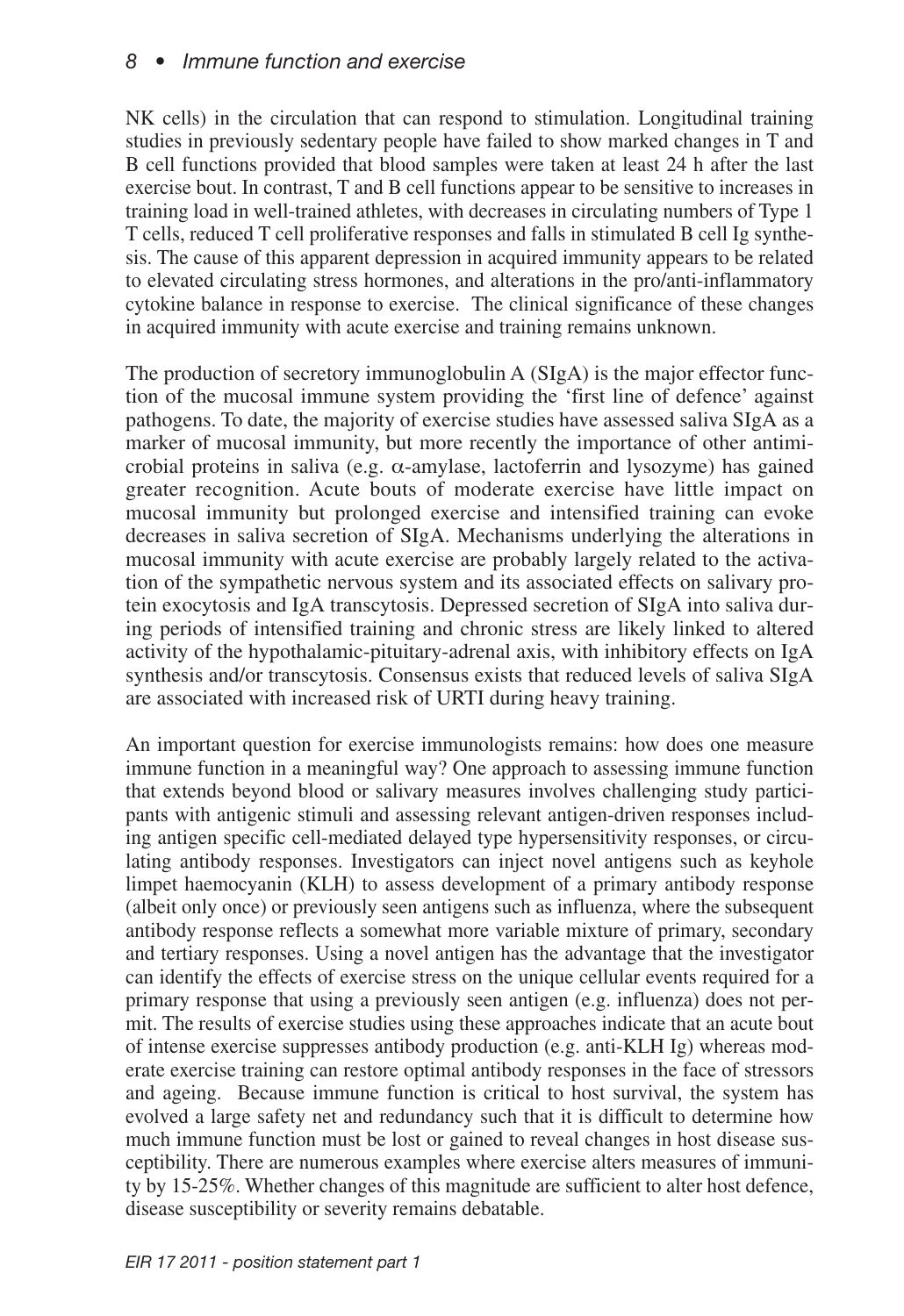## *8 • Immune function and exercise*

NK cells) in the circulation that can respond to stimulation. Longitudinal training studies in previously sedentary people have failed to show marked changes in T and B cell functions provided that blood samples were taken at least 24 h after the last exercise bout. In contrast, T and B cell functions appear to be sensitive to increases in training load in well-trained athletes, with decreases in circulating numbers of Type 1 T cells, reduced T cell proliferative responses and falls in stimulated B cell Ig synthesis. The cause of this apparent depression in acquired immunity appears to be related to elevated circulating stress hormones, and alterations in the pro/anti-inflammatory cytokine balance in response to exercise. The clinical significance of these changes in acquired immunity with acute exercise and training remains unknown.

The production of secretory immunoglobulin A (SIgA) is the major effector function of the mucosal immune system providing the 'first line of defence' against pathogens. To date, the majority of exercise studies have assessed saliva SIgA as a marker of mucosal immunity, but more recently the importance of other antimicrobial proteins in saliva (e.g.  $\alpha$ -amylase, lactoferrin and lysozyme) has gained greater recognition. Acute bouts of moderate exercise have little impact on mucosal immunity but prolonged exercise and intensified training can evoke decreases in saliva secretion of SIgA. Mechanisms underlying the alterations in mucosal immunity with acute exercise are probably largely related to the activation of the sympathetic nervous system and its associated effects on salivary protein exocytosis and IgA transcytosis. Depressed secretion of SIgA into saliva during periods of intensified training and chronic stress are likely linked to altered activity of the hypothalamic-pituitary-adrenal axis, with inhibitory effects on IgA synthesis and/or transcytosis. Consensus exists that reduced levels of saliva SIgA are associated with increased risk of URTI during heavy training.

An important question for exercise immunologists remains: how does one measure immune function in a meaningful way? One approach to assessing immune function that extends beyond blood or salivary measures involves challenging study participants with antigenic stimuli and assessing relevant antigen-driven responses including antigen specific cell-mediated delayed type hypersensitivity responses, or circulating antibody responses. Investigators can inject novel antigens such as keyhole limpet haemocyanin (KLH) to assess development of a primary antibody response (albeit only once) or previously seen antigens such as influenza, where the subsequent antibody response reflects a somewhat more variable mixture of primary, secondary and tertiary responses. Using a novel antigen has the advantage that the investigator can identify the effects of exercise stress on the unique cellular events required for a primary response that using a previously seen antigen (e.g. influenza) does not permit. The results of exercise studies using these approaches indicate that an acute bout of intense exercise suppresses antibody production (e.g. anti-KLH Ig) whereas moderate exercise training can restore optimal antibody responses in the face of stressors and ageing. Because immune function is critical to host survival, the system has evolved a large safety net and redundancy such that it is difficult to determine how much immune function must be lost or gained to reveal changes in host disease susceptibility. There are numerous examples where exercise alters measures of immunity by 15-25%. Whether changes of this magnitude are sufficient to alter host defence, disease susceptibility or severity remains debatable.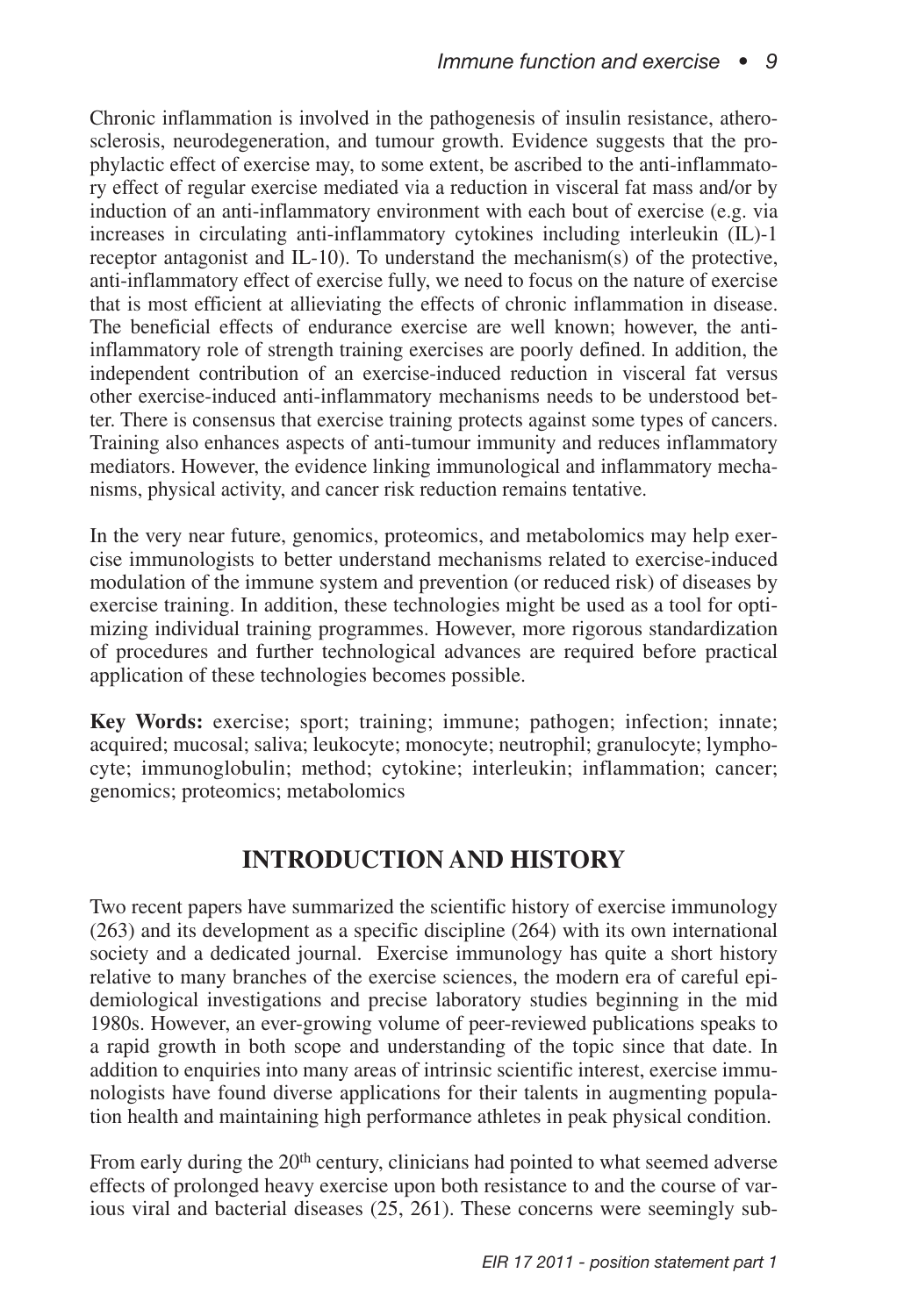Chronic inflammation is involved in the pathogenesis of insulin resistance, atherosclerosis, neurodegeneration, and tumour growth. Evidence suggests that the prophylactic effect of exercise may, to some extent, be ascribed to the anti-inflammatory effect of regular exercise mediated via a reduction in visceral fat mass and/or by induction of an anti-inflammatory environment with each bout of exercise (e.g. via increases in circulating anti-inflammatory cytokines including interleukin (IL)-1 receptor antagonist and IL-10). To understand the mechanism(s) of the protective, anti-inflammatory effect of exercise fully, we need to focus on the nature of exercise that is most efficient at allieviating the effects of chronic inflammation in disease. The beneficial effects of endurance exercise are well known; however, the antiinflammatory role of strength training exercises are poorly defined. In addition, the independent contribution of an exercise-induced reduction in visceral fat versus other exercise-induced anti-inflammatory mechanisms needs to be understood better. There is consensus that exercise training protects against some types of cancers. Training also enhances aspects of anti-tumour immunity and reduces inflammatory mediators. However, the evidence linking immunological and inflammatory mechanisms, physical activity, and cancer risk reduction remains tentative.

In the very near future, genomics, proteomics, and metabolomics may help exercise immunologists to better understand mechanisms related to exercise-induced modulation of the immune system and prevention (or reduced risk) of diseases by exercise training. In addition, these technologies might be used as a tool for optimizing individual training programmes. However, more rigorous standardization of procedures and further technological advances are required before practical application of these technologies becomes possible.

**Key Words:** exercise; sport; training; immune; pathogen; infection; innate; acquired; mucosal; saliva; leukocyte; monocyte; neutrophil; granulocyte; lymphocyte; immunoglobulin; method; cytokine; interleukin; inflammation; cancer; genomics; proteomics; metabolomics

## **INTRODUCTION AND HISTORY**

Two recent papers have summarized the scientific history of exercise immunology (263) and its development as a specific discipline (264) with its own international society and a dedicated journal. Exercise immunology has quite a short history relative to many branches of the exercise sciences, the modern era of careful epidemiological investigations and precise laboratory studies beginning in the mid 1980s. However, an ever-growing volume of peer-reviewed publications speaks to a rapid growth in both scope and understanding of the topic since that date. In addition to enquiries into many areas of intrinsic scientific interest, exercise immunologists have found diverse applications for their talents in augmenting population health and maintaining high performance athletes in peak physical condition.

From early during the  $20<sup>th</sup>$  century, clinicians had pointed to what seemed adverse effects of prolonged heavy exercise upon both resistance to and the course of various viral and bacterial diseases (25, 261). These concerns were seemingly sub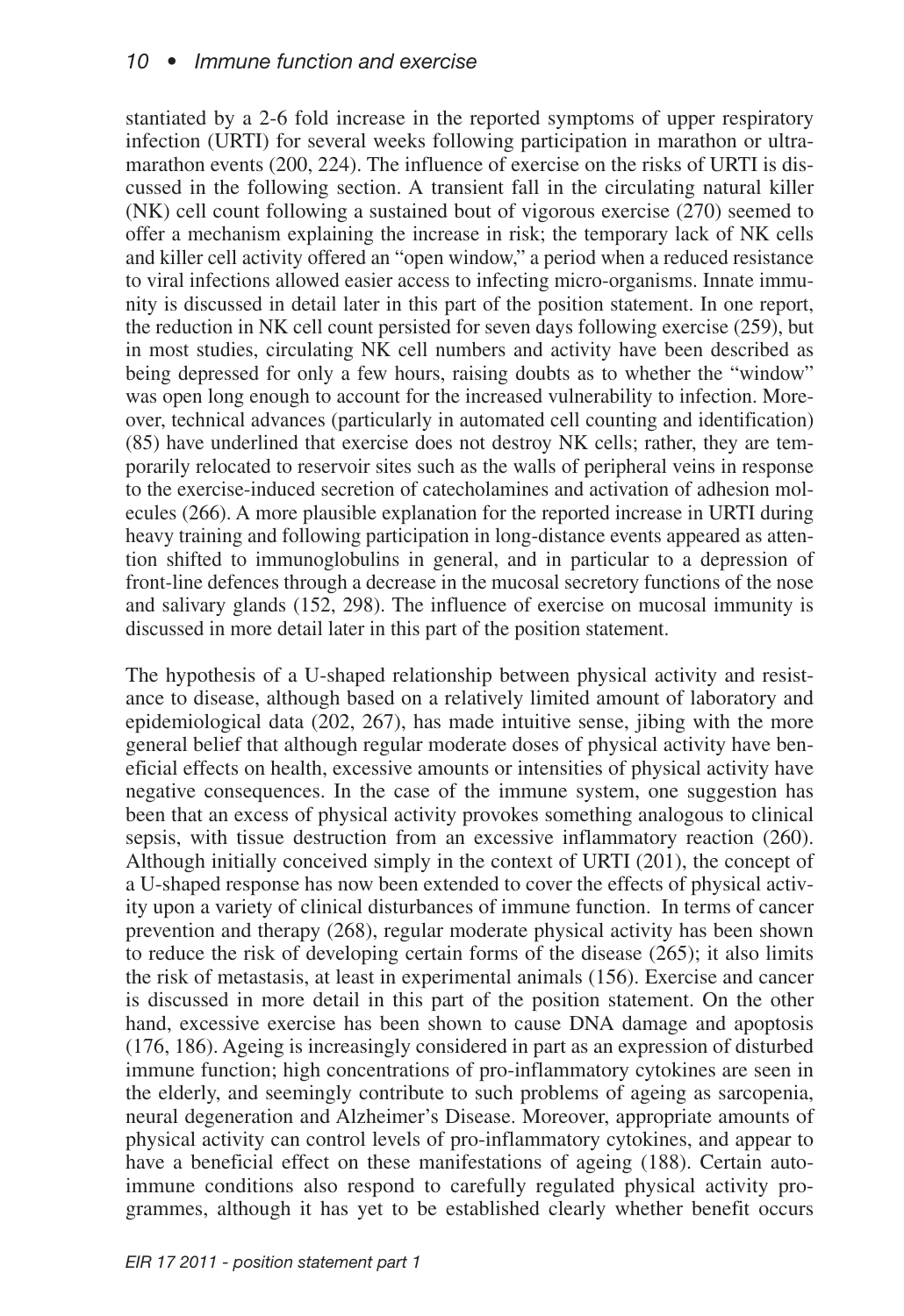stantiated by a 2-6 fold increase in the reported symptoms of upper respiratory infection (URTI) for several weeks following participation in marathon or ultramarathon events (200, 224). The influence of exercise on the risks of URTI is discussed in the following section. A transient fall in the circulating natural killer (NK) cell count following a sustained bout of vigorous exercise (270) seemed to offer a mechanism explaining the increase in risk; the temporary lack of NK cells and killer cell activity offered an "open window," a period when a reduced resistance to viral infections allowed easier access to infecting micro-organisms. Innate immunity is discussed in detail later in this part of the position statement. In one report, the reduction in NK cell count persisted for seven days following exercise (259), but in most studies, circulating NK cell numbers and activity have been described as being depressed for only a few hours, raising doubts as to whether the "window" was open long enough to account for the increased vulnerability to infection. Moreover, technical advances (particularly in automated cell counting and identification) (85) have underlined that exercise does not destroy NK cells; rather, they are temporarily relocated to reservoir sites such as the walls of peripheral veins in response to the exercise-induced secretion of catecholamines and activation of adhesion molecules (266). A more plausible explanation for the reported increase in URTI during heavy training and following participation in long-distance events appeared as attention shifted to immunoglobulins in general, and in particular to a depression of front-line defences through a decrease in the mucosal secretory functions of the nose and salivary glands (152, 298). The influence of exercise on mucosal immunity is discussed in more detail later in this part of the position statement.

The hypothesis of a U-shaped relationship between physical activity and resistance to disease, although based on a relatively limited amount of laboratory and epidemiological data (202, 267), has made intuitive sense, jibing with the more general belief that although regular moderate doses of physical activity have beneficial effects on health, excessive amounts or intensities of physical activity have negative consequences. In the case of the immune system, one suggestion has been that an excess of physical activity provokes something analogous to clinical sepsis, with tissue destruction from an excessive inflammatory reaction (260). Although initially conceived simply in the context of URTI (201), the concept of a U-shaped response has now been extended to cover the effects of physical activity upon a variety of clinical disturbances of immune function. In terms of cancer prevention and therapy (268), regular moderate physical activity has been shown to reduce the risk of developing certain forms of the disease (265); it also limits the risk of metastasis, at least in experimental animals (156). Exercise and cancer is discussed in more detail in this part of the position statement. On the other hand, excessive exercise has been shown to cause DNA damage and apoptosis (176, 186). Ageing is increasingly considered in part as an expression of disturbed immune function; high concentrations of pro-inflammatory cytokines are seen in the elderly, and seemingly contribute to such problems of ageing as sarcopenia, neural degeneration and Alzheimer's Disease. Moreover, appropriate amounts of physical activity can control levels of pro-inflammatory cytokines, and appear to have a beneficial effect on these manifestations of ageing (188). Certain autoimmune conditions also respond to carefully regulated physical activity programmes, although it has yet to be established clearly whether benefit occurs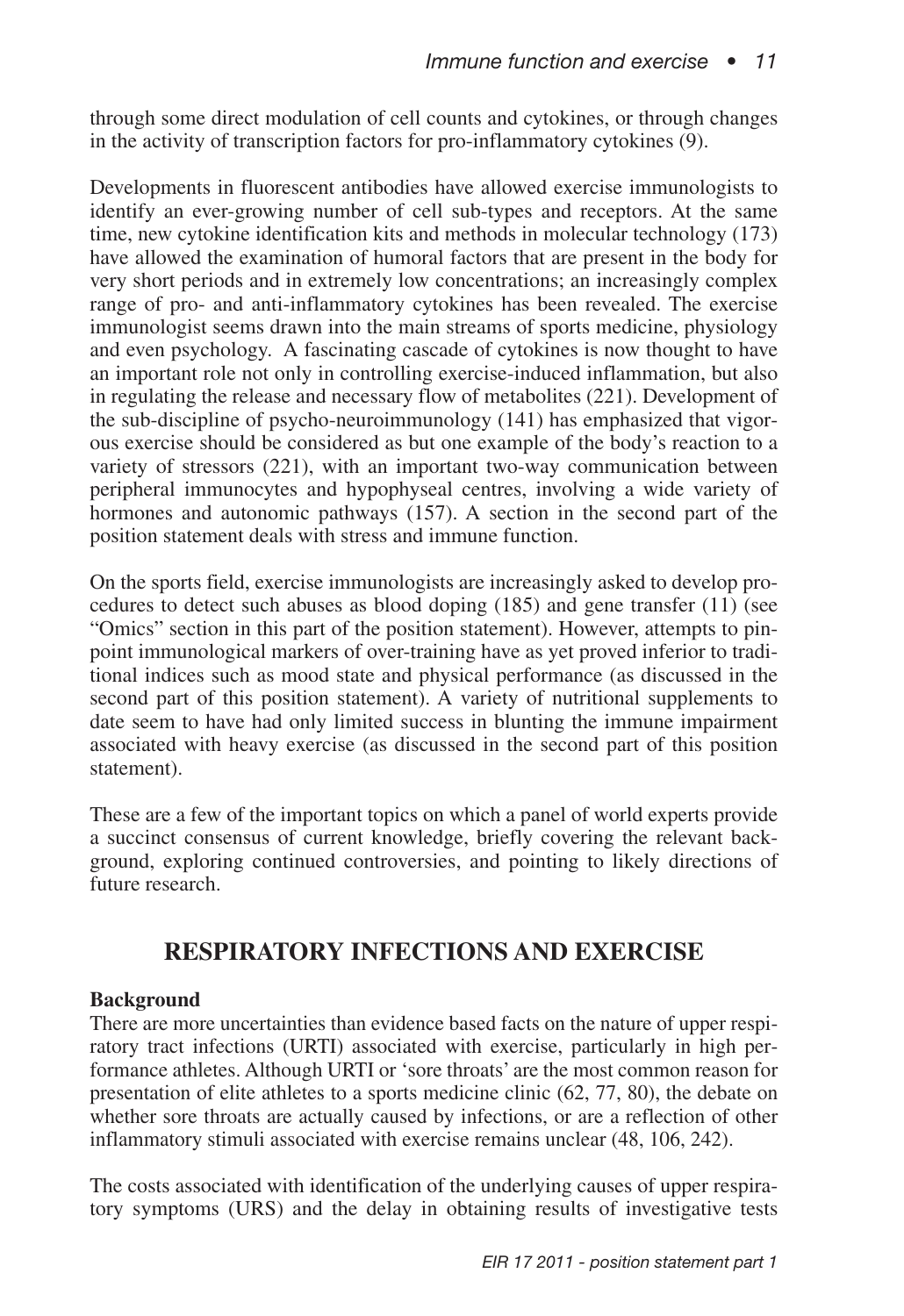through some direct modulation of cell counts and cytokines, or through changes in the activity of transcription factors for pro-inflammatory cytokines (9).

Developments in fluorescent antibodies have allowed exercise immunologists to identify an ever-growing number of cell sub-types and receptors. At the same time, new cytokine identification kits and methods in molecular technology (173) have allowed the examination of humoral factors that are present in the body for very short periods and in extremely low concentrations; an increasingly complex range of pro- and anti-inflammatory cytokines has been revealed. The exercise immunologist seems drawn into the main streams of sports medicine, physiology and even psychology. A fascinating cascade of cytokines is now thought to have an important role not only in controlling exercise-induced inflammation, but also in regulating the release and necessary flow of metabolites (221). Development of the sub-discipline of psycho-neuroimmunology (141) has emphasized that vigorous exercise should be considered as but one example of the body's reaction to a variety of stressors (221), with an important two-way communication between peripheral immunocytes and hypophyseal centres, involving a wide variety of hormones and autonomic pathways (157). A section in the second part of the position statement deals with stress and immune function.

On the sports field, exercise immunologists are increasingly asked to develop procedures to detect such abuses as blood doping (185) and gene transfer (11) (see "Omics" section in this part of the position statement). However, attempts to pinpoint immunological markers of over-training have as yet proved inferior to traditional indices such as mood state and physical performance (as discussed in the second part of this position statement). A variety of nutritional supplements to date seem to have had only limited success in blunting the immune impairment associated with heavy exercise (as discussed in the second part of this position statement).

These are a few of the important topics on which a panel of world experts provide a succinct consensus of current knowledge, briefly covering the relevant background, exploring continued controversies, and pointing to likely directions of future research.

## **RESPIRATORY INFECTIONS AND EXERCISE**

### **Background**

There are more uncertainties than evidence based facts on the nature of upper respiratory tract infections (URTI) associated with exercise, particularly in high performance athletes. Although URTI or 'sore throats' are the most common reason for presentation of elite athletes to a sports medicine clinic (62, 77, 80), the debate on whether sore throats are actually caused by infections, or are a reflection of other inflammatory stimuli associated with exercise remains unclear (48, 106, 242).

The costs associated with identification of the underlying causes of upper respiratory symptoms (URS) and the delay in obtaining results of investigative tests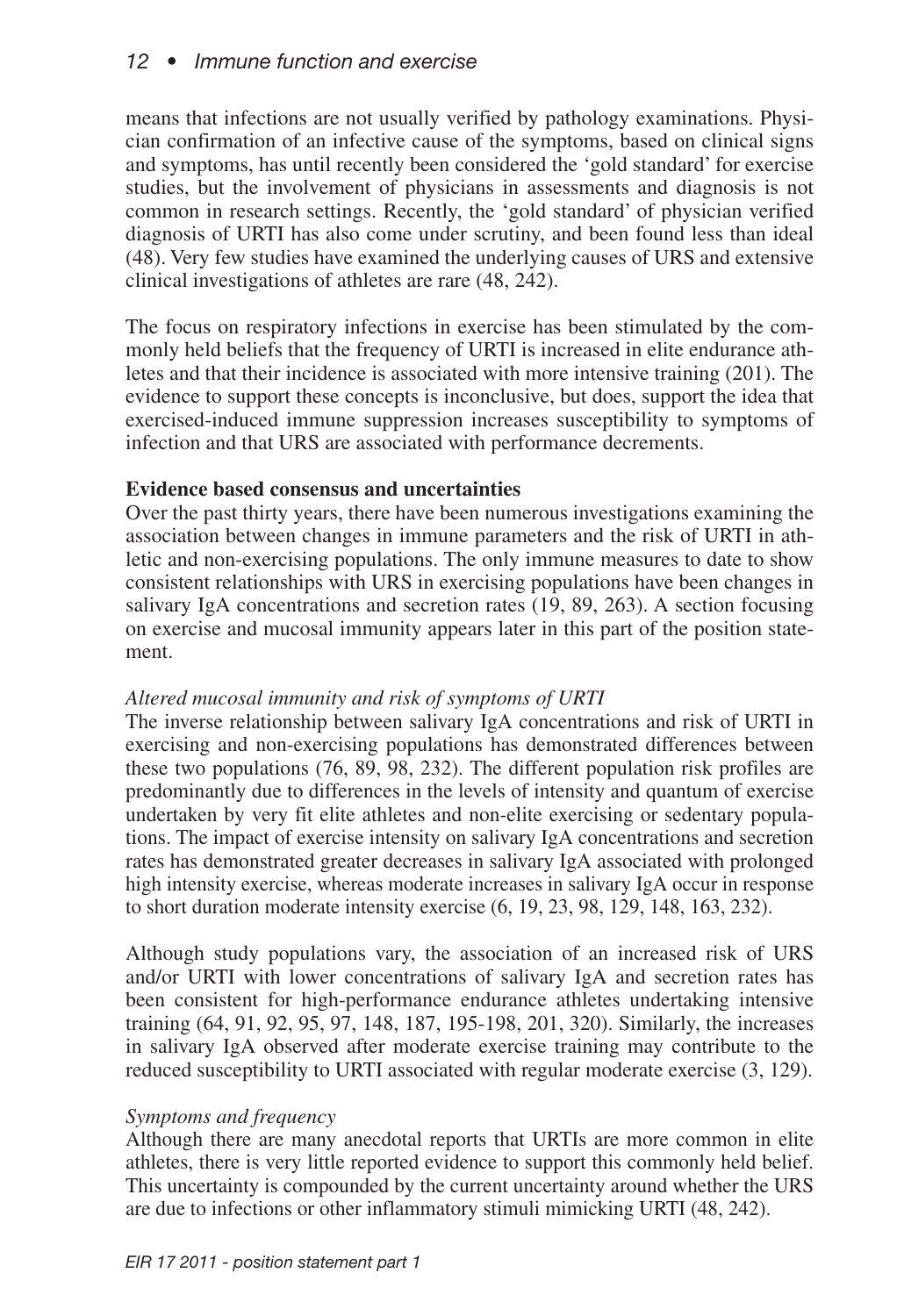means that infections are not usually verified by pathology examinations. Physician confirmation of an infective cause of the symptoms, based on clinical signs and symptoms, has until recently been considered the 'gold standard' for exercise studies, but the involvement of physicians in assessments and diagnosis is not common in research settings. Recently, the 'gold standard' of physician verified diagnosis of URTI has also come under scrutiny, and been found less than ideal (48). Very few studies have examined the underlying causes of URS and extensive clinical investigations of athletes are rare (48, 242).

The focus on respiratory infections in exercise has been stimulated by the commonly held beliefs that the frequency of URTI is increased in elite endurance athletes and that their incidence is associated with more intensive training (201). The evidence to support these concepts is inconclusive, but does, support the idea that exercised-induced immune suppression increases susceptibility to symptoms of infection and that URS are associated with performance decrements.

### **Evidence based consensus and uncertainties**

Over the past thirty years, there have been numerous investigations examining the association between changes in immune parameters and the risk of URTI in athletic and non-exercising populations. The only immune measures to date to show consistent relationships with URS in exercising populations have been changes in salivary IgA concentrations and secretion rates (19, 89, 263). A section focusing on exercise and mucosal immunity appears later in this part of the position statement.

## *Altered mucosal immunity and risk of symptoms of URTI*

The inverse relationship between salivary IgA concentrations and risk of URTI in exercising and non-exercising populations has demonstrated differences between these two populations (76, 89, 98, 232). The different population risk profiles are predominantly due to differences in the levels of intensity and quantum of exercise undertaken by very fit elite athletes and non-elite exercising or sedentary populations. The impact of exercise intensity on salivary IgA concentrations and secretion rates has demonstrated greater decreases in salivary IgA associated with prolonged high intensity exercise, whereas moderate increases in salivary IgA occur in response to short duration moderate intensity exercise (6, 19, 23, 98, 129, 148, 163, 232).

Although study populations vary, the association of an increased risk of URS and/or URTI with lower concentrations of salivary IgA and secretion rates has been consistent for high-performance endurance athletes undertaking intensive training (64, 91, 92, 95, 97, 148, 187, 195-198, 201, 320). Similarly, the increases in salivary IgA observed after moderate exercise training may contribute to the reduced susceptibility to URTI associated with regular moderate exercise (3, 129).

## *Symptoms and frequency*

Although there are many anecdotal reports that URTIs are more common in elite athletes, there is very little reported evidence to support this commonly held belief. This uncertainty is compounded by the current uncertainty around whether the URS are due to infections or other inflammatory stimuli mimicking URTI (48, 242).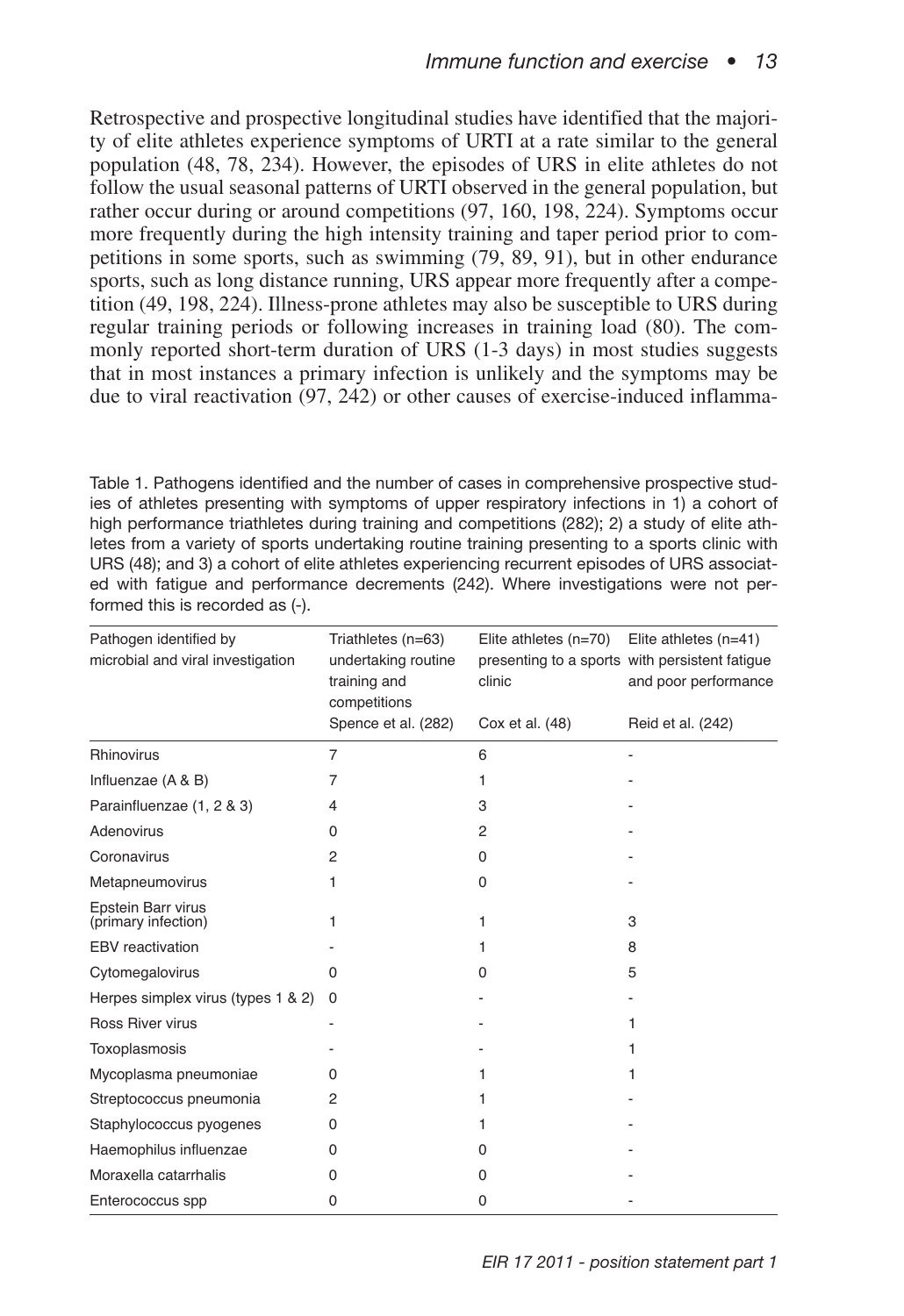Retrospective and prospective longitudinal studies have identified that the majority of elite athletes experience symptoms of URTI at a rate similar to the general population (48, 78, 234). However, the episodes of URS in elite athletes do not follow the usual seasonal patterns of URTI observed in the general population, but rather occur during or around competitions (97, 160, 198, 224). Symptoms occur more frequently during the high intensity training and taper period prior to competitions in some sports, such as swimming (79, 89, 91), but in other endurance sports, such as long distance running, URS appear more frequently after a competition (49, 198, 224). Illness-prone athletes may also be susceptible to URS during regular training periods or following increases in training load (80). The commonly reported short-term duration of URS (1-3 days) in most studies suggests that in most instances a primary infection is unlikely and the symptoms may be due to viral reactivation (97, 242) or other causes of exercise-induced inflamma-

Table 1. Pathogens identified and the number of cases in comprehensive prospective studies of athletes presenting with symptoms of upper respiratory infections in 1) a cohort of high performance triathletes during training and competitions (282); 2) a study of elite athletes from a variety of sports undertaking routine training presenting to a sports clinic with URS (48); and 3) a cohort of elite athletes experiencing recurrent episodes of URS associated with fatigue and performance decrements (242). Where investigations were not performed this is recorded as (-).

| Pathogen identified by<br>microbial and viral investigation | Triathletes (n=63)<br>undertaking routine<br>training and<br>competitions | Elite athletes (n=70)<br>clinic | Elite athletes (n=41)<br>presenting to a sports with persistent fatigue<br>and poor performance |
|-------------------------------------------------------------|---------------------------------------------------------------------------|---------------------------------|-------------------------------------------------------------------------------------------------|
|                                                             | Spence et al. (282)                                                       | Cox et al. (48)                 | Reid et al. (242)                                                                               |
| Rhinovirus                                                  | 7                                                                         | 6                               |                                                                                                 |
| Influenzae (A & B)                                          | 7                                                                         | 1                               |                                                                                                 |
| Parainfluenzae (1, 2 & 3)                                   | 4                                                                         | 3                               |                                                                                                 |
| Adenovirus                                                  | 0                                                                         | 2                               |                                                                                                 |
| Coronavirus                                                 | 2                                                                         | 0                               |                                                                                                 |
| Metapneumovirus                                             | 1                                                                         | 0                               |                                                                                                 |
| Epstein Barr virus<br>(primary infection)                   | 1                                                                         | 1                               | 3                                                                                               |
| EBV reactivation                                            |                                                                           | 1                               | 8                                                                                               |
| Cytomegalovirus                                             | 0                                                                         | O                               | 5                                                                                               |
| Herpes simplex virus (types 1 & 2)                          | 0                                                                         |                                 |                                                                                                 |
| Ross River virus                                            |                                                                           |                                 | 1                                                                                               |
| Toxoplasmosis                                               |                                                                           |                                 | 1                                                                                               |
| Mycoplasma pneumoniae                                       | 0                                                                         | 1                               | 1                                                                                               |
| Streptococcus pneumonia                                     | 2                                                                         | 1                               |                                                                                                 |
| Staphylococcus pyogenes                                     | 0                                                                         | 1                               |                                                                                                 |
| Haemophilus influenzae                                      | 0                                                                         | 0                               |                                                                                                 |
| Moraxella catarrhalis                                       | 0                                                                         | 0                               |                                                                                                 |
| Enterococcus spp                                            | 0                                                                         | 0                               |                                                                                                 |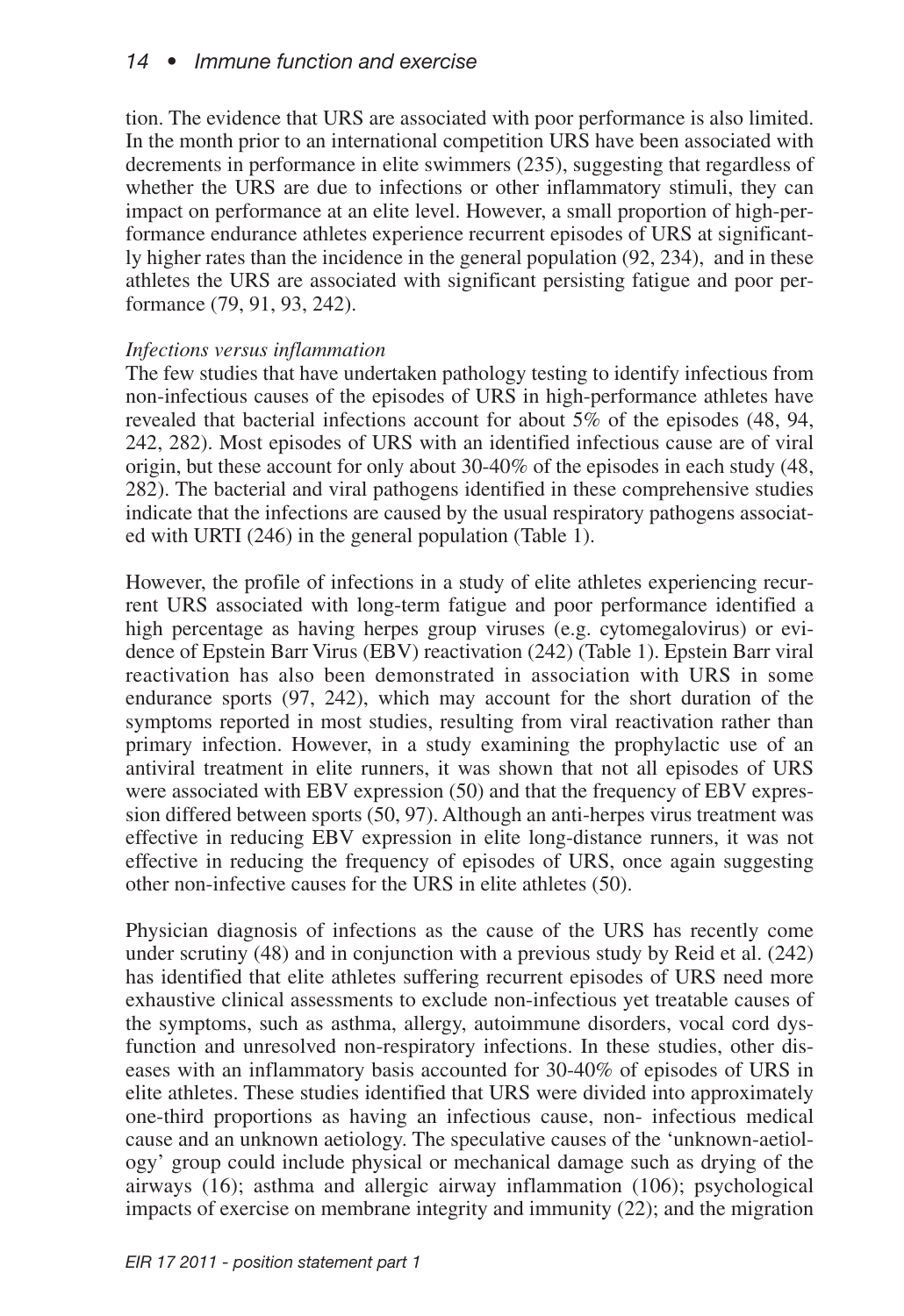tion. The evidence that URS are associated with poor performance is also limited. In the month prior to an international competition URS have been associated with decrements in performance in elite swimmers (235), suggesting that regardless of whether the URS are due to infections or other inflammatory stimuli, they can impact on performance at an elite level. However, a small proportion of high-performance endurance athletes experience recurrent episodes of URS at significantly higher rates than the incidence in the general population (92, 234), and in these athletes the URS are associated with significant persisting fatigue and poor performance (79, 91, 93, 242).

### *Infections versus inflammation*

The few studies that have undertaken pathology testing to identify infectious from non-infectious causes of the episodes of URS in high-performance athletes have revealed that bacterial infections account for about 5% of the episodes (48, 94, 242, 282). Most episodes of URS with an identified infectious cause are of viral origin, but these account for only about 30-40% of the episodes in each study (48, 282). The bacterial and viral pathogens identified in these comprehensive studies indicate that the infections are caused by the usual respiratory pathogens associated with URTI (246) in the general population (Table 1).

However, the profile of infections in a study of elite athletes experiencing recurrent URS associated with long-term fatigue and poor performance identified a high percentage as having herpes group viruses (e.g. cytomegalovirus) or evidence of Epstein Barr Virus (EBV) reactivation (242) (Table 1). Epstein Barr viral reactivation has also been demonstrated in association with URS in some endurance sports (97, 242), which may account for the short duration of the symptoms reported in most studies, resulting from viral reactivation rather than primary infection. However, in a study examining the prophylactic use of an antiviral treatment in elite runners, it was shown that not all episodes of URS were associated with EBV expression (50) and that the frequency of EBV expression differed between sports (50, 97). Although an anti-herpes virus treatment was effective in reducing EBV expression in elite long-distance runners, it was not effective in reducing the frequency of episodes of URS, once again suggesting other non-infective causes for the URS in elite athletes (50).

Physician diagnosis of infections as the cause of the URS has recently come under scrutiny (48) and in conjunction with a previous study by Reid et al. (242) has identified that elite athletes suffering recurrent episodes of URS need more exhaustive clinical assessments to exclude non-infectious yet treatable causes of the symptoms, such as asthma, allergy, autoimmune disorders, vocal cord dysfunction and unresolved non-respiratory infections. In these studies, other diseases with an inflammatory basis accounted for 30-40% of episodes of URS in elite athletes. These studies identified that URS were divided into approximately one-third proportions as having an infectious cause, non- infectious medical cause and an unknown aetiology. The speculative causes of the 'unknown-aetiology' group could include physical or mechanical damage such as drying of the airways (16); asthma and allergic airway inflammation (106); psychological impacts of exercise on membrane integrity and immunity (22); and the migration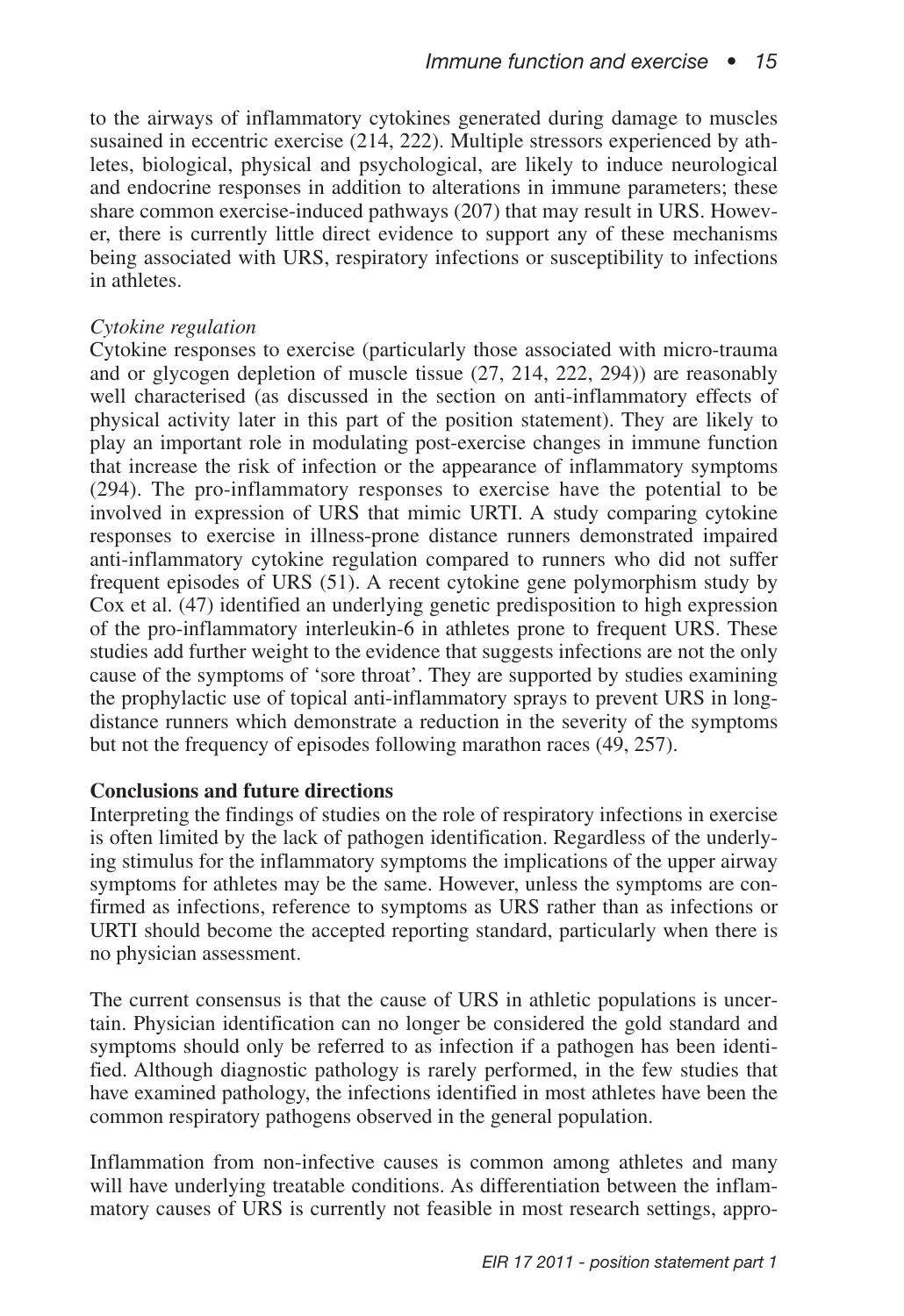to the airways of inflammatory cytokines generated during damage to muscles susained in eccentric exercise (214, 222). Multiple stressors experienced by athletes, biological, physical and psychological, are likely to induce neurological and endocrine responses in addition to alterations in immune parameters; these share common exercise-induced pathways (207) that may result in URS. However, there is currently little direct evidence to support any of these mechanisms being associated with URS, respiratory infections or susceptibility to infections in athletes.

### *Cytokine regulation*

Cytokine responses to exercise (particularly those associated with micro-trauma and or glycogen depletion of muscle tissue (27, 214, 222, 294)) are reasonably well characterised (as discussed in the section on anti-inflammatory effects of physical activity later in this part of the position statement). They are likely to play an important role in modulating post-exercise changes in immune function that increase the risk of infection or the appearance of inflammatory symptoms (294). The pro-inflammatory responses to exercise have the potential to be involved in expression of URS that mimic URTI. A study comparing cytokine responses to exercise in illness-prone distance runners demonstrated impaired anti-inflammatory cytokine regulation compared to runners who did not suffer frequent episodes of URS (51). A recent cytokine gene polymorphism study by Cox et al. (47) identified an underlying genetic predisposition to high expression of the pro-inflammatory interleukin-6 in athletes prone to frequent URS. These studies add further weight to the evidence that suggests infections are not the only cause of the symptoms of 'sore throat'. They are supported by studies examining the prophylactic use of topical anti-inflammatory sprays to prevent URS in longdistance runners which demonstrate a reduction in the severity of the symptoms but not the frequency of episodes following marathon races (49, 257).

### **Conclusions and future directions**

Interpreting the findings of studies on the role of respiratory infections in exercise is often limited by the lack of pathogen identification. Regardless of the underlying stimulus for the inflammatory symptoms the implications of the upper airway symptoms for athletes may be the same. However, unless the symptoms are confirmed as infections, reference to symptoms as URS rather than as infections or URTI should become the accepted reporting standard, particularly when there is no physician assessment.

The current consensus is that the cause of URS in athletic populations is uncertain. Physician identification can no longer be considered the gold standard and symptoms should only be referred to as infection if a pathogen has been identified. Although diagnostic pathology is rarely performed, in the few studies that have examined pathology, the infections identified in most athletes have been the common respiratory pathogens observed in the general population.

Inflammation from non-infective causes is common among athletes and many will have underlying treatable conditions. As differentiation between the inflammatory causes of URS is currently not feasible in most research settings, appro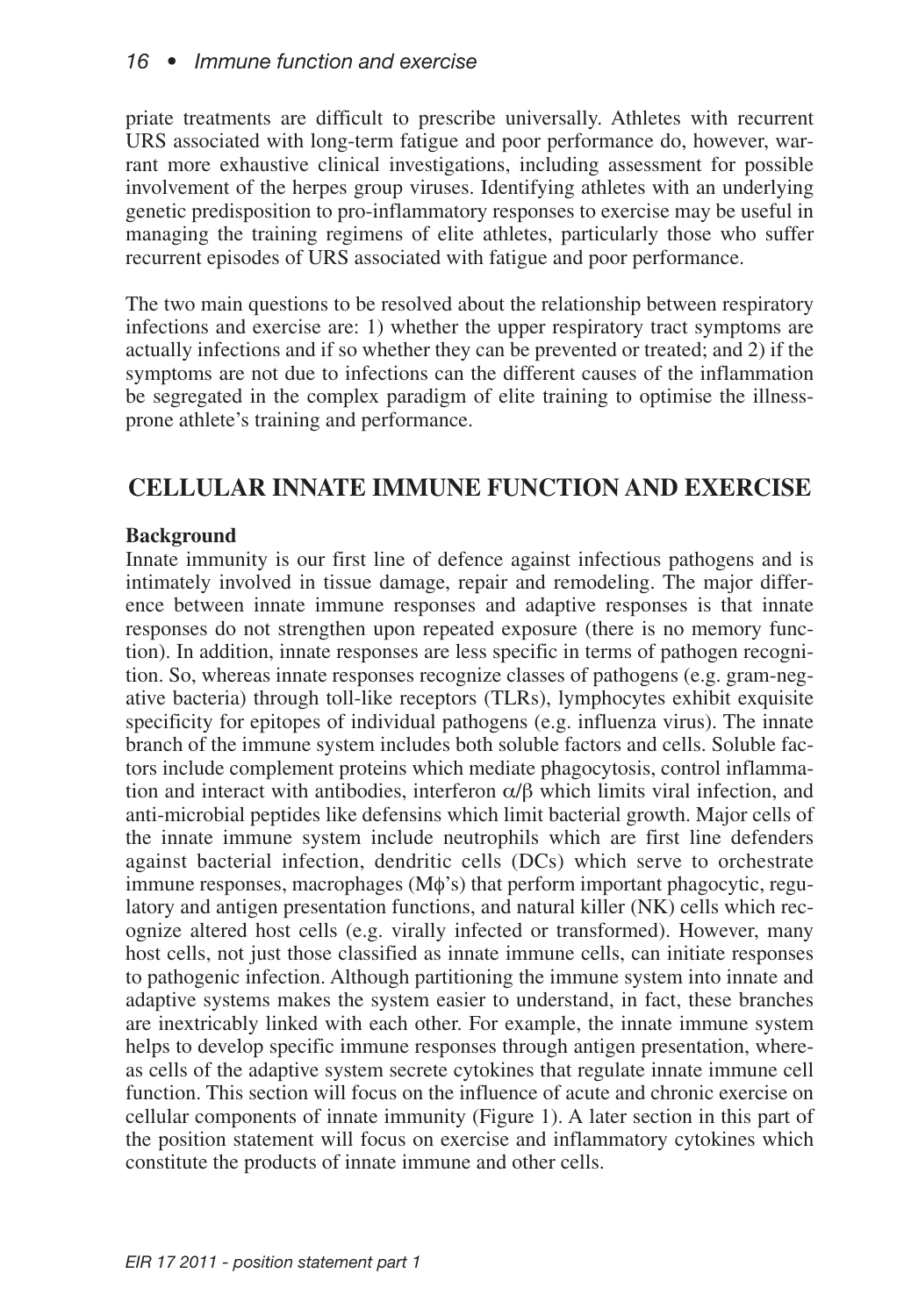priate treatments are difficult to prescribe universally. Athletes with recurrent URS associated with long-term fatigue and poor performance do, however, warrant more exhaustive clinical investigations, including assessment for possible involvement of the herpes group viruses. Identifying athletes with an underlying genetic predisposition to pro-inflammatory responses to exercise may be useful in managing the training regimens of elite athletes, particularly those who suffer recurrent episodes of URS associated with fatigue and poor performance.

The two main questions to be resolved about the relationship between respiratory infections and exercise are: 1) whether the upper respiratory tract symptoms are actually infections and if so whether they can be prevented or treated; and 2) if the symptoms are not due to infections can the different causes of the inflammation be segregated in the complex paradigm of elite training to optimise the illnessprone athlete's training and performance.

## **CELLULAR INNATE IMMUNE FUNCTION AND EXERCISE**

## **Background**

Innate immunity is our first line of defence against infectious pathogens and is intimately involved in tissue damage, repair and remodeling. The major difference between innate immune responses and adaptive responses is that innate responses do not strengthen upon repeated exposure (there is no memory function). In addition, innate responses are less specific in terms of pathogen recognition. So, whereas innate responses recognize classes of pathogens (e.g. gram-negative bacteria) through toll-like receptors (TLRs), lymphocytes exhibit exquisite specificity for epitopes of individual pathogens (e.g. influenza virus). The innate branch of the immune system includes both soluble factors and cells. Soluble factors include complement proteins which mediate phagocytosis, control inflammation and interact with antibodies, interferon  $\alpha/\beta$  which limits viral infection, and anti-microbial peptides like defensins which limit bacterial growth. Major cells of the innate immune system include neutrophils which are first line defenders against bacterial infection, dendritic cells (DCs) which serve to orchestrate immune responses, macrophages (Mφ's) that perform important phagocytic, regulatory and antigen presentation functions, and natural killer (NK) cells which recognize altered host cells (e.g. virally infected or transformed). However, many host cells, not just those classified as innate immune cells, can initiate responses to pathogenic infection. Although partitioning the immune system into innate and adaptive systems makes the system easier to understand, in fact, these branches are inextricably linked with each other. For example, the innate immune system helps to develop specific immune responses through antigen presentation, whereas cells of the adaptive system secrete cytokines that regulate innate immune cell function. This section will focus on the influence of acute and chronic exercise on cellular components of innate immunity (Figure 1). A later section in this part of the position statement will focus on exercise and inflammatory cytokines which constitute the products of innate immune and other cells.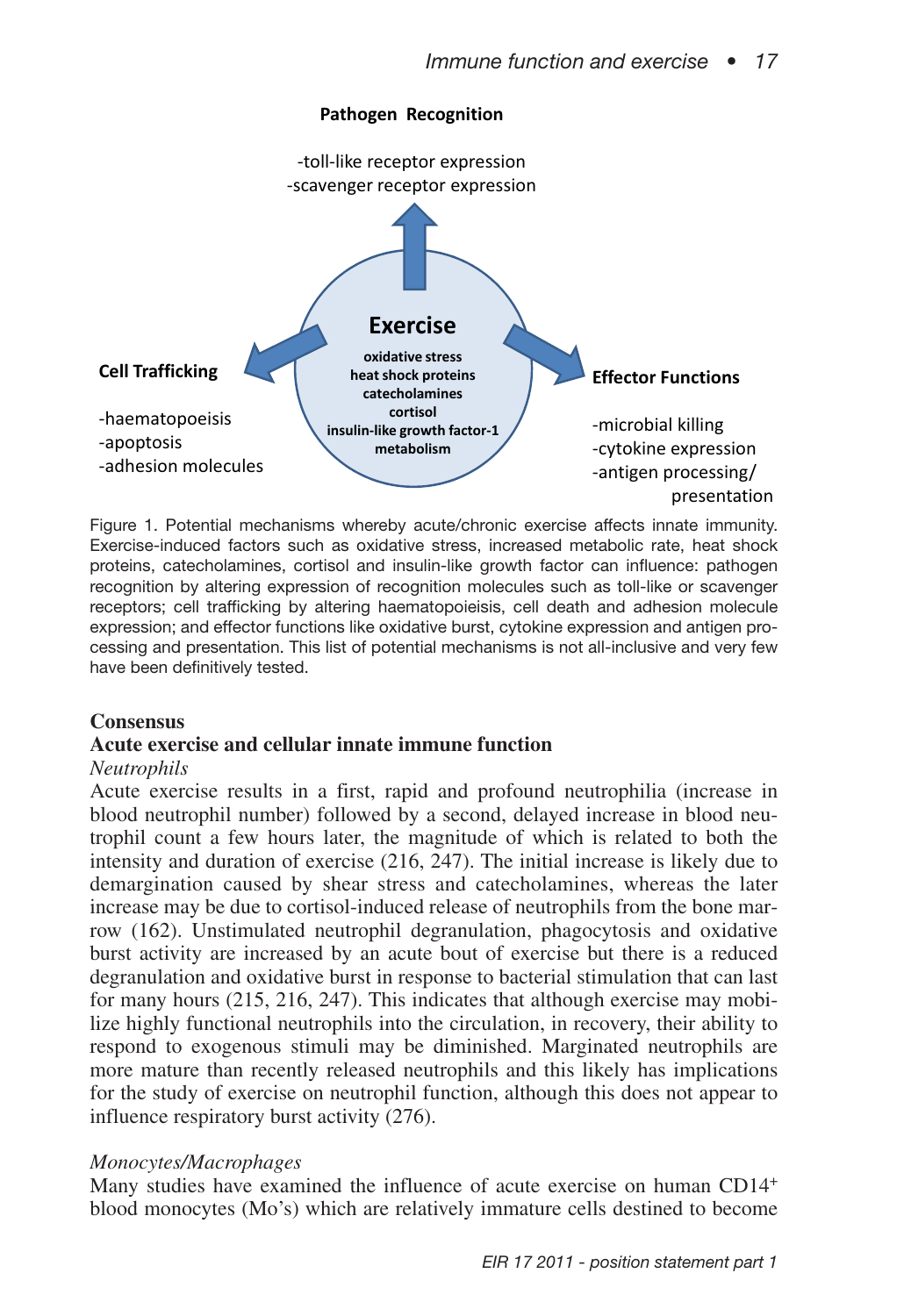

Figure 1. Potential mechanisms whereby acute/chronic exercise affects innate immunity. Exercise-induced factors such as oxidative stress, increased metabolic rate, heat shock proteins, catecholamines, cortisol and insulin-like growth factor can influence: pathogen recognition by altering expression of recognition molecules such as toll-like or scavenger receptors; cell trafficking by altering haematopoieisis, cell death and adhesion molecule expression; and effector functions like oxidative burst, cytokine expression and antigen processing and presentation. This list of potential mechanisms is not all-inclusive and very few have been definitively tested.

#### **Consensus**

### **Acute exercise and cellular innate immune function**

#### *Neutrophils*

Acute exercise results in a first, rapid and profound neutrophilia (increase in blood neutrophil number) followed by a second, delayed increase in blood neutrophil count a few hours later, the magnitude of which is related to both the intensity and duration of exercise (216, 247). The initial increase is likely due to demargination caused by shear stress and catecholamines, whereas the later increase may be due to cortisol-induced release of neutrophils from the bone marrow (162). Unstimulated neutrophil degranulation, phagocytosis and oxidative burst activity are increased by an acute bout of exercise but there is a reduced degranulation and oxidative burst in response to bacterial stimulation that can last for many hours (215, 216, 247). This indicates that although exercise may mobilize highly functional neutrophils into the circulation, in recovery, their ability to respond to exogenous stimuli may be diminished. Marginated neutrophils are more mature than recently released neutrophils and this likely has implications for the study of exercise on neutrophil function, although this does not appear to influence respiratory burst activity (276).

#### *Monocytes/Macrophages*

Many studies have examined the influence of acute exercise on human CD14+ blood monocytes (Mo's) which are relatively immature cells destined to become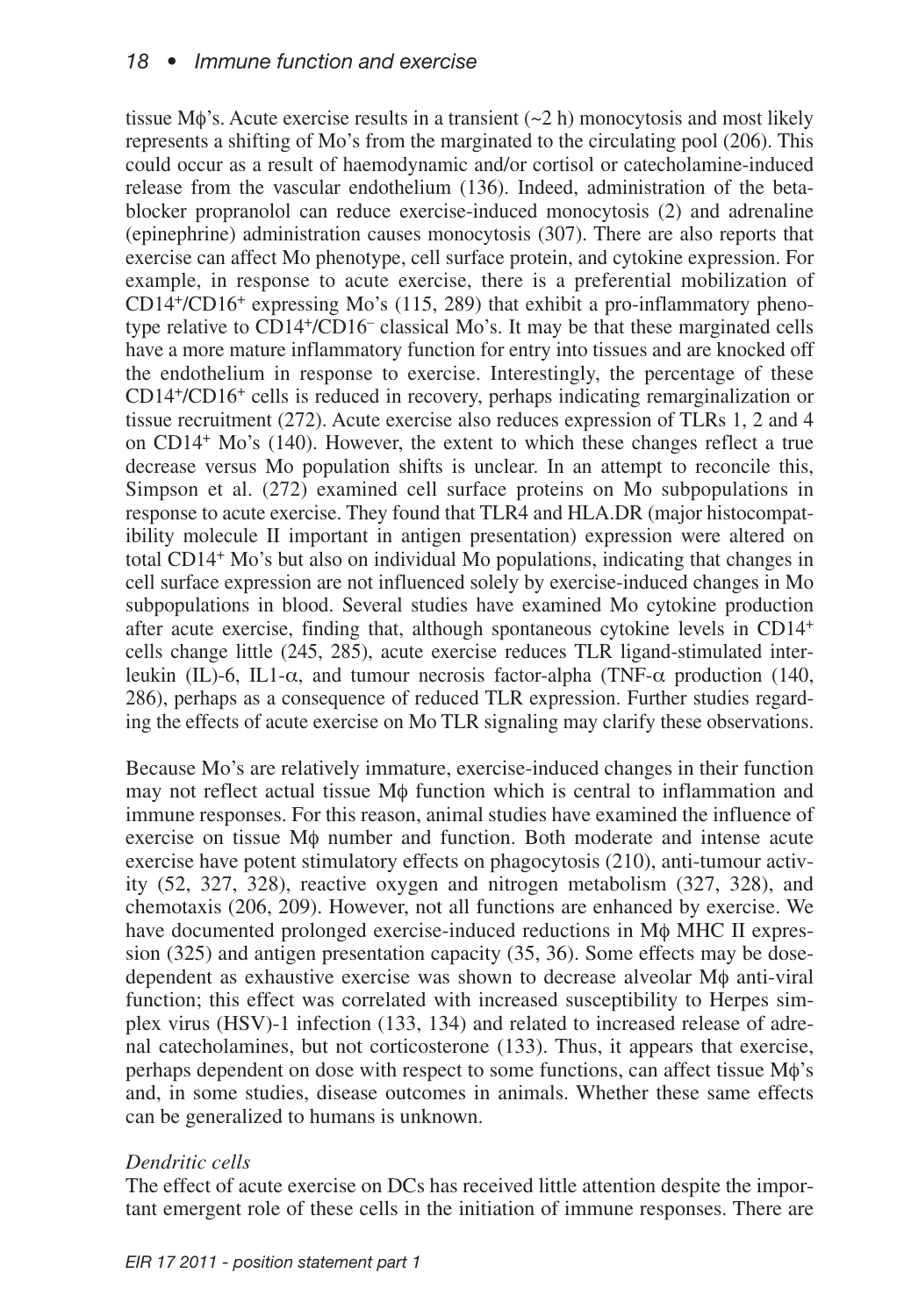tissue M $\phi$ 's. Acute exercise results in a transient  $(\sim 2 \text{ h})$  monocytosis and most likely represents a shifting of Mo's from the marginated to the circulating pool (206). This could occur as a result of haemodynamic and/or cortisol or catecholamine-induced release from the vascular endothelium (136). Indeed, administration of the betablocker propranolol can reduce exercise-induced monocytosis (2) and adrenaline (epinephrine) administration causes monocytosis (307). There are also reports that exercise can affect Mo phenotype, cell surface protein, and cytokine expression. For example, in response to acute exercise, there is a preferential mobilization of CD14+/CD16+ expressing Mo's (115, 289) that exhibit a pro-inflammatory phenotype relative to CD14+/CD16– classical Mo's. It may be that these marginated cells have a more mature inflammatory function for entry into tissues and are knocked off the endothelium in response to exercise. Interestingly, the percentage of these CD14+/CD16+ cells is reduced in recovery, perhaps indicating remarginalization or tissue recruitment (272). Acute exercise also reduces expression of TLRs 1, 2 and 4 on CD14+ Mo's (140). However, the extent to which these changes reflect a true decrease versus Mo population shifts is unclear. In an attempt to reconcile this, Simpson et al. (272) examined cell surface proteins on Mo subpopulations in response to acute exercise. They found that TLR4 and HLA.DR (major histocompatibility molecule II important in antigen presentation) expression were altered on total CD14+ Mo's but also on individual Mo populations, indicating that changes in cell surface expression are not influenced solely by exercise-induced changes in Mo subpopulations in blood. Several studies have examined Mo cytokine production after acute exercise, finding that, although spontaneous cytokine levels in CD14+ cells change little (245, 285), acute exercise reduces TLR ligand-stimulated interleukin (IL)-6, IL1-α, and tumour necrosis factor-alpha (TNF-α production (140, 286), perhaps as a consequence of reduced TLR expression. Further studies regarding the effects of acute exercise on Mo TLR signaling may clarify these observations.

Because Mo's are relatively immature, exercise-induced changes in their function may not reflect actual tissue Mφ function which is central to inflammation and immune responses. For this reason, animal studies have examined the influence of exercise on tissue Mφ number and function. Both moderate and intense acute exercise have potent stimulatory effects on phagocytosis (210), anti-tumour activity (52, 327, 328), reactive oxygen and nitrogen metabolism (327, 328), and chemotaxis (206, 209). However, not all functions are enhanced by exercise. We have documented prolonged exercise-induced reductions in Mφ MHC II expression (325) and antigen presentation capacity (35, 36). Some effects may be dosedependent as exhaustive exercise was shown to decrease alveolar Mφ anti-viral function; this effect was correlated with increased susceptibility to Herpes simplex virus (HSV)-1 infection (133, 134) and related to increased release of adrenal catecholamines, but not corticosterone (133). Thus, it appears that exercise, perhaps dependent on dose with respect to some functions, can affect tissue Mφ's and, in some studies, disease outcomes in animals. Whether these same effects can be generalized to humans is unknown.

### *Dendritic cells*

The effect of acute exercise on DCs has received little attention despite the important emergent role of these cells in the initiation of immune responses. There are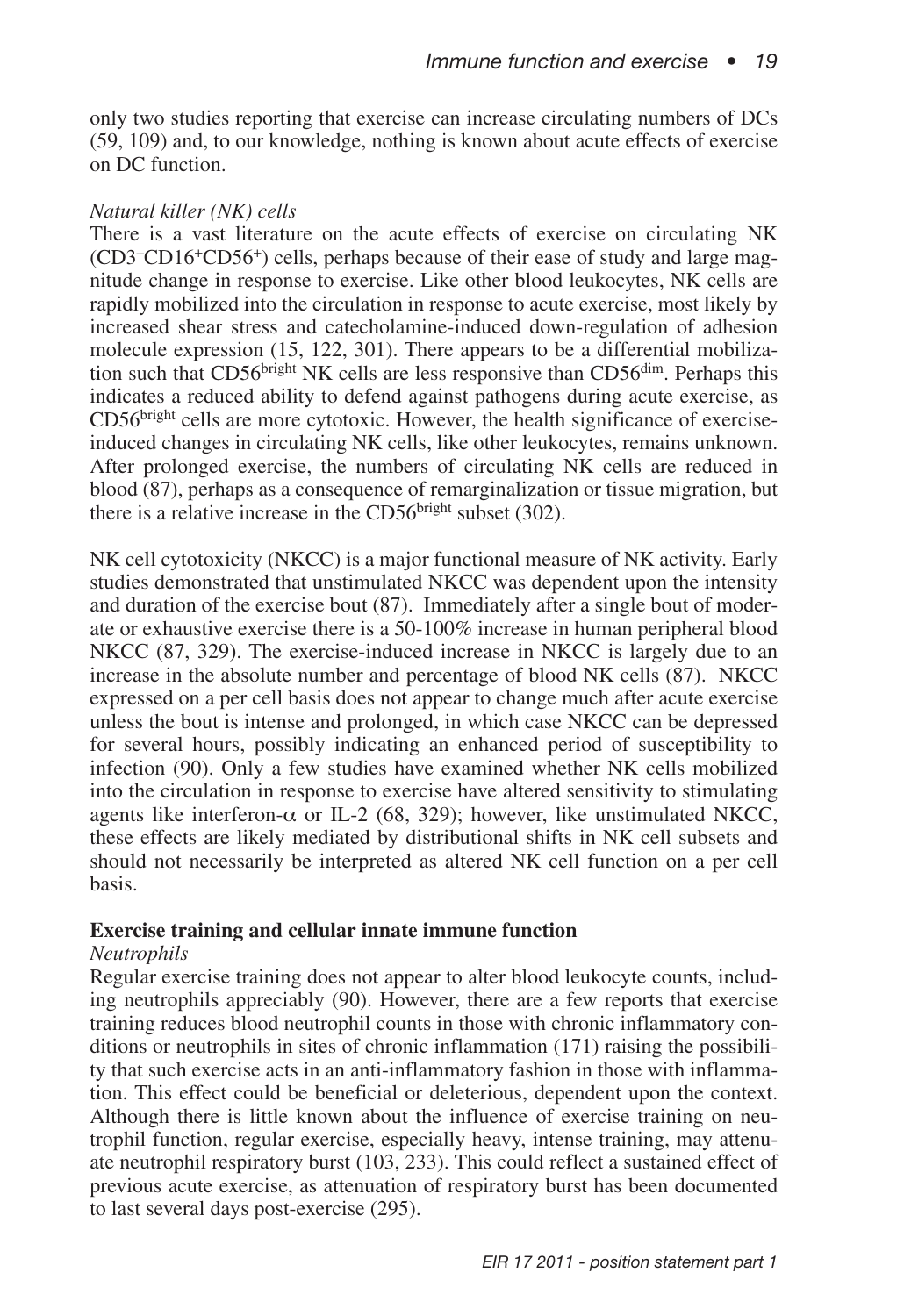only two studies reporting that exercise can increase circulating numbers of DCs (59, 109) and, to our knowledge, nothing is known about acute effects of exercise on DC function.

#### *Natural killer (NK) cells*

There is a vast literature on the acute effects of exercise on circulating NK (CD3–CD16+CD56+) cells, perhaps because of their ease of study and large magnitude change in response to exercise. Like other blood leukocytes, NK cells are rapidly mobilized into the circulation in response to acute exercise, most likely by increased shear stress and catecholamine-induced down-regulation of adhesion molecule expression (15, 122, 301). There appears to be a differential mobilization such that CD56<sup>bright</sup> NK cells are less responsive than CD56 $\rm{d}$ <sup>im</sup>. Perhaps this indicates a reduced ability to defend against pathogens during acute exercise, as CD56bright cells are more cytotoxic. However, the health significance of exerciseinduced changes in circulating NK cells, like other leukocytes, remains unknown. After prolonged exercise, the numbers of circulating NK cells are reduced in blood (87), perhaps as a consequence of remarginalization or tissue migration, but there is a relative increase in the  $CD56<sup>bright</sup>$  subset (302).

NK cell cytotoxicity (NKCC) is a major functional measure of NK activity. Early studies demonstrated that unstimulated NKCC was dependent upon the intensity and duration of the exercise bout (87). Immediately after a single bout of moderate or exhaustive exercise there is a 50-100% increase in human peripheral blood NKCC (87, 329). The exercise-induced increase in NKCC is largely due to an increase in the absolute number and percentage of blood NK cells (87). NKCC expressed on a per cell basis does not appear to change much after acute exercise unless the bout is intense and prolonged, in which case NKCC can be depressed for several hours, possibly indicating an enhanced period of susceptibility to infection (90). Only a few studies have examined whether NK cells mobilized into the circulation in response to exercise have altered sensitivity to stimulating agents like interferon- $\alpha$  or IL-2 (68, 329); however, like unstimulated NKCC, these effects are likely mediated by distributional shifts in NK cell subsets and should not necessarily be interpreted as altered NK cell function on a per cell basis.

### **Exercise training and cellular innate immune function**

#### *Neutrophils*

Regular exercise training does not appear to alter blood leukocyte counts, including neutrophils appreciably (90). However, there are a few reports that exercise training reduces blood neutrophil counts in those with chronic inflammatory conditions or neutrophils in sites of chronic inflammation (171) raising the possibility that such exercise acts in an anti-inflammatory fashion in those with inflammation. This effect could be beneficial or deleterious, dependent upon the context. Although there is little known about the influence of exercise training on neutrophil function, regular exercise, especially heavy, intense training, may attenuate neutrophil respiratory burst (103, 233). This could reflect a sustained effect of previous acute exercise, as attenuation of respiratory burst has been documented to last several days post-exercise (295).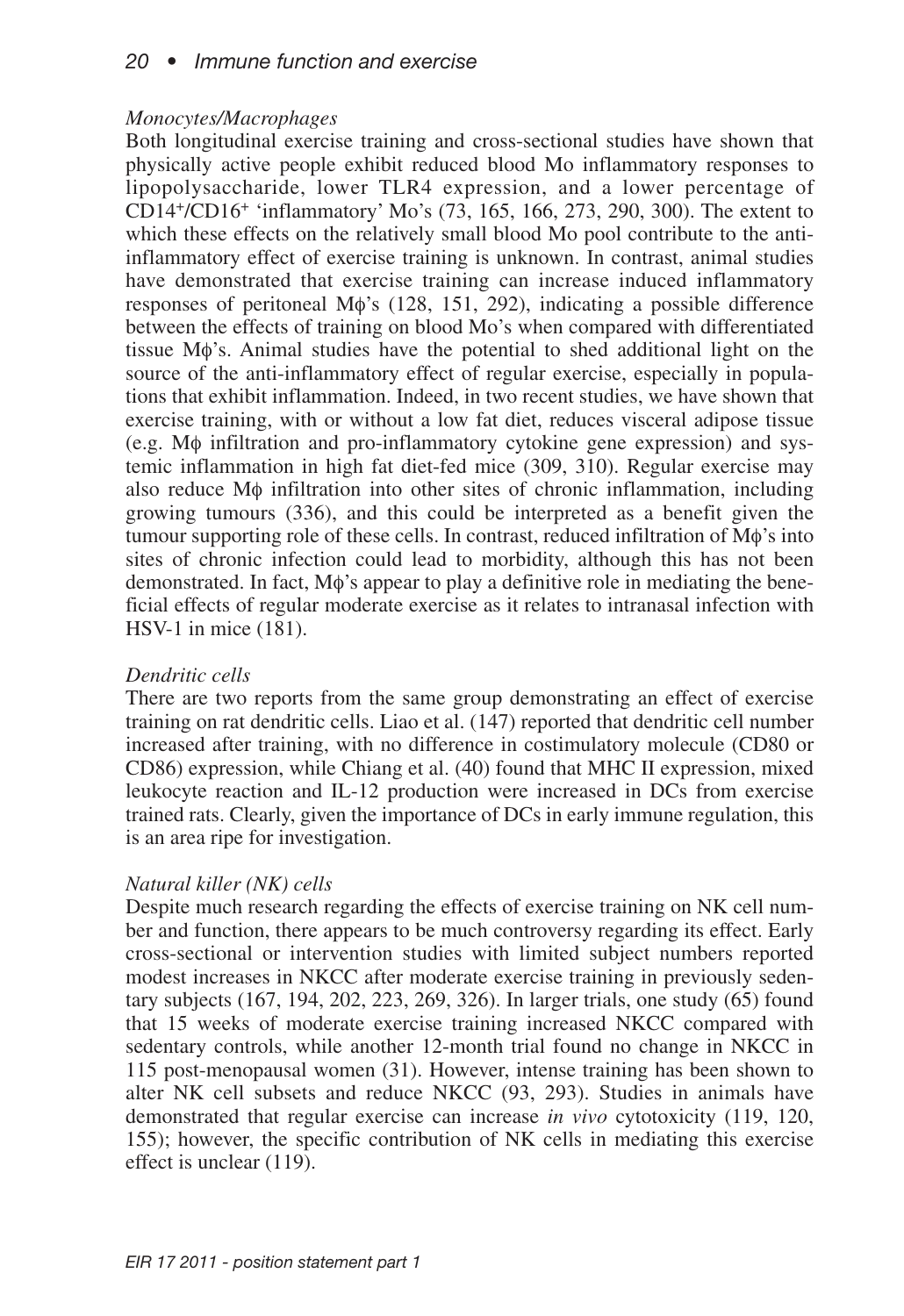## *20 • Immune function and exercise*

#### *Monocytes/Macrophages*

Both longitudinal exercise training and cross-sectional studies have shown that physically active people exhibit reduced blood Mo inflammatory responses to lipopolysaccharide, lower TLR4 expression, and a lower percentage of CD14+/CD16+ 'inflammatory' Mo's (73, 165, 166, 273, 290, 300). The extent to which these effects on the relatively small blood Mo pool contribute to the antiinflammatory effect of exercise training is unknown. In contrast, animal studies have demonstrated that exercise training can increase induced inflammatory responses of peritoneal Mφ's (128, 151, 292), indicating a possible difference between the effects of training on blood Mo's when compared with differentiated tissue Mφ's. Animal studies have the potential to shed additional light on the source of the anti-inflammatory effect of regular exercise, especially in populations that exhibit inflammation. Indeed, in two recent studies, we have shown that exercise training, with or without a low fat diet, reduces visceral adipose tissue (e.g. Mφ infiltration and pro-inflammatory cytokine gene expression) and systemic inflammation in high fat diet-fed mice (309, 310). Regular exercise may also reduce Mφ infiltration into other sites of chronic inflammation, including growing tumours (336), and this could be interpreted as a benefit given the tumour supporting role of these cells. In contrast, reduced infiltration of Mφ's into sites of chronic infection could lead to morbidity, although this has not been demonstrated. In fact, Mφ's appear to play a definitive role in mediating the beneficial effects of regular moderate exercise as it relates to intranasal infection with HSV-1 in mice (181).

#### *Dendritic cells*

There are two reports from the same group demonstrating an effect of exercise training on rat dendritic cells. Liao et al. (147) reported that dendritic cell number increased after training, with no difference in costimulatory molecule (CD80 or CD86) expression, while Chiang et al. (40) found that MHC II expression, mixed leukocyte reaction and IL-12 production were increased in DCs from exercise trained rats. Clearly, given the importance of DCs in early immune regulation, this is an area ripe for investigation.

#### *Natural killer (NK) cells*

Despite much research regarding the effects of exercise training on NK cell number and function, there appears to be much controversy regarding its effect. Early cross-sectional or intervention studies with limited subject numbers reported modest increases in NKCC after moderate exercise training in previously sedentary subjects (167, 194, 202, 223, 269, 326). In larger trials, one study (65) found that 15 weeks of moderate exercise training increased NKCC compared with sedentary controls, while another 12-month trial found no change in NKCC in 115 post-menopausal women (31). However, intense training has been shown to alter NK cell subsets and reduce NKCC (93, 293). Studies in animals have demonstrated that regular exercise can increase *in vivo* cytotoxicity (119, 120, 155); however, the specific contribution of NK cells in mediating this exercise effect is unclear (119).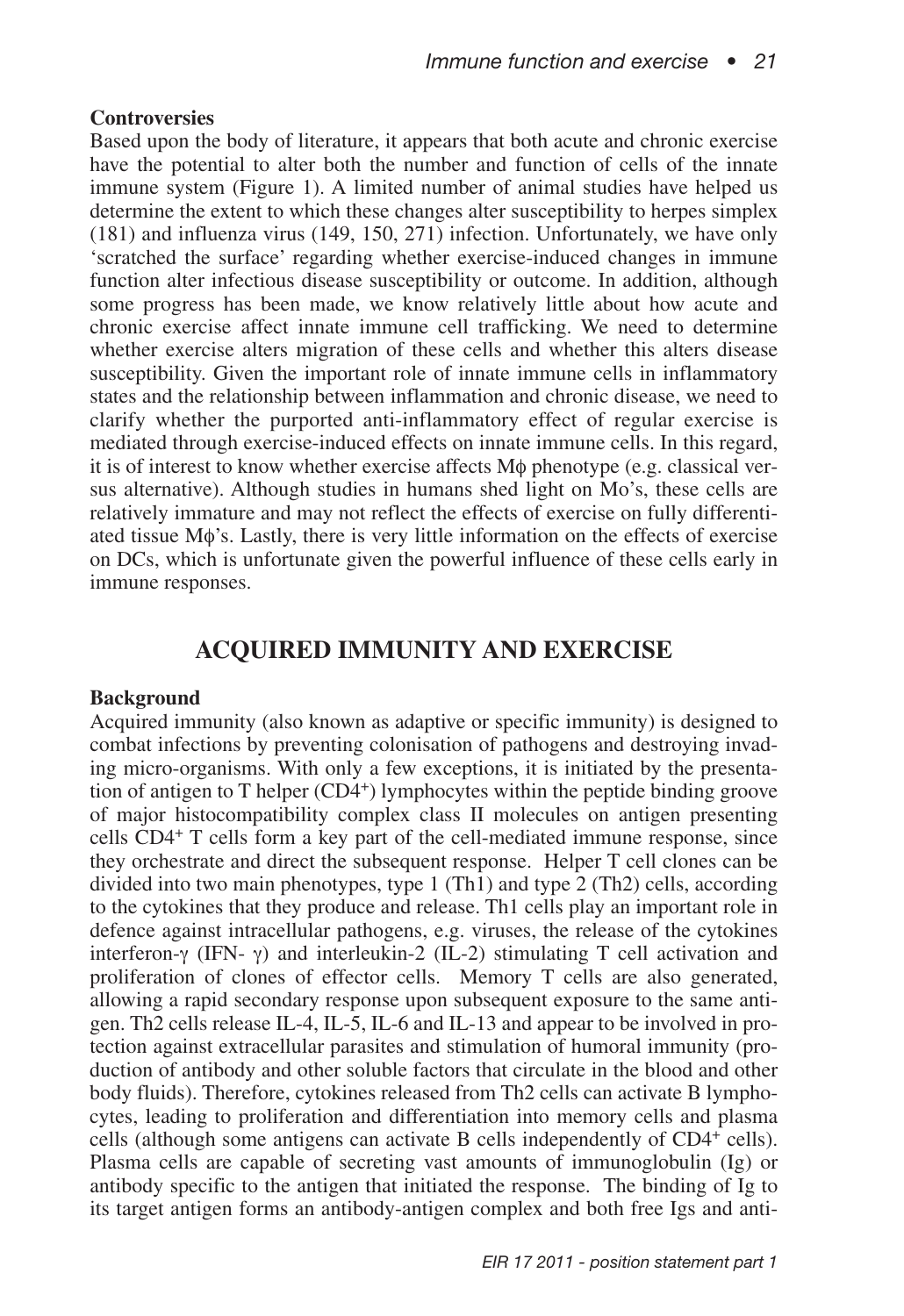#### **Controversies**

Based upon the body of literature, it appears that both acute and chronic exercise have the potential to alter both the number and function of cells of the innate immune system (Figure 1). A limited number of animal studies have helped us determine the extent to which these changes alter susceptibility to herpes simplex (181) and influenza virus (149, 150, 271) infection. Unfortunately, we have only 'scratched the surface' regarding whether exercise-induced changes in immune function alter infectious disease susceptibility or outcome. In addition, although some progress has been made, we know relatively little about how acute and chronic exercise affect innate immune cell trafficking. We need to determine whether exercise alters migration of these cells and whether this alters disease susceptibility. Given the important role of innate immune cells in inflammatory states and the relationship between inflammation and chronic disease, we need to clarify whether the purported anti-inflammatory effect of regular exercise is mediated through exercise-induced effects on innate immune cells. In this regard, it is of interest to know whether exercise affects Mφ phenotype (e.g. classical versus alternative). Although studies in humans shed light on Mo's, these cells are relatively immature and may not reflect the effects of exercise on fully differentiated tissue Mφ's. Lastly, there is very little information on the effects of exercise on DCs, which is unfortunate given the powerful influence of these cells early in immune responses.

## **ACQUIRED IMMUNITY AND EXERCISE**

#### **Background**

Acquired immunity (also known as adaptive or specific immunity) is designed to combat infections by preventing colonisation of pathogens and destroying invading micro-organisms. With only a few exceptions, it is initiated by the presentation of antigen to T helper  $(CD4<sup>+</sup>)$  lymphocytes within the peptide binding groove of major histocompatibility complex class II molecules on antigen presenting cells CD4<sup>+</sup> T cells form a key part of the cell-mediated immune response, since they orchestrate and direct the subsequent response. Helper T cell clones can be divided into two main phenotypes, type 1 (Th1) and type 2 (Th2) cells, according to the cytokines that they produce and release. Th1 cells play an important role in defence against intracellular pathogens, e.g. viruses, the release of the cytokines interferon-γ (IFN- γ) and interleukin-2 (IL-2) stimulating T cell activation and proliferation of clones of effector cells. Memory T cells are also generated, allowing a rapid secondary response upon subsequent exposure to the same antigen. Th2 cells release IL-4, IL-5, IL-6 and IL-13 and appear to be involved in protection against extracellular parasites and stimulation of humoral immunity (production of antibody and other soluble factors that circulate in the blood and other body fluids). Therefore, cytokines released from Th2 cells can activate B lymphocytes, leading to proliferation and differentiation into memory cells and plasma cells (although some antigens can activate B cells independently of  $CD4^+$  cells). Plasma cells are capable of secreting vast amounts of immunoglobulin (Ig) or antibody specific to the antigen that initiated the response. The binding of Ig to its target antigen forms an antibody-antigen complex and both free Igs and anti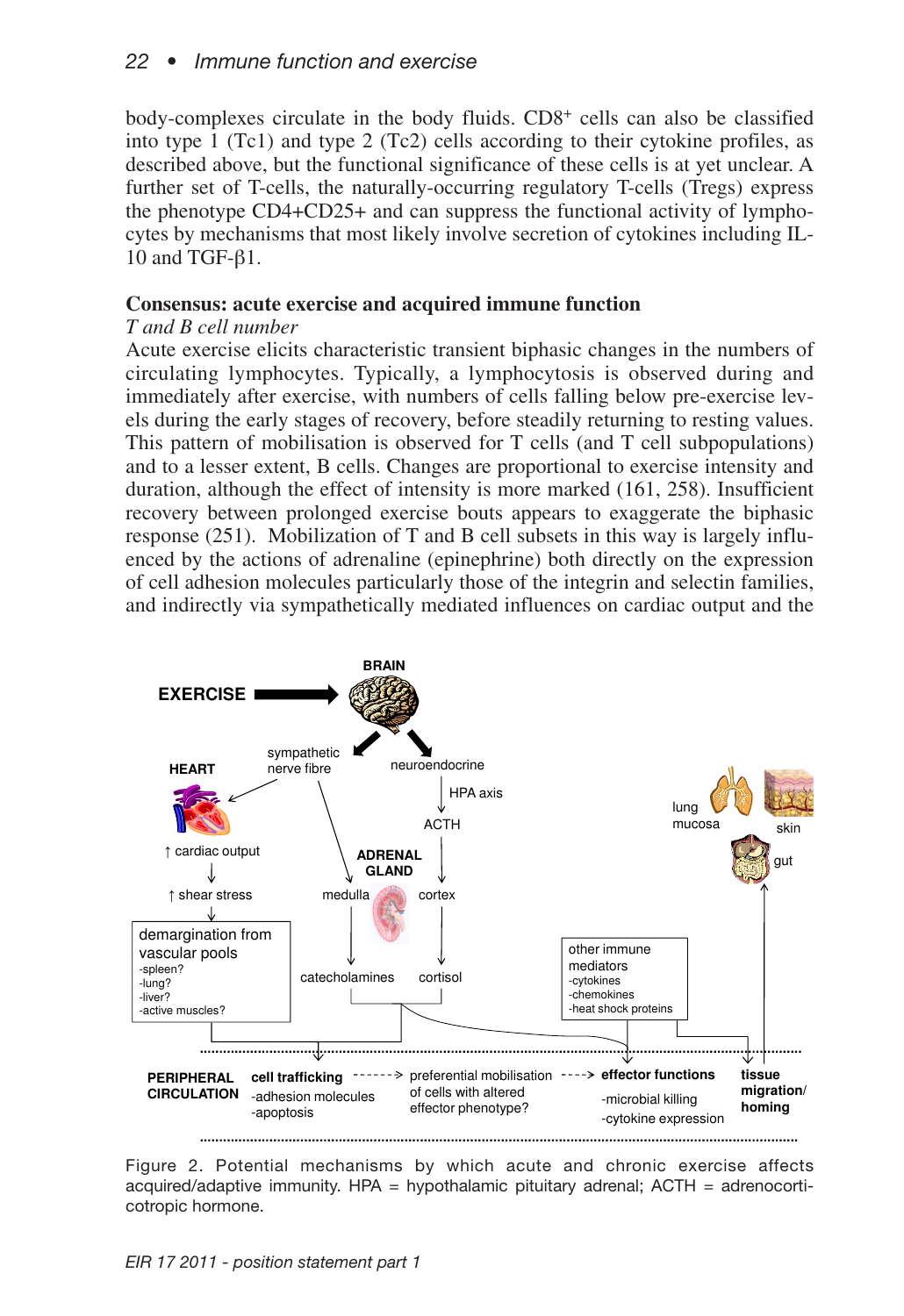body-complexes circulate in the body fluids. CD8+ cells can also be classified into type 1 (Tc1) and type 2 (Tc2) cells according to their cytokine profiles, as described above, but the functional significance of these cells is at yet unclear. A further set of T-cells, the naturally-occurring regulatory T-cells (Tregs) express the phenotype CD4+CD25+ and can suppress the functional activity of lymphocytes by mechanisms that most likely involve secretion of cytokines including IL-10 and TGF-β1.

### **Consensus: acute exercise and acquired immune function**

### *T and B cell number*

Acute exercise elicits characteristic transient biphasic changes in the numbers of circulating lymphocytes. Typically, a lymphocytosis is observed during and immediately after exercise, with numbers of cells falling below pre-exercise levels during the early stages of recovery, before steadily returning to resting values. This pattern of mobilisation is observed for T cells (and T cell subpopulations) and to a lesser extent, B cells. Changes are proportional to exercise intensity and duration, although the effect of intensity is more marked (161, 258). Insufficient recovery between prolonged exercise bouts appears to exaggerate the biphasic response (251). Mobilization of T and B cell subsets in this way is largely influenced by the actions of adrenaline (epinephrine) both directly on the expression of cell adhesion molecules particularly those of the integrin and selectin families, and indirectly via sympathetically mediated influences on cardiac output and the



Figure 2. Potential mechanisms by which acute and chronic exercise affects acquired/adaptive immunity.  $HPA =$  hypothalamic pituitary adrenal;  $ACTH =$  adrenocorticotropic hormone.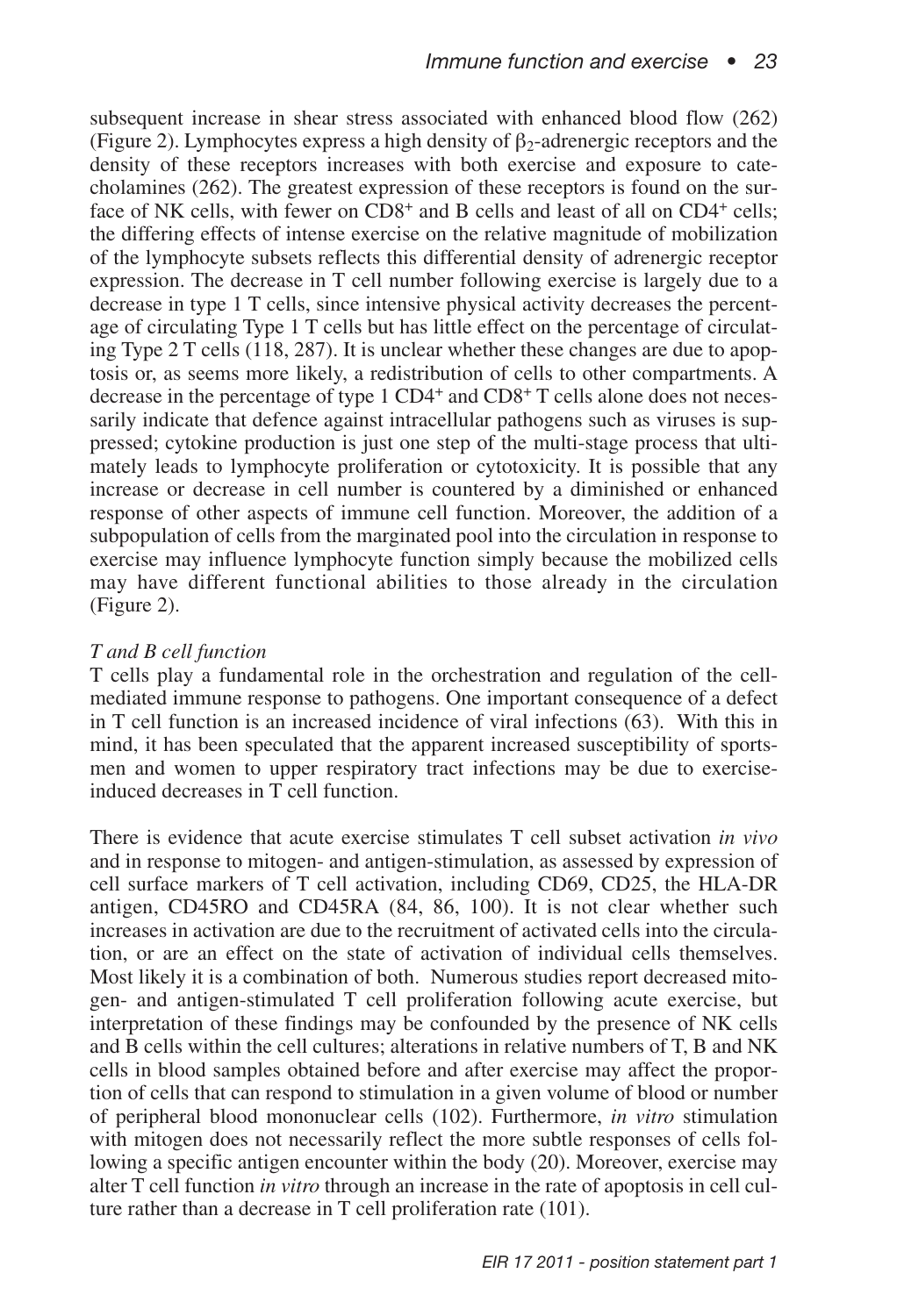subsequent increase in shear stress associated with enhanced blood flow (262) (Figure 2). Lymphocytes express a high density of  $\beta_2$ -adrenergic receptors and the density of these receptors increases with both exercise and exposure to catecholamines (262). The greatest expression of these receptors is found on the surface of NK cells, with fewer on CD8<sup>+</sup> and B cells and least of all on CD4<sup>+</sup> cells; the differing effects of intense exercise on the relative magnitude of mobilization of the lymphocyte subsets reflects this differential density of adrenergic receptor expression. The decrease in T cell number following exercise is largely due to a decrease in type 1 T cells, since intensive physical activity decreases the percentage of circulating Type 1 T cells but has little effect on the percentage of circulating Type 2 T cells (118, 287). It is unclear whether these changes are due to apoptosis or, as seems more likely, a redistribution of cells to other compartments. A decrease in the percentage of type  $1 \text{ CD4}^+$  and  $\text{CD8}^+$  T cells alone does not necessarily indicate that defence against intracellular pathogens such as viruses is suppressed; cytokine production is just one step of the multi-stage process that ultimately leads to lymphocyte proliferation or cytotoxicity. It is possible that any increase or decrease in cell number is countered by a diminished or enhanced response of other aspects of immune cell function. Moreover, the addition of a subpopulation of cells from the marginated pool into the circulation in response to exercise may influence lymphocyte function simply because the mobilized cells may have different functional abilities to those already in the circulation (Figure 2).

### *T and B cell function*

T cells play a fundamental role in the orchestration and regulation of the cellmediated immune response to pathogens. One important consequence of a defect in T cell function is an increased incidence of viral infections (63). With this in mind, it has been speculated that the apparent increased susceptibility of sportsmen and women to upper respiratory tract infections may be due to exerciseinduced decreases in T cell function.

There is evidence that acute exercise stimulates T cell subset activation *in vivo* and in response to mitogen- and antigen-stimulation, as assessed by expression of cell surface markers of T cell activation, including CD69, CD25, the HLA-DR antigen, CD45RO and CD45RA (84, 86, 100). It is not clear whether such increases in activation are due to the recruitment of activated cells into the circulation, or are an effect on the state of activation of individual cells themselves. Most likely it is a combination of both. Numerous studies report decreased mitogen- and antigen-stimulated T cell proliferation following acute exercise, but interpretation of these findings may be confounded by the presence of NK cells and B cells within the cell cultures; alterations in relative numbers of T, B and NK cells in blood samples obtained before and after exercise may affect the proportion of cells that can respond to stimulation in a given volume of blood or number of peripheral blood mononuclear cells (102). Furthermore, *in vitro* stimulation with mitogen does not necessarily reflect the more subtle responses of cells following a specific antigen encounter within the body (20). Moreover, exercise may alter T cell function *in vitro* through an increase in the rate of apoptosis in cell culture rather than a decrease in T cell proliferation rate (101).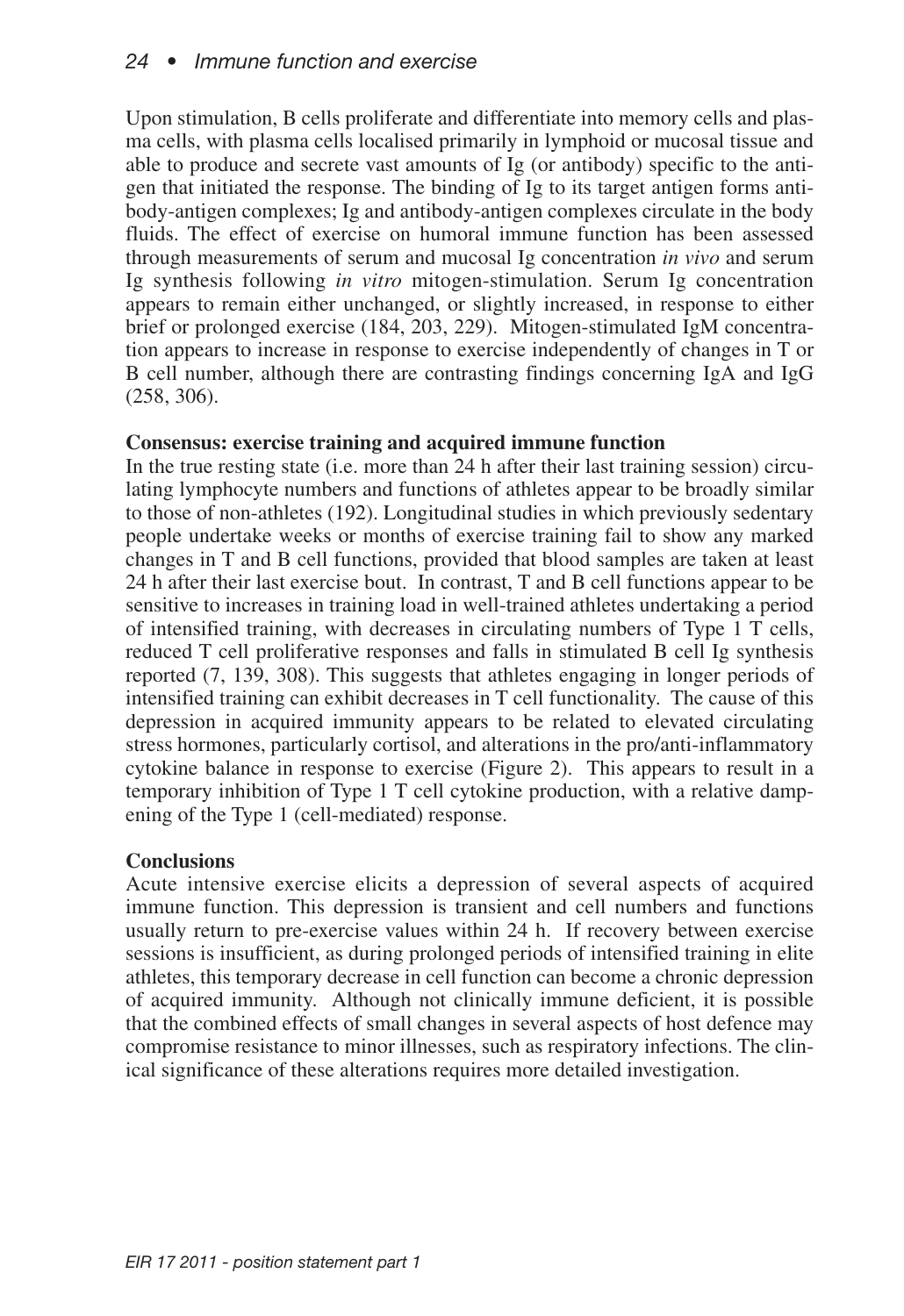Upon stimulation, B cells proliferate and differentiate into memory cells and plasma cells, with plasma cells localised primarily in lymphoid or mucosal tissue and able to produce and secrete vast amounts of Ig (or antibody) specific to the antigen that initiated the response. The binding of Ig to its target antigen forms antibody-antigen complexes; Ig and antibody-antigen complexes circulate in the body fluids. The effect of exercise on humoral immune function has been assessed through measurements of serum and mucosal Ig concentration *in vivo* and serum Ig synthesis following *in vitro* mitogen-stimulation. Serum Ig concentration appears to remain either unchanged, or slightly increased, in response to either brief or prolonged exercise (184, 203, 229). Mitogen-stimulated IgM concentration appears to increase in response to exercise independently of changes in T or B cell number, although there are contrasting findings concerning IgA and IgG (258, 306).

### **Consensus: exercise training and acquired immune function**

In the true resting state (i.e. more than 24 h after their last training session) circulating lymphocyte numbers and functions of athletes appear to be broadly similar to those of non-athletes (192). Longitudinal studies in which previously sedentary people undertake weeks or months of exercise training fail to show any marked changes in T and B cell functions, provided that blood samples are taken at least 24 h after their last exercise bout. In contrast, T and B cell functions appear to be sensitive to increases in training load in well-trained athletes undertaking a period of intensified training, with decreases in circulating numbers of Type 1 T cells, reduced T cell proliferative responses and falls in stimulated B cell Ig synthesis reported (7, 139, 308). This suggests that athletes engaging in longer periods of intensified training can exhibit decreases in T cell functionality. The cause of this depression in acquired immunity appears to be related to elevated circulating stress hormones, particularly cortisol, and alterations in the pro/anti-inflammatory cytokine balance in response to exercise (Figure 2). This appears to result in a temporary inhibition of Type 1 T cell cytokine production, with a relative dampening of the Type 1 (cell-mediated) response.

## **Conclusions**

Acute intensive exercise elicits a depression of several aspects of acquired immune function. This depression is transient and cell numbers and functions usually return to pre-exercise values within 24 h. If recovery between exercise sessions is insufficient, as during prolonged periods of intensified training in elite athletes, this temporary decrease in cell function can become a chronic depression of acquired immunity. Although not clinically immune deficient, it is possible that the combined effects of small changes in several aspects of host defence may compromise resistance to minor illnesses, such as respiratory infections. The clinical significance of these alterations requires more detailed investigation.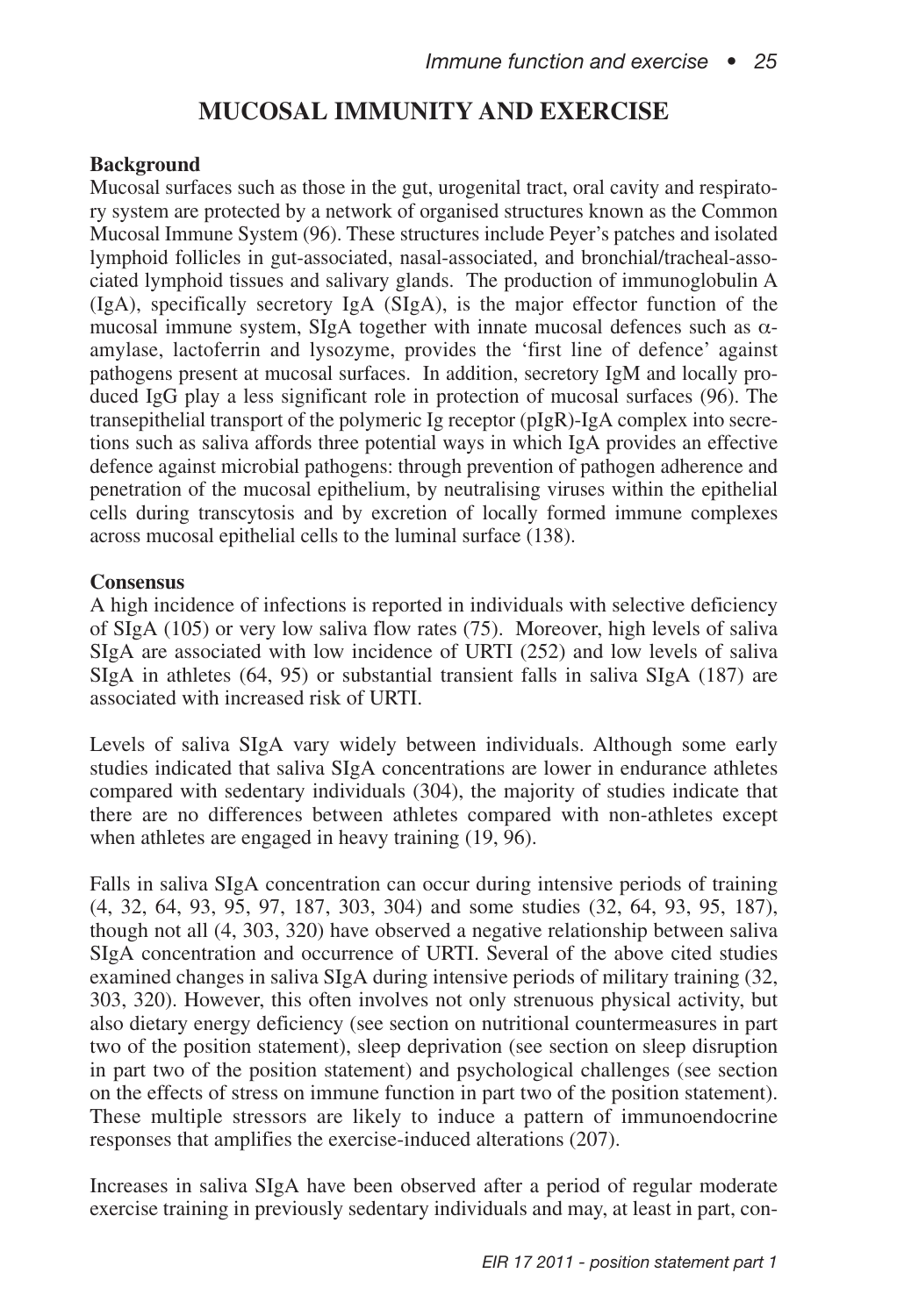## **MUCOSAL IMMUNITY AND EXERCISE**

### **Background**

Mucosal surfaces such as those in the gut, urogenital tract, oral cavity and respiratory system are protected by a network of organised structures known as the Common Mucosal Immune System (96). These structures include Peyer's patches and isolated lymphoid follicles in gut-associated, nasal-associated, and bronchial/tracheal-associated lymphoid tissues and salivary glands. The production of immunoglobulin A (IgA), specifically secretory IgA (SIgA), is the major effector function of the mucosal immune system, SIgA together with innate mucosal defences such as αamylase, lactoferrin and lysozyme, provides the 'first line of defence' against pathogens present at mucosal surfaces. In addition, secretory IgM and locally produced IgG play a less significant role in protection of mucosal surfaces (96). The transepithelial transport of the polymeric Ig receptor (pIgR)-IgA complex into secretions such as saliva affords three potential ways in which IgA provides an effective defence against microbial pathogens: through prevention of pathogen adherence and penetration of the mucosal epithelium, by neutralising viruses within the epithelial cells during transcytosis and by excretion of locally formed immune complexes across mucosal epithelial cells to the luminal surface (138).

### **Consensus**

A high incidence of infections is reported in individuals with selective deficiency of SIgA (105) or very low saliva flow rates (75). Moreover, high levels of saliva SIgA are associated with low incidence of URTI (252) and low levels of saliva SIgA in athletes (64, 95) or substantial transient falls in saliva SIgA (187) are associated with increased risk of URTI.

Levels of saliva SIgA vary widely between individuals. Although some early studies indicated that saliva SIgA concentrations are lower in endurance athletes compared with sedentary individuals (304), the majority of studies indicate that there are no differences between athletes compared with non-athletes except when athletes are engaged in heavy training (19, 96).

Falls in saliva SIgA concentration can occur during intensive periods of training (4, 32, 64, 93, 95, 97, 187, 303, 304) and some studies (32, 64, 93, 95, 187), though not all (4, 303, 320) have observed a negative relationship between saliva SIgA concentration and occurrence of URTI. Several of the above cited studies examined changes in saliva SIgA during intensive periods of military training (32, 303, 320). However, this often involves not only strenuous physical activity, but also dietary energy deficiency (see section on nutritional countermeasures in part two of the position statement), sleep deprivation (see section on sleep disruption in part two of the position statement) and psychological challenges (see section on the effects of stress on immune function in part two of the position statement). These multiple stressors are likely to induce a pattern of immunoendocrine responses that amplifies the exercise-induced alterations (207).

Increases in saliva SIgA have been observed after a period of regular moderate exercise training in previously sedentary individuals and may, at least in part, con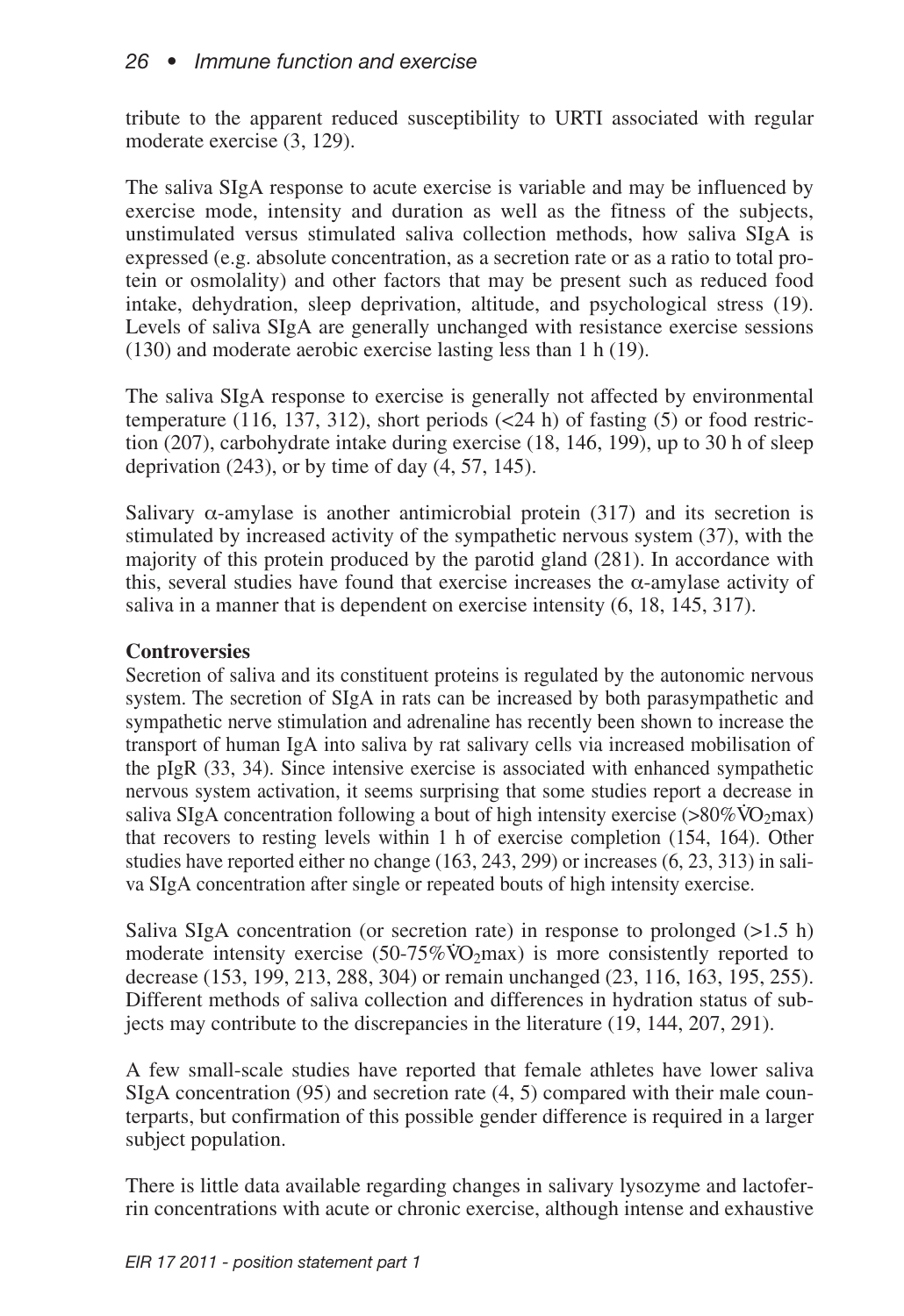tribute to the apparent reduced susceptibility to URTI associated with regular moderate exercise (3, 129).

The saliva SIgA response to acute exercise is variable and may be influenced by exercise mode, intensity and duration as well as the fitness of the subjects, unstimulated versus stimulated saliva collection methods, how saliva SIgA is expressed (e.g. absolute concentration, as a secretion rate or as a ratio to total protein or osmolality) and other factors that may be present such as reduced food intake, dehydration, sleep deprivation, altitude, and psychological stress (19). Levels of saliva SIgA are generally unchanged with resistance exercise sessions (130) and moderate aerobic exercise lasting less than 1 h (19).

The saliva SIgA response to exercise is generally not affected by environmental temperature (116, 137, 312), short periods  $(\leq 24 \text{ h})$  of fasting (5) or food restriction (207), carbohydrate intake during exercise (18, 146, 199), up to 30 h of sleep deprivation  $(243)$ , or by time of day  $(4, 57, 145)$ .

Salivary  $\alpha$ -amylase is another antimicrobial protein (317) and its secretion is stimulated by increased activity of the sympathetic nervous system (37), with the majority of this protein produced by the parotid gland (281). In accordance with this, several studies have found that exercise increases the  $\alpha$ -amylase activity of saliva in a manner that is dependent on exercise intensity (6, 18, 145, 317).

## **Controversies**

Secretion of saliva and its constituent proteins is regulated by the autonomic nervous system. The secretion of SIgA in rats can be increased by both parasympathetic and sympathetic nerve stimulation and adrenaline has recently been shown to increase the transport of human IgA into saliva by rat salivary cells via increased mobilisation of the pIgR (33, 34). Since intensive exercise is associated with enhanced sympathetic nervous system activation, it seems surprising that some studies report a decrease in saliva SIgA concentration following a bout of high intensity exercise (>80% $\rm \ddot{V}O_2max$ ) that recovers to resting levels within 1 h of exercise completion (154, 164). Other studies have reported either no change (163, 243, 299) or increases (6, 23, 313) in saliva SIgA concentration after single or repeated bouts of high intensity exercise.

Saliva SIgA concentration (or secretion rate) in response to prolonged  $(>1.5 \text{ h})$ moderate intensity exercise  $(50-75\% \text{VO}_2 \text{max})$  is more consistently reported to decrease (153, 199, 213, 288, 304) or remain unchanged (23, 116, 163, 195, 255). Different methods of saliva collection and differences in hydration status of subjects may contribute to the discrepancies in the literature (19, 144, 207, 291).

A few small-scale studies have reported that female athletes have lower saliva SIgA concentration (95) and secretion rate (4, 5) compared with their male counterparts, but confirmation of this possible gender difference is required in a larger subject population.

There is little data available regarding changes in salivary lysozyme and lactoferrin concentrations with acute or chronic exercise, although intense and exhaustive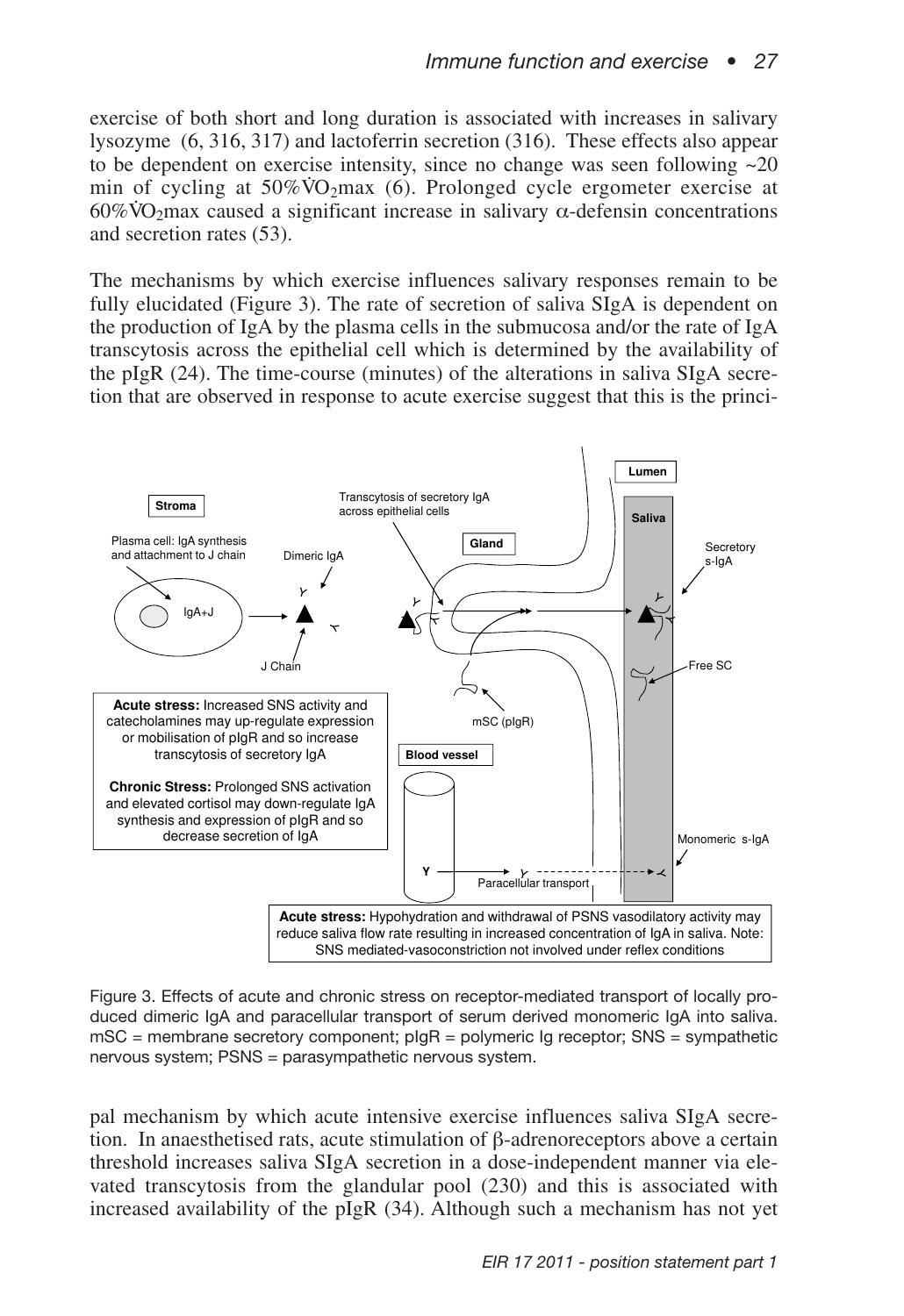exercise of both short and long duration is associated with increases in salivary lysozyme (6, 316, 317) and lactoferrin secretion (316). These effects also appear to be dependent on exercise intensity, since no change was seen following  $\sim 20$ to be dependent on exercise intensity, since no change was seen following  $\approx$  20 min of cycling at 50%VO<sub>2</sub>max (6). Prolonged cycle ergometer exercise at  $60\%$ VO<sub>2</sub>max caused a significant increase in salivary  $\alpha$ -defensin concentrations and secretion rates (53).

The mechanisms by which exercise influences salivary responses remain to be fully elucidated (Figure 3). The rate of secretion of saliva SIgA is dependent on the production of IgA by the plasma cells in the submucosa and/or the rate of IgA transcytosis across the epithelial cell which is determined by the availability of the pIgR (24). The time-course (minutes) of the alterations in saliva SIgA secretion that are observed in response to acute exercise suggest that this is the princi-



Figure 3. Effects of acute and chronic stress on receptor-mediated transport of locally produced dimeric IgA and paracellular transport of serum derived monomeric IgA into saliva.  $mSC$  = membrane secretory component;  $pIqR$  = polymeric Ig receptor; SNS = sympathetic nervous system; PSNS = parasympathetic nervous system.

pal mechanism by which acute intensive exercise influences saliva SIgA secretion. In anaesthetised rats, acute stimulation of β-adrenoreceptors above a certain threshold increases saliva SIgA secretion in a dose-independent manner via elevated transcytosis from the glandular pool (230) and this is associated with increased availability of the  $pIgR$  (34). Although such a mechanism has not yet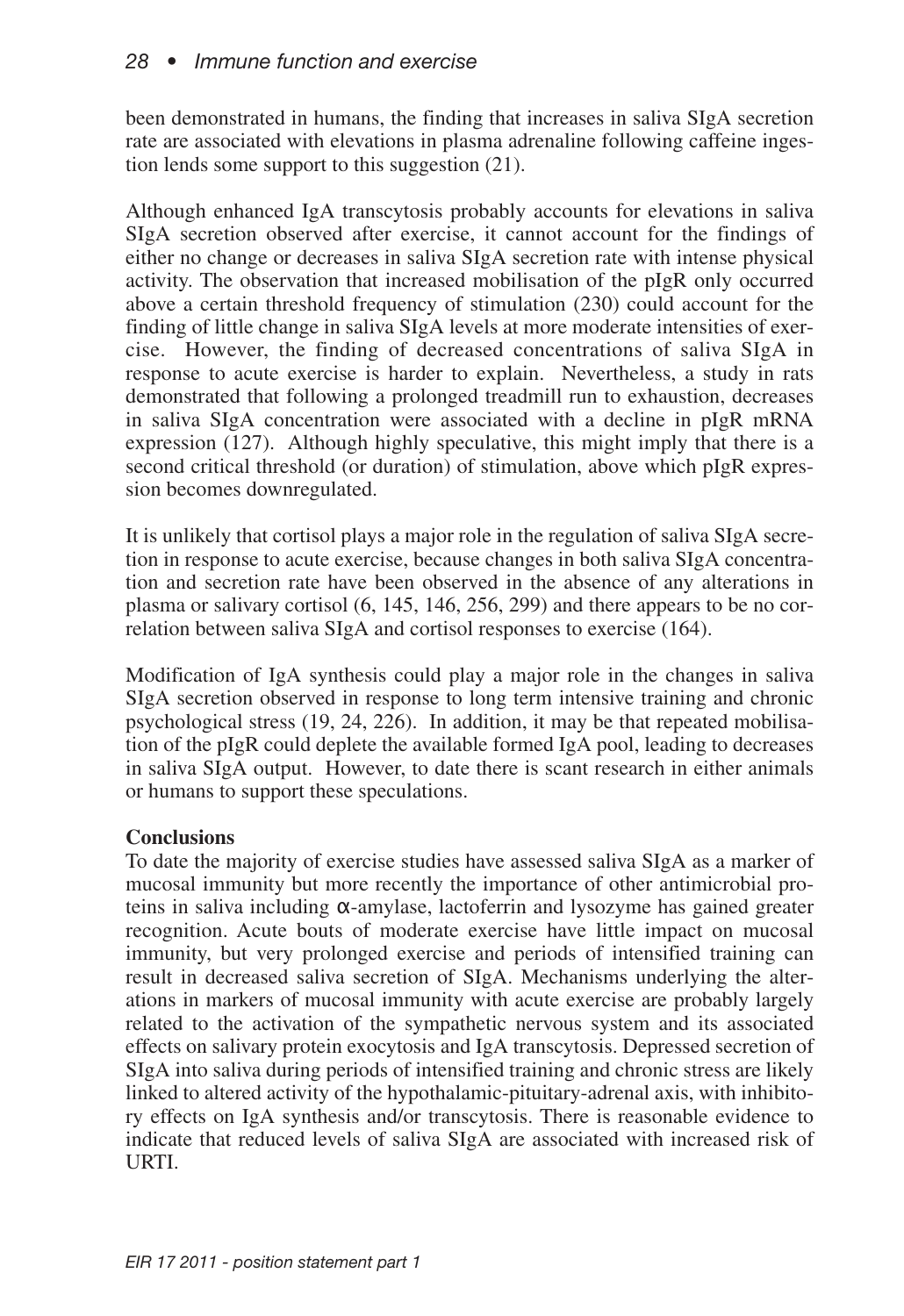been demonstrated in humans, the finding that increases in saliva SIgA secretion rate are associated with elevations in plasma adrenaline following caffeine ingestion lends some support to this suggestion (21).

Although enhanced IgA transcytosis probably accounts for elevations in saliva SIgA secretion observed after exercise, it cannot account for the findings of either no change or decreases in saliva SIgA secretion rate with intense physical activity. The observation that increased mobilisation of the pIgR only occurred above a certain threshold frequency of stimulation (230) could account for the finding of little change in saliva SIgA levels at more moderate intensities of exercise. However, the finding of decreased concentrations of saliva SIgA in response to acute exercise is harder to explain. Nevertheless, a study in rats demonstrated that following a prolonged treadmill run to exhaustion, decreases in saliva SIgA concentration were associated with a decline in pIgR mRNA expression (127). Although highly speculative, this might imply that there is a second critical threshold (or duration) of stimulation, above which pIgR expression becomes downregulated.

It is unlikely that cortisol plays a major role in the regulation of saliva SIgA secretion in response to acute exercise, because changes in both saliva SIgA concentration and secretion rate have been observed in the absence of any alterations in plasma or salivary cortisol (6, 145, 146, 256, 299) and there appears to be no correlation between saliva SIgA and cortisol responses to exercise (164).

Modification of IgA synthesis could play a major role in the changes in saliva SIgA secretion observed in response to long term intensive training and chronic psychological stress (19, 24, 226). In addition, it may be that repeated mobilisation of the pIgR could deplete the available formed IgA pool, leading to decreases in saliva SIgA output. However, to date there is scant research in either animals or humans to support these speculations.

## **Conclusions**

To date the majority of exercise studies have assessed saliva SIgA as a marker of mucosal immunity but more recently the importance of other antimicrobial proteins in saliva including α-amylase, lactoferrin and lysozyme has gained greater recognition. Acute bouts of moderate exercise have little impact on mucosal immunity, but very prolonged exercise and periods of intensified training can result in decreased saliva secretion of SIgA. Mechanisms underlying the alterations in markers of mucosal immunity with acute exercise are probably largely related to the activation of the sympathetic nervous system and its associated effects on salivary protein exocytosis and IgA transcytosis. Depressed secretion of SIgA into saliva during periods of intensified training and chronic stress are likely linked to altered activity of the hypothalamic-pituitary-adrenal axis, with inhibitory effects on IgA synthesis and/or transcytosis. There is reasonable evidence to indicate that reduced levels of saliva SIgA are associated with increased risk of URTI.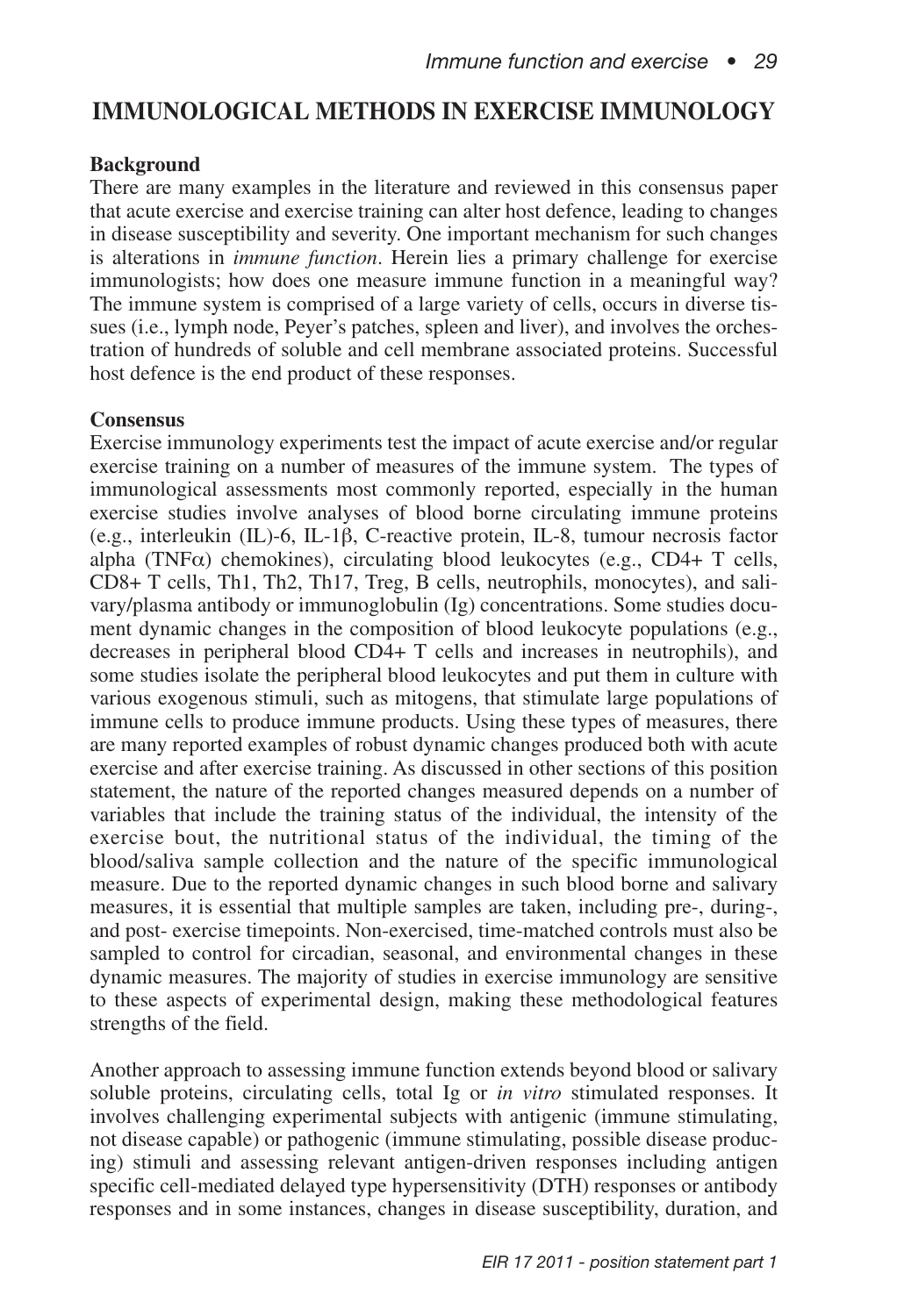## **IMMUNOLOGICAL METHODS IN EXERCISE IMMUNOLOGY**

### **Background**

There are many examples in the literature and reviewed in this consensus paper that acute exercise and exercise training can alter host defence, leading to changes in disease susceptibility and severity. One important mechanism for such changes is alterations in *immune function*. Herein lies a primary challenge for exercise immunologists; how does one measure immune function in a meaningful way? The immune system is comprised of a large variety of cells, occurs in diverse tissues (i.e., lymph node, Peyer's patches, spleen and liver), and involves the orchestration of hundreds of soluble and cell membrane associated proteins. Successful host defence is the end product of these responses.

### **Consensus**

Exercise immunology experiments test the impact of acute exercise and/or regular exercise training on a number of measures of the immune system. The types of immunological assessments most commonly reported, especially in the human exercise studies involve analyses of blood borne circulating immune proteins (e.g., interleukin (IL)-6, IL-1β, C-reactive protein, IL-8, tumour necrosis factor alpha (TNF $\alpha$ ) chemokines), circulating blood leukocytes (e.g., CD4+ T cells, CD8+ T cells, Th1, Th2, Th17, Treg, B cells, neutrophils, monocytes), and salivary/plasma antibody or immunoglobulin (Ig) concentrations. Some studies document dynamic changes in the composition of blood leukocyte populations (e.g., decreases in peripheral blood CD4+ T cells and increases in neutrophils), and some studies isolate the peripheral blood leukocytes and put them in culture with various exogenous stimuli, such as mitogens, that stimulate large populations of immune cells to produce immune products. Using these types of measures, there are many reported examples of robust dynamic changes produced both with acute exercise and after exercise training. As discussed in other sections of this position statement, the nature of the reported changes measured depends on a number of variables that include the training status of the individual, the intensity of the exercise bout, the nutritional status of the individual, the timing of the blood/saliva sample collection and the nature of the specific immunological measure. Due to the reported dynamic changes in such blood borne and salivary measures, it is essential that multiple samples are taken, including pre-, during-, and post- exercise timepoints. Non-exercised, time-matched controls must also be sampled to control for circadian, seasonal, and environmental changes in these dynamic measures. The majority of studies in exercise immunology are sensitive to these aspects of experimental design, making these methodological features strengths of the field.

Another approach to assessing immune function extends beyond blood or salivary soluble proteins, circulating cells, total Ig or *in vitro* stimulated responses. It involves challenging experimental subjects with antigenic (immune stimulating, not disease capable) or pathogenic (immune stimulating, possible disease producing) stimuli and assessing relevant antigen-driven responses including antigen specific cell-mediated delayed type hypersensitivity (DTH) responses or antibody responses and in some instances, changes in disease susceptibility, duration, and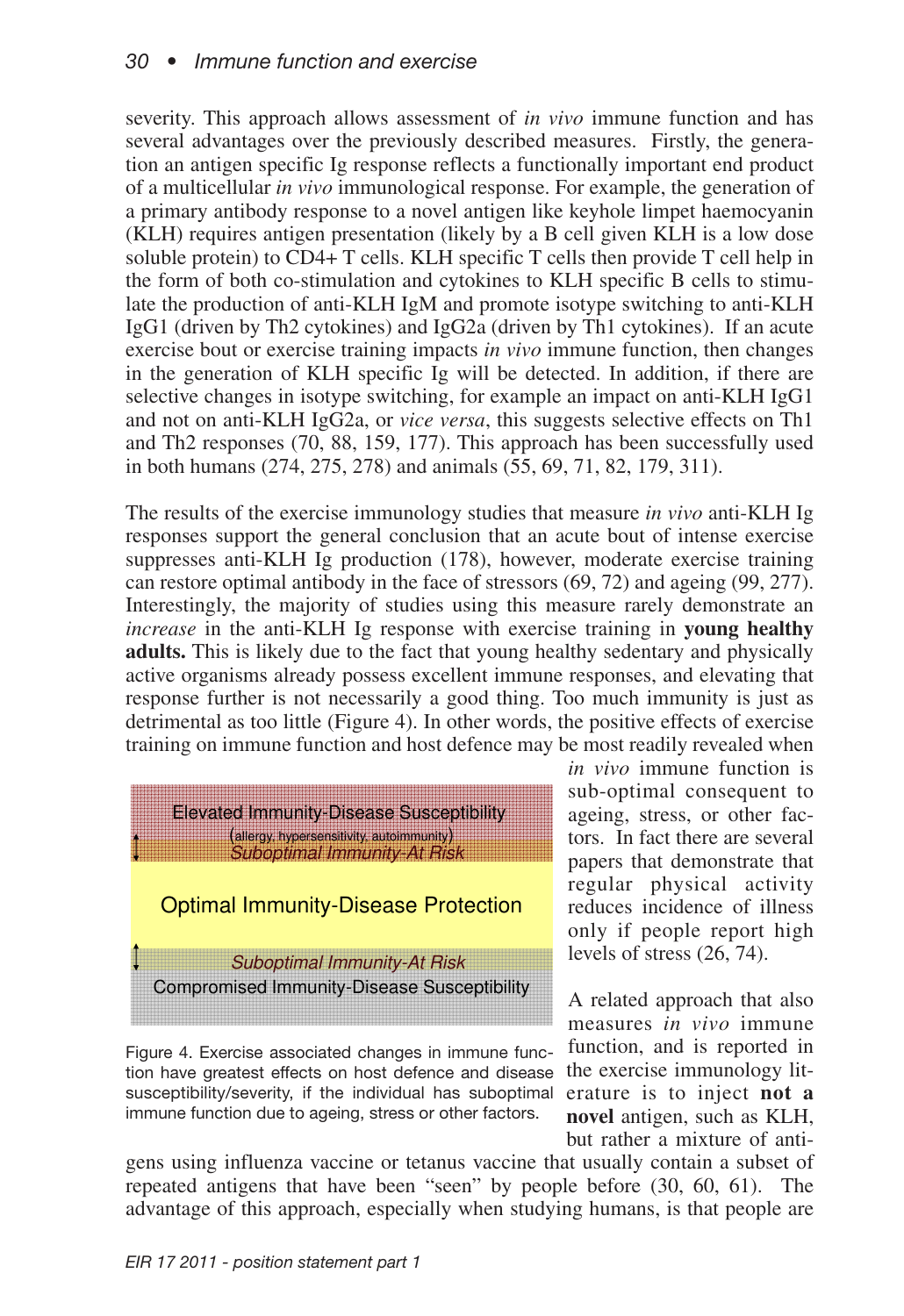severity. This approach allows assessment of *in vivo* immune function and has several advantages over the previously described measures. Firstly, the generation an antigen specific Ig response reflects a functionally important end product of a multicellular *in vivo* immunological response. For example, the generation of a primary antibody response to a novel antigen like keyhole limpet haemocyanin (KLH) requires antigen presentation (likely by a B cell given KLH is a low dose soluble protein) to CD4+ T cells. KLH specific T cells then provide T cell help in the form of both co-stimulation and cytokines to KLH specific B cells to stimulate the production of anti-KLH IgM and promote isotype switching to anti-KLH IgG1 (driven by Th2 cytokines) and IgG2a (driven by Th1 cytokines). If an acute exercise bout or exercise training impacts *in vivo* immune function, then changes in the generation of KLH specific Ig will be detected. In addition, if there are selective changes in isotype switching, for example an impact on anti-KLH IgG1 and not on anti-KLH IgG2a, or *vice versa*, this suggests selective effects on Th1 and Th2 responses (70, 88, 159, 177). This approach has been successfully used in both humans (274, 275, 278) and animals (55, 69, 71, 82, 179, 311).

The results of the exercise immunology studies that measure *in vivo* anti-KLH Ig responses support the general conclusion that an acute bout of intense exercise suppresses anti-KLH Ig production (178), however, moderate exercise training can restore optimal antibody in the face of stressors (69, 72) and ageing (99, 277). Interestingly, the majority of studies using this measure rarely demonstrate an *increase* in the anti-KLH Ig response with exercise training in **young healthy adults.** This is likely due to the fact that young healthy sedentary and physically active organisms already possess excellent immune responses, and elevating that response further is not necessarily a good thing. Too much immunity is just as detrimental as too little (Figure 4). In other words, the positive effects of exercise training on immune function and host defence may be most readily revealed when



Figure 4. Exercise associated changes in immune function have greatest effects on host defence and disease susceptibility/severity, if the individual has suboptimal immune function due to ageing, stress or other factors.

*in vivo* immune function is sub-optimal consequent to ageing, stress, or other factors. In fact there are several papers that demonstrate that regular physical activity reduces incidence of illness only if people report high levels of stress (26, 74).

A related approach that also measures *in vivo* immune function, and is reported in the exercise immunology literature is to inject **not a novel** antigen, such as KLH, but rather a mixture of anti-

gens using influenza vaccine or tetanus vaccine that usually contain a subset of repeated antigens that have been "seen" by people before (30, 60, 61). The advantage of this approach, especially when studying humans, is that people are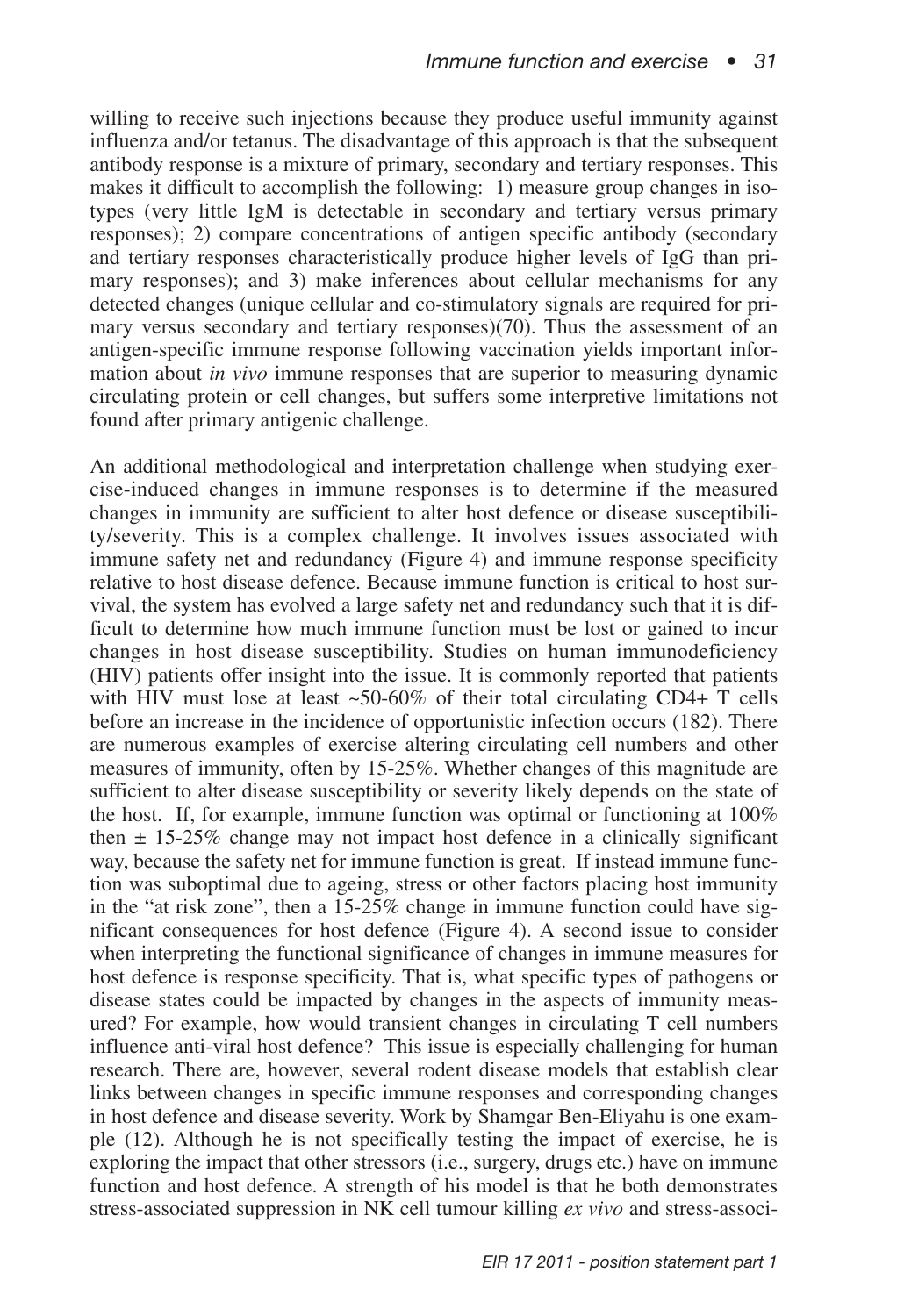willing to receive such injections because they produce useful immunity against influenza and/or tetanus. The disadvantage of this approach is that the subsequent antibody response is a mixture of primary, secondary and tertiary responses. This makes it difficult to accomplish the following: 1) measure group changes in isotypes (very little IgM is detectable in secondary and tertiary versus primary responses); 2) compare concentrations of antigen specific antibody (secondary and tertiary responses characteristically produce higher levels of IgG than primary responses); and 3) make inferences about cellular mechanisms for any detected changes (unique cellular and co-stimulatory signals are required for primary versus secondary and tertiary responses)(70). Thus the assessment of an antigen-specific immune response following vaccination yields important information about *in vivo* immune responses that are superior to measuring dynamic circulating protein or cell changes, but suffers some interpretive limitations not found after primary antigenic challenge.

An additional methodological and interpretation challenge when studying exercise-induced changes in immune responses is to determine if the measured changes in immunity are sufficient to alter host defence or disease susceptibility/severity. This is a complex challenge. It involves issues associated with immune safety net and redundancy (Figure 4) and immune response specificity relative to host disease defence. Because immune function is critical to host survival, the system has evolved a large safety net and redundancy such that it is difficult to determine how much immune function must be lost or gained to incur changes in host disease susceptibility. Studies on human immunodeficiency (HIV) patients offer insight into the issue. It is commonly reported that patients with HIV must lose at least  $\sim 50\text{-}60\%$  of their total circulating CD4+ T cells before an increase in the incidence of opportunistic infection occurs (182). There are numerous examples of exercise altering circulating cell numbers and other measures of immunity, often by 15-25%. Whether changes of this magnitude are sufficient to alter disease susceptibility or severity likely depends on the state of the host. If, for example, immune function was optimal or functioning at 100% then  $\pm$  15-25% change may not impact host defence in a clinically significant way, because the safety net for immune function is great. If instead immune function was suboptimal due to ageing, stress or other factors placing host immunity in the "at risk zone", then a 15-25% change in immune function could have significant consequences for host defence (Figure 4). A second issue to consider when interpreting the functional significance of changes in immune measures for host defence is response specificity. That is, what specific types of pathogens or disease states could be impacted by changes in the aspects of immunity measured? For example, how would transient changes in circulating T cell numbers influence anti-viral host defence? This issue is especially challenging for human research. There are, however, several rodent disease models that establish clear links between changes in specific immune responses and corresponding changes in host defence and disease severity. Work by Shamgar Ben-Eliyahu is one example (12). Although he is not specifically testing the impact of exercise, he is exploring the impact that other stressors (i.e., surgery, drugs etc.) have on immune function and host defence. A strength of his model is that he both demonstrates stress-associated suppression in NK cell tumour killing *ex vivo* and stress-associ-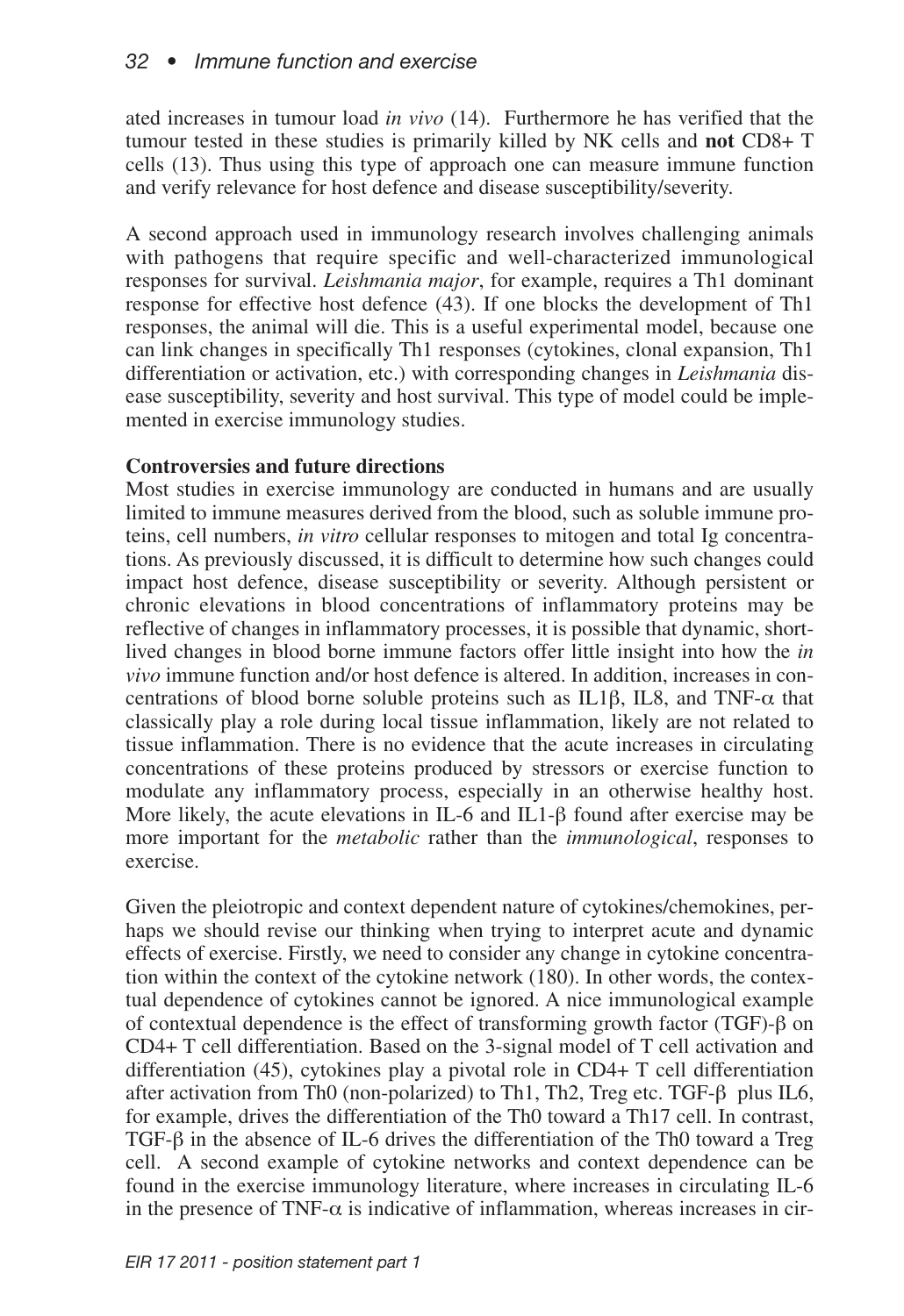ated increases in tumour load *in vivo* (14). Furthermore he has verified that the tumour tested in these studies is primarily killed by NK cells and **not** CD8+ T cells (13). Thus using this type of approach one can measure immune function and verify relevance for host defence and disease susceptibility/severity.

A second approach used in immunology research involves challenging animals with pathogens that require specific and well-characterized immunological responses for survival. *Leishmania major*, for example, requires a Th1 dominant response for effective host defence (43). If one blocks the development of Th1 responses, the animal will die. This is a useful experimental model, because one can link changes in specifically Th1 responses (cytokines, clonal expansion, Th1 differentiation or activation, etc.) with corresponding changes in *Leishmania* disease susceptibility, severity and host survival. This type of model could be implemented in exercise immunology studies.

## **Controversies and future directions**

Most studies in exercise immunology are conducted in humans and are usually limited to immune measures derived from the blood, such as soluble immune proteins, cell numbers, *in vitro* cellular responses to mitogen and total Ig concentrations. As previously discussed, it is difficult to determine how such changes could impact host defence, disease susceptibility or severity. Although persistent or chronic elevations in blood concentrations of inflammatory proteins may be reflective of changes in inflammatory processes, it is possible that dynamic, shortlived changes in blood borne immune factors offer little insight into how the *in vivo* immune function and/or host defence is altered. In addition, increases in concentrations of blood borne soluble proteins such as IL1β, IL8, and TNF- $\alpha$  that classically play a role during local tissue inflammation, likely are not related to tissue inflammation. There is no evidence that the acute increases in circulating concentrations of these proteins produced by stressors or exercise function to modulate any inflammatory process, especially in an otherwise healthy host. More likely, the acute elevations in IL-6 and IL1-β found after exercise may be more important for the *metabolic* rather than the *immunological*, responses to exercise.

Given the pleiotropic and context dependent nature of cytokines/chemokines, perhaps we should revise our thinking when trying to interpret acute and dynamic effects of exercise. Firstly, we need to consider any change in cytokine concentration within the context of the cytokine network (180). In other words, the contextual dependence of cytokines cannot be ignored. A nice immunological example of contextual dependence is the effect of transforming growth factor (TGF)- $\beta$  on CD4+ T cell differentiation. Based on the 3-signal model of T cell activation and differentiation (45), cytokines play a pivotal role in CD4+ T cell differentiation after activation from Th0 (non-polarized) to Th1, Th2, Treg etc. TGF-β plus IL6, for example, drives the differentiation of the Th0 toward a Th17 cell. In contrast, TGF- $\beta$  in the absence of IL-6 drives the differentiation of the Th0 toward a Treg cell. A second example of cytokine networks and context dependence can be found in the exercise immunology literature, where increases in circulating IL-6 in the presence of TNF- $\alpha$  is indicative of inflammation, whereas increases in cir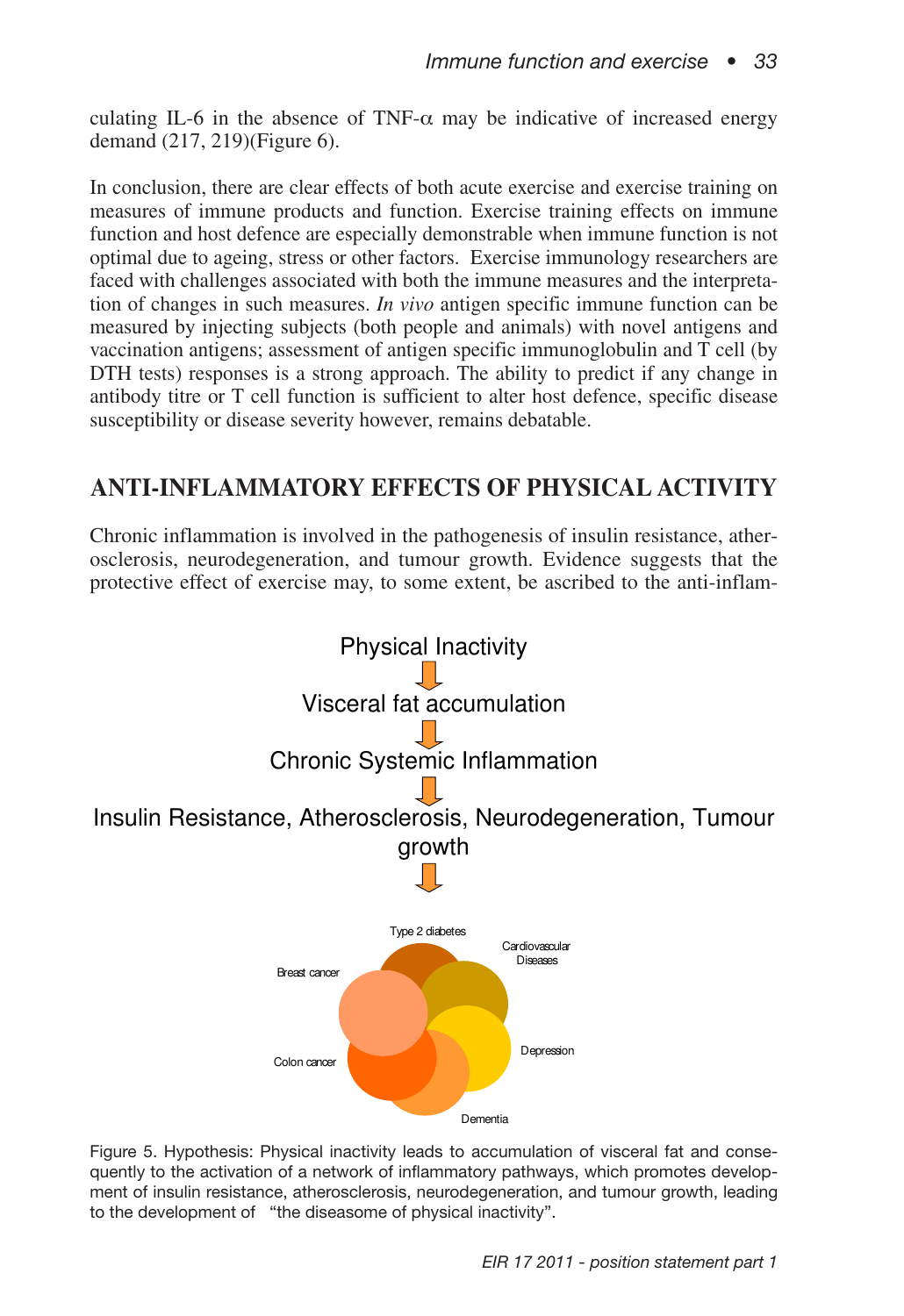culating IL-6 in the absence of TNF- $\alpha$  may be indicative of increased energy demand (217, 219)(Figure 6).

In conclusion, there are clear effects of both acute exercise and exercise training on measures of immune products and function. Exercise training effects on immune function and host defence are especially demonstrable when immune function is not optimal due to ageing, stress or other factors. Exercise immunology researchers are faced with challenges associated with both the immune measures and the interpretation of changes in such measures. *In vivo* antigen specific immune function can be measured by injecting subjects (both people and animals) with novel antigens and vaccination antigens; assessment of antigen specific immunoglobulin and T cell (by DTH tests) responses is a strong approach. The ability to predict if any change in antibody titre or T cell function is sufficient to alter host defence, specific disease susceptibility or disease severity however, remains debatable.

## **ANTI-INFLAMMATORY EFFECTS OF PHYSICAL ACTIVITY**

Chronic inflammation is involved in the pathogenesis of insulin resistance, atherosclerosis, neurodegeneration, and tumour growth. Evidence suggests that the protective effect of exercise may, to some extent, be ascribed to the anti-inflam-



Figure 5. Hypothesis: Physical inactivity leads to accumulation of visceral fat and consequently to the activation of a network of inflammatory pathways, which promotes development of insulin resistance, atherosclerosis, neurodegeneration, and tumour growth, leading to the development of "the diseasome of physical inactivity".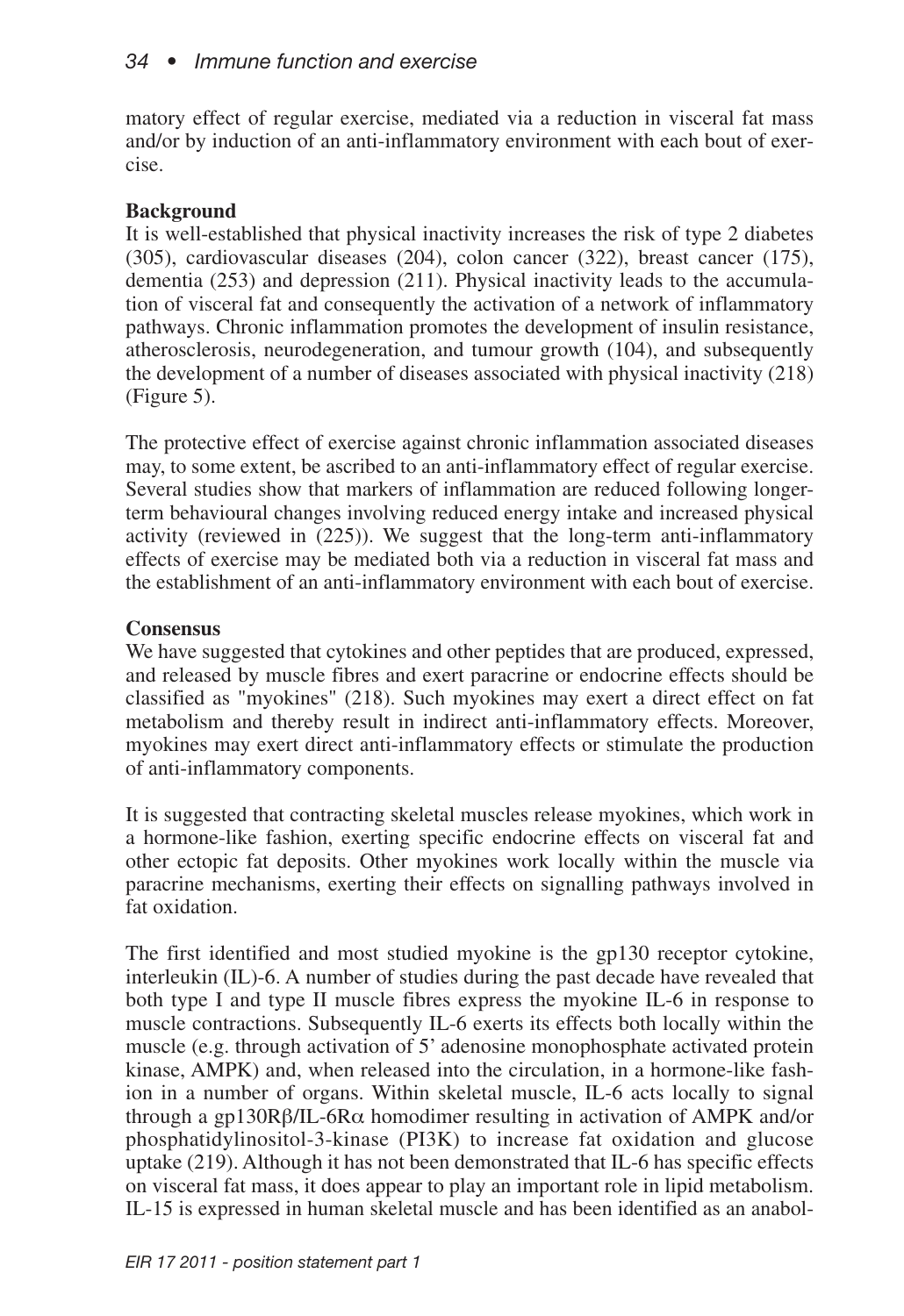matory effect of regular exercise, mediated via a reduction in visceral fat mass and/or by induction of an anti-inflammatory environment with each bout of exercise.

## **Background**

It is well-established that physical inactivity increases the risk of type 2 diabetes (305), cardiovascular diseases (204), colon cancer (322), breast cancer (175), dementia (253) and depression (211). Physical inactivity leads to the accumulation of visceral fat and consequently the activation of a network of inflammatory pathways. Chronic inflammation promotes the development of insulin resistance, atherosclerosis, neurodegeneration, and tumour growth (104), and subsequently the development of a number of diseases associated with physical inactivity (218) (Figure 5).

The protective effect of exercise against chronic inflammation associated diseases may, to some extent, be ascribed to an anti-inflammatory effect of regular exercise. Several studies show that markers of inflammation are reduced following longerterm behavioural changes involving reduced energy intake and increased physical activity (reviewed in (225)). We suggest that the long-term anti-inflammatory effects of exercise may be mediated both via a reduction in visceral fat mass and the establishment of an anti-inflammatory environment with each bout of exercise.

## **Consensus**

We have suggested that cytokines and other peptides that are produced, expressed, and released by muscle fibres and exert paracrine or endocrine effects should be classified as "myokines" (218). Such myokines may exert a direct effect on fat metabolism and thereby result in indirect anti-inflammatory effects. Moreover, myokines may exert direct anti-inflammatory effects or stimulate the production of anti-inflammatory components.

It is suggested that contracting skeletal muscles release myokines, which work in a hormone-like fashion, exerting specific endocrine effects on visceral fat and other ectopic fat deposits. Other myokines work locally within the muscle via paracrine mechanisms, exerting their effects on signalling pathways involved in fat oxidation.

The first identified and most studied myokine is the gp130 receptor cytokine, interleukin (IL)-6. A number of studies during the past decade have revealed that both type I and type II muscle fibres express the myokine IL-6 in response to muscle contractions. Subsequently IL-6 exerts its effects both locally within the muscle (e.g. through activation of 5' adenosine monophosphate activated protein kinase, AMPK) and, when released into the circulation, in a hormone-like fashion in a number of organs. Within skeletal muscle, IL-6 acts locally to signal through a gp130Rβ/IL-6Rα homodimer resulting in activation of AMPK and/or phosphatidylinositol-3-kinase (PI3K) to increase fat oxidation and glucose uptake (219). Although it has not been demonstrated that IL-6 has specific effects on visceral fat mass, it does appear to play an important role in lipid metabolism. IL-15 is expressed in human skeletal muscle and has been identified as an anabol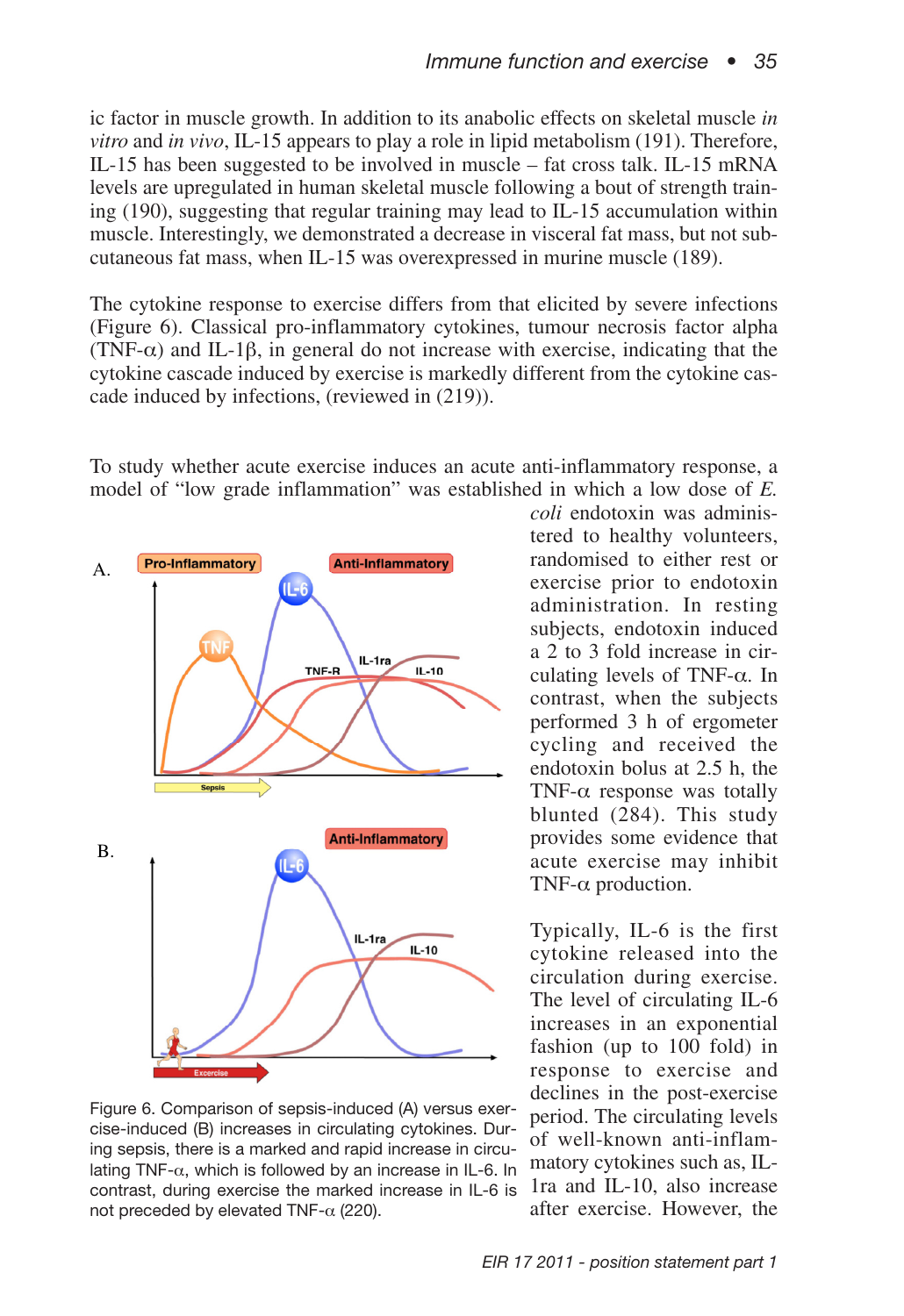ic factor in muscle growth. In addition to its anabolic effects on skeletal muscle *in vitro* and *in vivo*, IL-15 appears to play a role in lipid metabolism (191). Therefore, IL-15 has been suggested to be involved in muscle – fat cross talk. IL-15 mRNA levels are upregulated in human skeletal muscle following a bout of strength training (190), suggesting that regular training may lead to IL-15 accumulation within muscle. Interestingly, we demonstrated a decrease in visceral fat mass, but not subcutaneous fat mass, when IL-15 was overexpressed in murine muscle (189).

The cytokine response to exercise differs from that elicited by severe infections (Figure 6). Classical pro-inflammatory cytokines, tumour necrosis factor alpha (TNF- $\alpha$ ) and IL-1 $\beta$ , in general do not increase with exercise, indicating that the cytokine cascade induced by exercise is markedly different from the cytokine cascade induced by infections, (reviewed in (219)).

To study whether acute exercise induces an acute anti-inflammatory response, a model of "low grade inflammation" was established in which a low dose of *E.*



Figure 6. Comparison of sepsis-induced (A) versus exercise-induced (B) increases in circulating cytokines. During sepsis, there is a marked and rapid increase in circulating TNF- $\alpha$ , which is followed by an increase in IL-6. In contrast, during exercise the marked increase in IL-6 is not preceded by elevated TNF- $\alpha$  (220).

*coli* endotoxin was administered to healthy volunteers, randomised to either rest or exercise prior to endotoxin administration. In resting subjects, endotoxin induced a 2 to 3 fold increase in circulating levels of TNF-α. In contrast, when the subjects performed 3 h of ergometer cycling and received the endotoxin bolus at 2.5 h, the TNF- $\alpha$  response was totally blunted (284). This study provides some evidence that acute exercise may inhibit TNF- $\alpha$  production.

Typically, IL-6 is the first cytokine released into the circulation during exercise. The level of circulating IL-6 increases in an exponential fashion (up to 100 fold) in response to exercise and declines in the post-exercise period. The circulating levels of well-known anti-inflammatory cytokines such as, IL-1ra and IL-10, also increase after exercise. However, the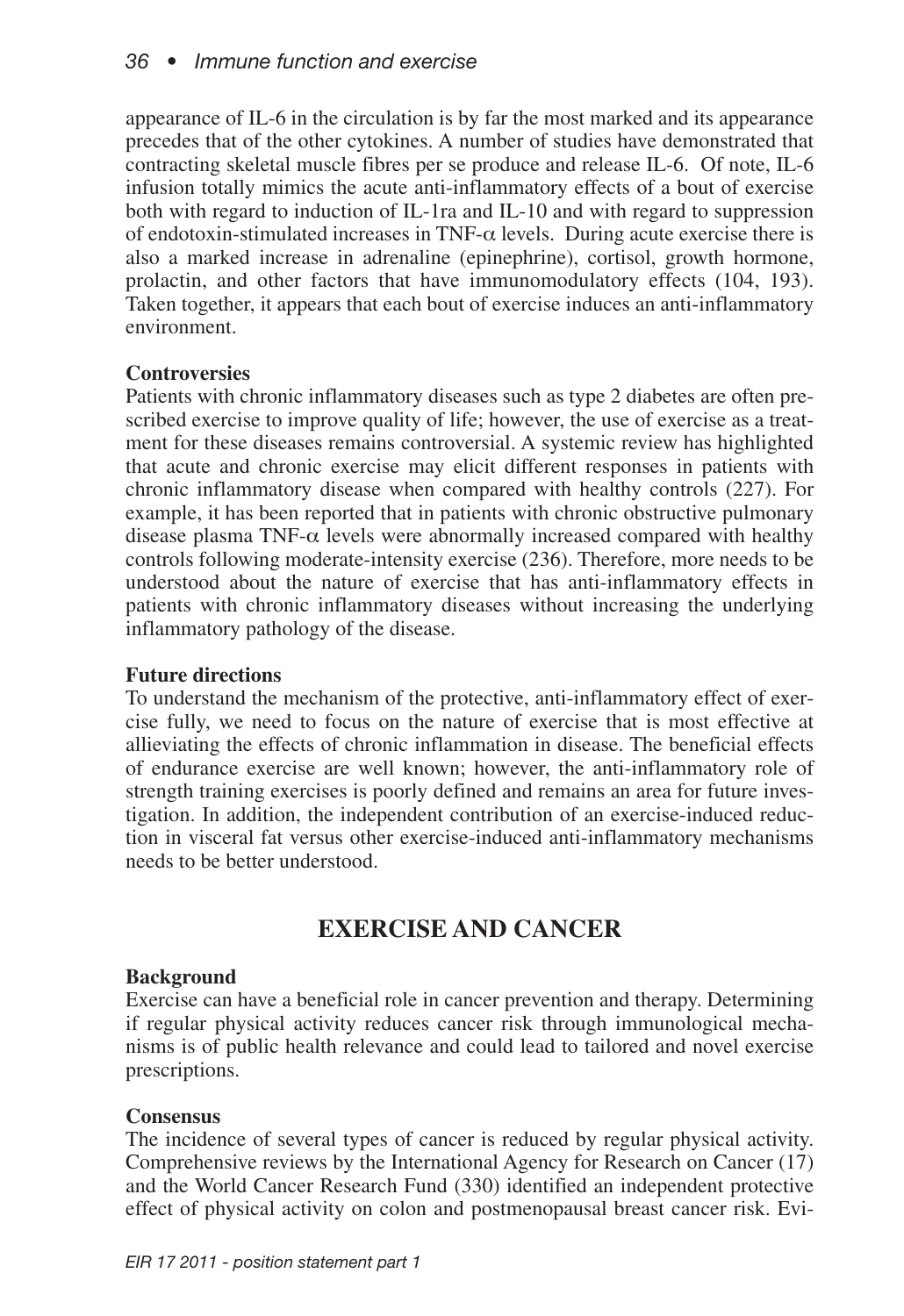appearance of IL-6 in the circulation is by far the most marked and its appearance precedes that of the other cytokines. A number of studies have demonstrated that contracting skeletal muscle fibres per se produce and release IL-6. Of note, IL-6 infusion totally mimics the acute anti-inflammatory effects of a bout of exercise both with regard to induction of IL-1ra and IL-10 and with regard to suppression of endotoxin-stimulated increases in TNF- $\alpha$  levels. During acute exercise there is also a marked increase in adrenaline (epinephrine), cortisol, growth hormone, prolactin, and other factors that have immunomodulatory effects (104, 193). Taken together, it appears that each bout of exercise induces an anti-inflammatory environment.

## **Controversies**

Patients with chronic inflammatory diseases such as type 2 diabetes are often prescribed exercise to improve quality of life; however, the use of exercise as a treatment for these diseases remains controversial. A systemic review has highlighted that acute and chronic exercise may elicit different responses in patients with chronic inflammatory disease when compared with healthy controls (227). For example, it has been reported that in patients with chronic obstructive pulmonary disease plasma TNF- $\alpha$  levels were abnormally increased compared with healthy controls following moderate-intensity exercise (236). Therefore, more needs to be understood about the nature of exercise that has anti-inflammatory effects in patients with chronic inflammatory diseases without increasing the underlying inflammatory pathology of the disease.

### **Future directions**

To understand the mechanism of the protective, anti-inflammatory effect of exercise fully, we need to focus on the nature of exercise that is most effective at allieviating the effects of chronic inflammation in disease. The beneficial effects of endurance exercise are well known; however, the anti-inflammatory role of strength training exercises is poorly defined and remains an area for future investigation. In addition, the independent contribution of an exercise-induced reduction in visceral fat versus other exercise-induced anti-inflammatory mechanisms needs to be better understood.

## **EXERCISE AND CANCER**

### **Background**

Exercise can have a beneficial role in cancer prevention and therapy. Determining if regular physical activity reduces cancer risk through immunological mechanisms is of public health relevance and could lead to tailored and novel exercise prescriptions.

## **Consensus**

The incidence of several types of cancer is reduced by regular physical activity. Comprehensive reviews by the International Agency for Research on Cancer (17) and the World Cancer Research Fund (330) identified an independent protective effect of physical activity on colon and postmenopausal breast cancer risk. Evi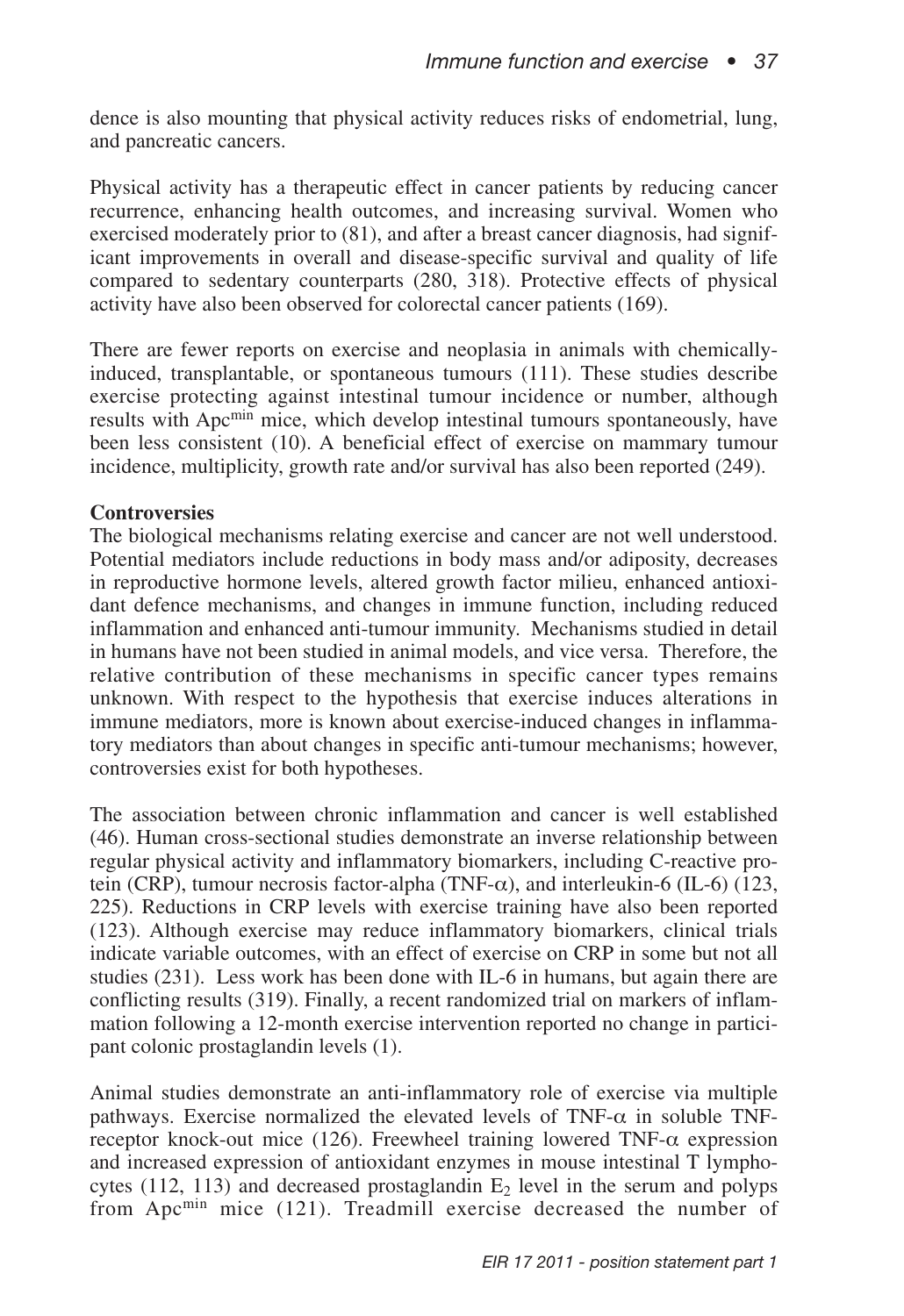dence is also mounting that physical activity reduces risks of endometrial, lung, and pancreatic cancers.

Physical activity has a therapeutic effect in cancer patients by reducing cancer recurrence, enhancing health outcomes, and increasing survival. Women who exercised moderately prior to (81), and after a breast cancer diagnosis, had significant improvements in overall and disease-specific survival and quality of life compared to sedentary counterparts (280, 318). Protective effects of physical activity have also been observed for colorectal cancer patients (169).

There are fewer reports on exercise and neoplasia in animals with chemicallyinduced, transplantable, or spontaneous tumours (111). These studies describe exercise protecting against intestinal tumour incidence or number, although results with Apcmin mice, which develop intestinal tumours spontaneously, have been less consistent (10). A beneficial effect of exercise on mammary tumour incidence, multiplicity, growth rate and/or survival has also been reported (249).

### **Controversies**

The biological mechanisms relating exercise and cancer are not well understood. Potential mediators include reductions in body mass and/or adiposity, decreases in reproductive hormone levels, altered growth factor milieu, enhanced antioxidant defence mechanisms, and changes in immune function, including reduced inflammation and enhanced anti-tumour immunity. Mechanisms studied in detail in humans have not been studied in animal models, and vice versa. Therefore, the relative contribution of these mechanisms in specific cancer types remains unknown. With respect to the hypothesis that exercise induces alterations in immune mediators, more is known about exercise-induced changes in inflammatory mediators than about changes in specific anti-tumour mechanisms; however, controversies exist for both hypotheses.

The association between chronic inflammation and cancer is well established (46). Human cross-sectional studies demonstrate an inverse relationship between regular physical activity and inflammatory biomarkers, including C-reactive protein (CRP), tumour necrosis factor-alpha (TNF- $\alpha$ ), and interleukin-6 (IL-6) (123, 225). Reductions in CRP levels with exercise training have also been reported (123). Although exercise may reduce inflammatory biomarkers, clinical trials indicate variable outcomes, with an effect of exercise on CRP in some but not all studies (231). Less work has been done with IL-6 in humans, but again there are conflicting results (319). Finally, a recent randomized trial on markers of inflammation following a 12-month exercise intervention reported no change in participant colonic prostaglandin levels (1).

Animal studies demonstrate an anti-inflammatory role of exercise via multiple pathways. Exercise normalized the elevated levels of  $TNF-\alpha$  in soluble TNFreceptor knock-out mice (126). Freewheel training lowered TNF- $\alpha$  expression and increased expression of antioxidant enzymes in mouse intestinal T lymphocytes (112, 113) and decreased prostaglandin  $E_2$  level in the serum and polyps from Apcmin mice (121). Treadmill exercise decreased the number of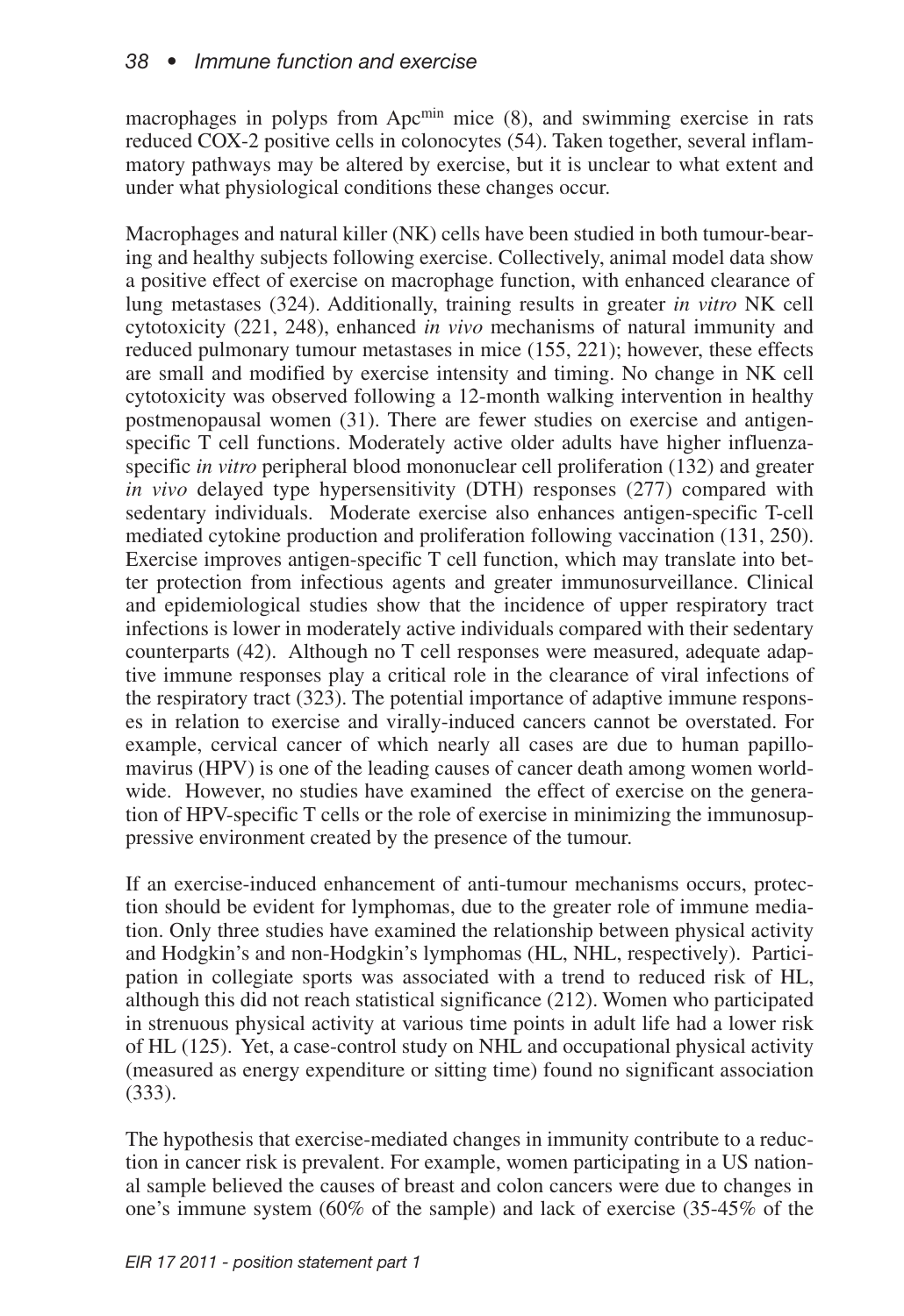macrophages in polyps from Apc<sup>min</sup> mice (8), and swimming exercise in rats reduced COX-2 positive cells in colonocytes (54). Taken together, several inflammatory pathways may be altered by exercise, but it is unclear to what extent and under what physiological conditions these changes occur.

Macrophages and natural killer (NK) cells have been studied in both tumour-bearing and healthy subjects following exercise. Collectively, animal model data show a positive effect of exercise on macrophage function, with enhanced clearance of lung metastases (324). Additionally, training results in greater *in vitro* NK cell cytotoxicity (221, 248), enhanced *in vivo* mechanisms of natural immunity and reduced pulmonary tumour metastases in mice (155, 221); however, these effects are small and modified by exercise intensity and timing. No change in NK cell cytotoxicity was observed following a 12-month walking intervention in healthy postmenopausal women (31). There are fewer studies on exercise and antigenspecific T cell functions. Moderately active older adults have higher influenzaspecific *in vitro* peripheral blood mononuclear cell proliferation (132) and greater *in vivo* delayed type hypersensitivity (DTH) responses (277) compared with sedentary individuals. Moderate exercise also enhances antigen-specific T-cell mediated cytokine production and proliferation following vaccination (131, 250). Exercise improves antigen-specific T cell function, which may translate into better protection from infectious agents and greater immunosurveillance. Clinical and epidemiological studies show that the incidence of upper respiratory tract infections is lower in moderately active individuals compared with their sedentary counterparts (42). Although no T cell responses were measured, adequate adaptive immune responses play a critical role in the clearance of viral infections of the respiratory tract (323). The potential importance of adaptive immune responses in relation to exercise and virally-induced cancers cannot be overstated. For example, cervical cancer of which nearly all cases are due to human papillomavirus (HPV) is one of the leading causes of cancer death among women worldwide. However, no studies have examined the effect of exercise on the generation of HPV-specific T cells or the role of exercise in minimizing the immunosuppressive environment created by the presence of the tumour.

If an exercise-induced enhancement of anti-tumour mechanisms occurs, protection should be evident for lymphomas, due to the greater role of immune mediation. Only three studies have examined the relationship between physical activity and Hodgkin's and non-Hodgkin's lymphomas (HL, NHL, respectively). Participation in collegiate sports was associated with a trend to reduced risk of HL, although this did not reach statistical significance (212). Women who participated in strenuous physical activity at various time points in adult life had a lower risk of HL (125). Yet, a case-control study on NHL and occupational physical activity (measured as energy expenditure or sitting time) found no significant association (333).

The hypothesis that exercise-mediated changes in immunity contribute to a reduction in cancer risk is prevalent. For example, women participating in a US national sample believed the causes of breast and colon cancers were due to changes in one's immune system (60% of the sample) and lack of exercise (35-45% of the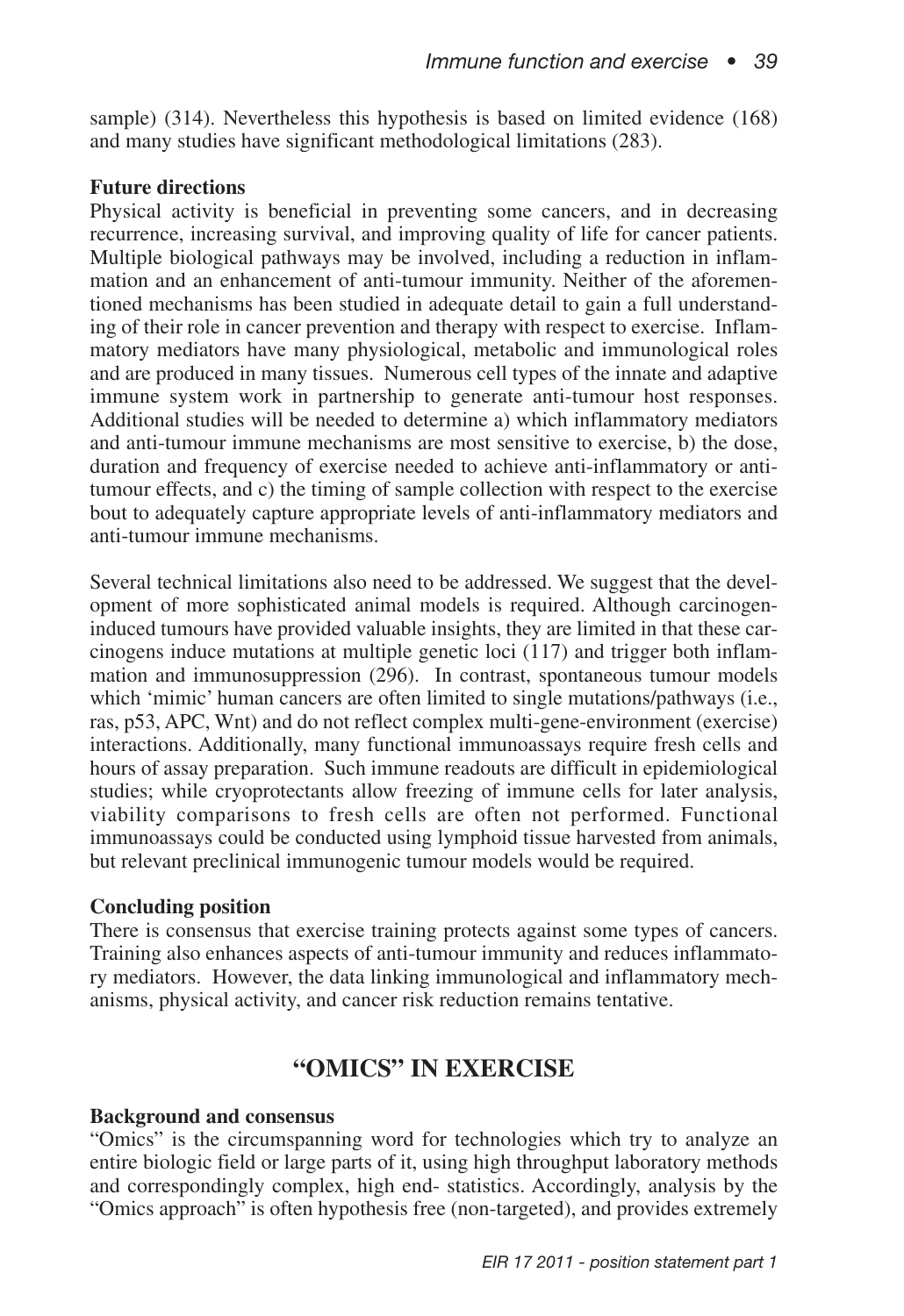sample) (314). Nevertheless this hypothesis is based on limited evidence (168) and many studies have significant methodological limitations (283).

### **Future directions**

Physical activity is beneficial in preventing some cancers, and in decreasing recurrence, increasing survival, and improving quality of life for cancer patients. Multiple biological pathways may be involved, including a reduction in inflammation and an enhancement of anti-tumour immunity. Neither of the aforementioned mechanisms has been studied in adequate detail to gain a full understanding of their role in cancer prevention and therapy with respect to exercise. Inflammatory mediators have many physiological, metabolic and immunological roles and are produced in many tissues. Numerous cell types of the innate and adaptive immune system work in partnership to generate anti-tumour host responses. Additional studies will be needed to determine a) which inflammatory mediators and anti-tumour immune mechanisms are most sensitive to exercise, b) the dose, duration and frequency of exercise needed to achieve anti-inflammatory or antitumour effects, and c) the timing of sample collection with respect to the exercise bout to adequately capture appropriate levels of anti-inflammatory mediators and anti-tumour immune mechanisms.

Several technical limitations also need to be addressed. We suggest that the development of more sophisticated animal models is required. Although carcinogeninduced tumours have provided valuable insights, they are limited in that these carcinogens induce mutations at multiple genetic loci (117) and trigger both inflammation and immunosuppression (296). In contrast, spontaneous tumour models which 'mimic' human cancers are often limited to single mutations/pathways (i.e., ras, p53, APC, Wnt) and do not reflect complex multi-gene-environment (exercise) interactions. Additionally, many functional immunoassays require fresh cells and hours of assay preparation. Such immune readouts are difficult in epidemiological studies; while cryoprotectants allow freezing of immune cells for later analysis, viability comparisons to fresh cells are often not performed. Functional immunoassays could be conducted using lymphoid tissue harvested from animals, but relevant preclinical immunogenic tumour models would be required.

### **Concluding position**

There is consensus that exercise training protects against some types of cancers. Training also enhances aspects of anti-tumour immunity and reduces inflammatory mediators. However, the data linking immunological and inflammatory mechanisms, physical activity, and cancer risk reduction remains tentative.

## **"OMICS" IN EXERCISE**

#### **Background and consensus**

"Omics" is the circumspanning word for technologies which try to analyze an entire biologic field or large parts of it, using high throughput laboratory methods and correspondingly complex, high end- statistics. Accordingly, analysis by the "Omics approach" is often hypothesis free (non-targeted), and provides extremely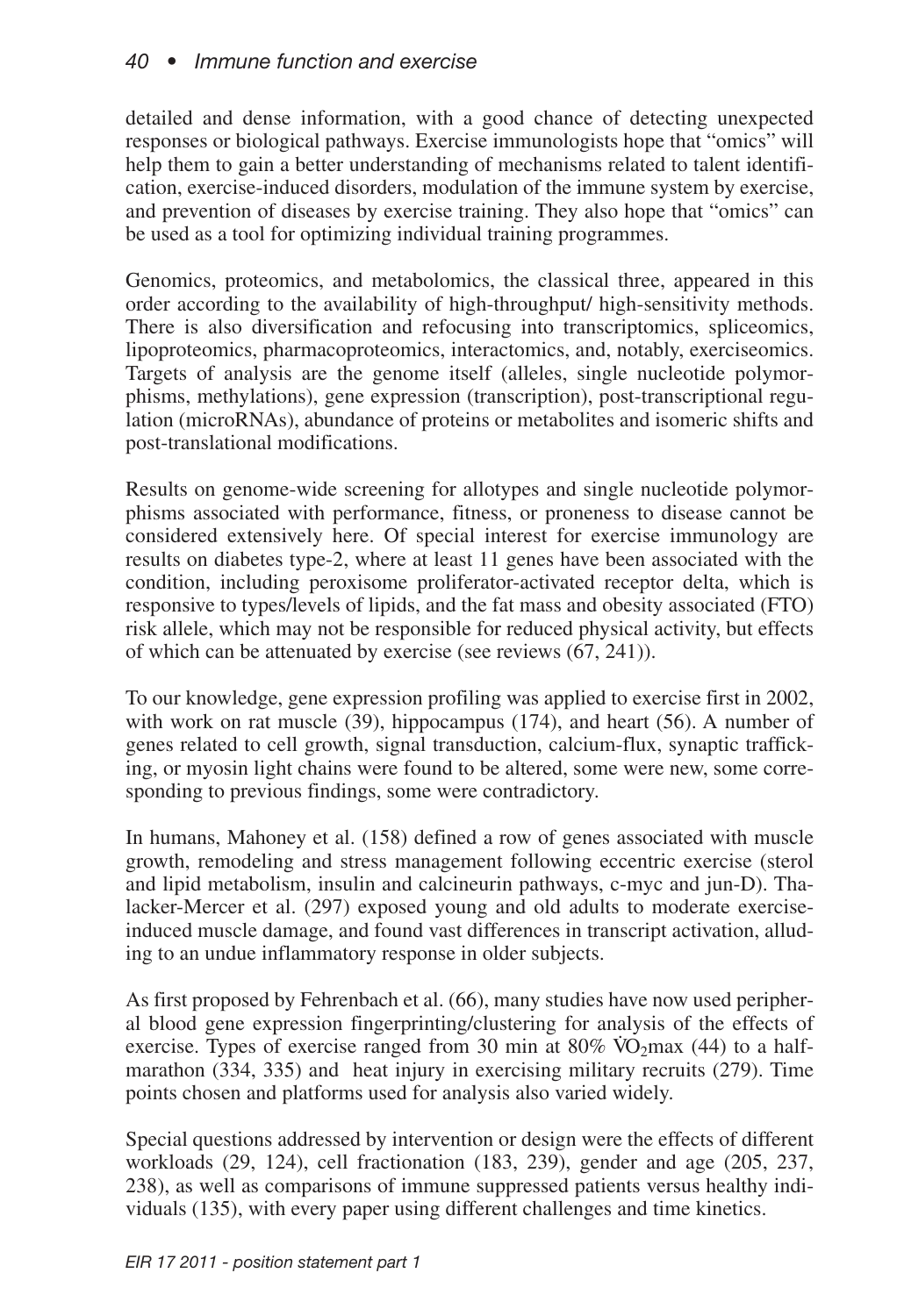detailed and dense information, with a good chance of detecting unexpected responses or biological pathways. Exercise immunologists hope that "omics" will help them to gain a better understanding of mechanisms related to talent identification, exercise-induced disorders, modulation of the immune system by exercise, and prevention of diseases by exercise training. They also hope that "omics" can be used as a tool for optimizing individual training programmes.

Genomics, proteomics, and metabolomics, the classical three, appeared in this order according to the availability of high-throughput/ high-sensitivity methods. There is also diversification and refocusing into transcriptomics, spliceomics, lipoproteomics, pharmacoproteomics, interactomics, and, notably, exerciseomics. Targets of analysis are the genome itself (alleles, single nucleotide polymorphisms, methylations), gene expression (transcription), post-transcriptional regulation (microRNAs), abundance of proteins or metabolites and isomeric shifts and post-translational modifications.

Results on genome-wide screening for allotypes and single nucleotide polymorphisms associated with performance, fitness, or proneness to disease cannot be considered extensively here. Of special interest for exercise immunology are results on diabetes type-2, where at least 11 genes have been associated with the condition, including peroxisome proliferator-activated receptor delta, which is responsive to types/levels of lipids, and the fat mass and obesity associated (FTO) risk allele, which may not be responsible for reduced physical activity, but effects of which can be attenuated by exercise (see reviews (67, 241)).

To our knowledge, gene expression profiling was applied to exercise first in 2002, with work on rat muscle (39), hippocampus (174), and heart (56). A number of genes related to cell growth, signal transduction, calcium-flux, synaptic trafficking, or myosin light chains were found to be altered, some were new, some corresponding to previous findings, some were contradictory.

In humans, Mahoney et al. (158) defined a row of genes associated with muscle growth, remodeling and stress management following eccentric exercise (sterol and lipid metabolism, insulin and calcineurin pathways, c-myc and jun-D). Thalacker-Mercer et al. (297) exposed young and old adults to moderate exerciseinduced muscle damage, and found vast differences in transcript activation, alluding to an undue inflammatory response in older subjects.

As first proposed by Fehrenbach et al. (66), many studies have now used peripheral blood gene expression fingerprinting/clustering for analysis of the effects of exercise. Types of exercise ranged from 30 min at  $80\%$  VO<sub>2</sub>max (44) to a halfmarathon (334, 335) and heat injury in exercising military recruits (279). Time points chosen and platforms used for analysis also varied widely.

Special questions addressed by intervention or design were the effects of different workloads (29, 124), cell fractionation (183, 239), gender and age (205, 237, 238), as well as comparisons of immune suppressed patients versus healthy individuals (135), with every paper using different challenges and time kinetics.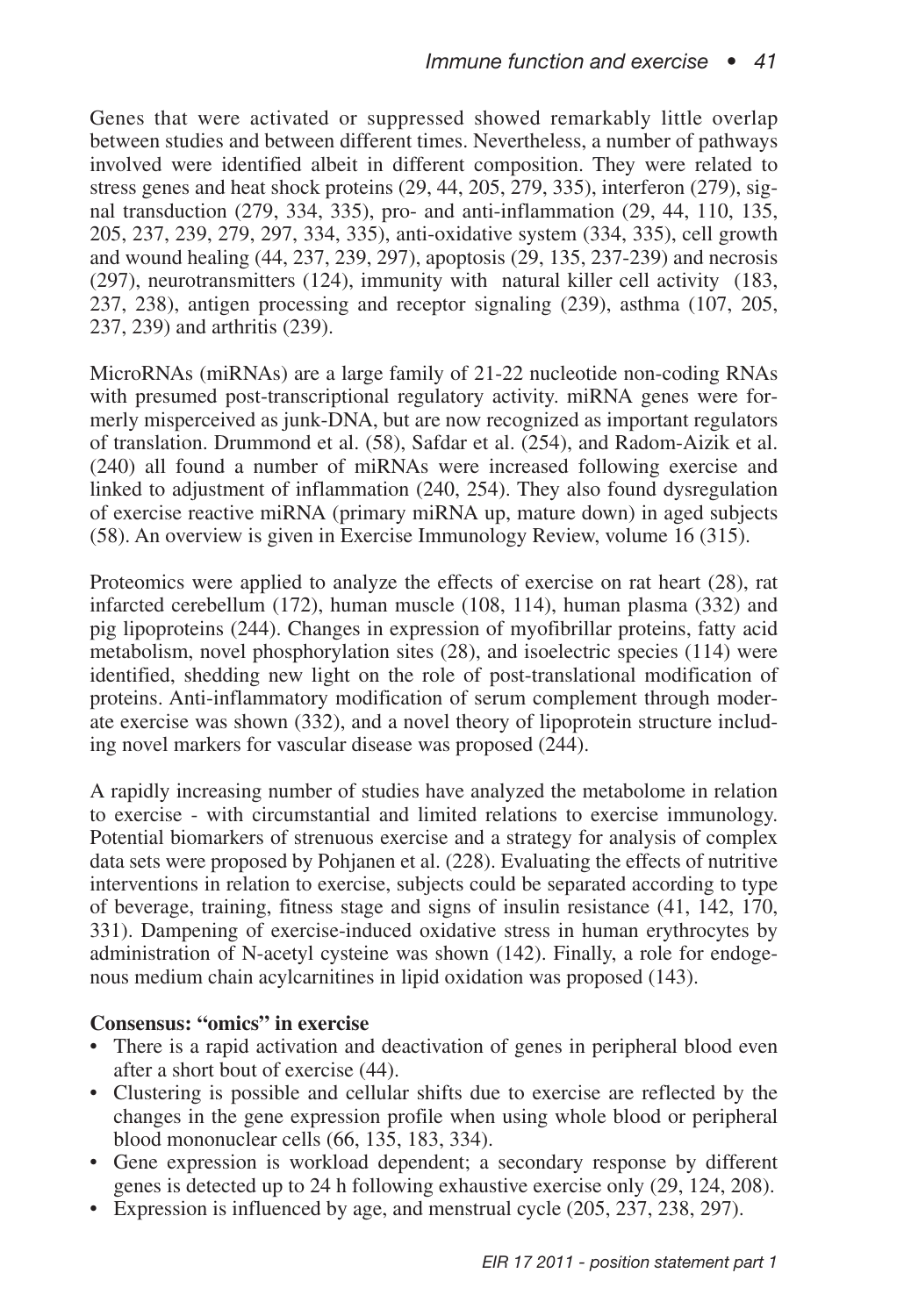Genes that were activated or suppressed showed remarkably little overlap between studies and between different times. Nevertheless, a number of pathways involved were identified albeit in different composition. They were related to stress genes and heat shock proteins (29, 44, 205, 279, 335), interferon (279), signal transduction (279, 334, 335), pro- and anti-inflammation (29, 44, 110, 135, 205, 237, 239, 279, 297, 334, 335), anti-oxidative system (334, 335), cell growth and wound healing (44, 237, 239, 297), apoptosis (29, 135, 237-239) and necrosis (297), neurotransmitters (124), immunity with natural killer cell activity (183, 237, 238), antigen processing and receptor signaling (239), asthma (107, 205, 237, 239) and arthritis (239).

MicroRNAs (miRNAs) are a large family of 21-22 nucleotide non-coding RNAs with presumed post-transcriptional regulatory activity. miRNA genes were formerly misperceived as junk-DNA, but are now recognized as important regulators of translation. Drummond et al. (58), Safdar et al. (254), and Radom-Aizik et al. (240) all found a number of miRNAs were increased following exercise and linked to adjustment of inflammation (240, 254). They also found dysregulation of exercise reactive miRNA (primary miRNA up, mature down) in aged subjects (58). An overview is given in Exercise Immunology Review, volume 16 (315).

Proteomics were applied to analyze the effects of exercise on rat heart (28), rat infarcted cerebellum (172), human muscle (108, 114), human plasma (332) and pig lipoproteins (244). Changes in expression of myofibrillar proteins, fatty acid metabolism, novel phosphorylation sites (28), and isoelectric species (114) were identified, shedding new light on the role of post-translational modification of proteins. Anti-inflammatory modification of serum complement through moderate exercise was shown (332), and a novel theory of lipoprotein structure including novel markers for vascular disease was proposed (244).

A rapidly increasing number of studies have analyzed the metabolome in relation to exercise - with circumstantial and limited relations to exercise immunology. Potential biomarkers of strenuous exercise and a strategy for analysis of complex data sets were proposed by Pohjanen et al. (228). Evaluating the effects of nutritive interventions in relation to exercise, subjects could be separated according to type of beverage, training, fitness stage and signs of insulin resistance (41, 142, 170, 331). Dampening of exercise-induced oxidative stress in human erythrocytes by administration of N-acetyl cysteine was shown (142). Finally, a role for endogenous medium chain acylcarnitines in lipid oxidation was proposed (143).

### **Consensus: "omics" in exercise**

- There is a rapid activation and deactivation of genes in peripheral blood even after a short bout of exercise (44).
- Clustering is possible and cellular shifts due to exercise are reflected by the changes in the gene expression profile when using whole blood or peripheral blood mononuclear cells (66, 135, 183, 334).
- Gene expression is workload dependent; a secondary response by different genes is detected up to 24 h following exhaustive exercise only (29, 124, 208).
- Expression is influenced by age, and menstrual cycle (205, 237, 238, 297).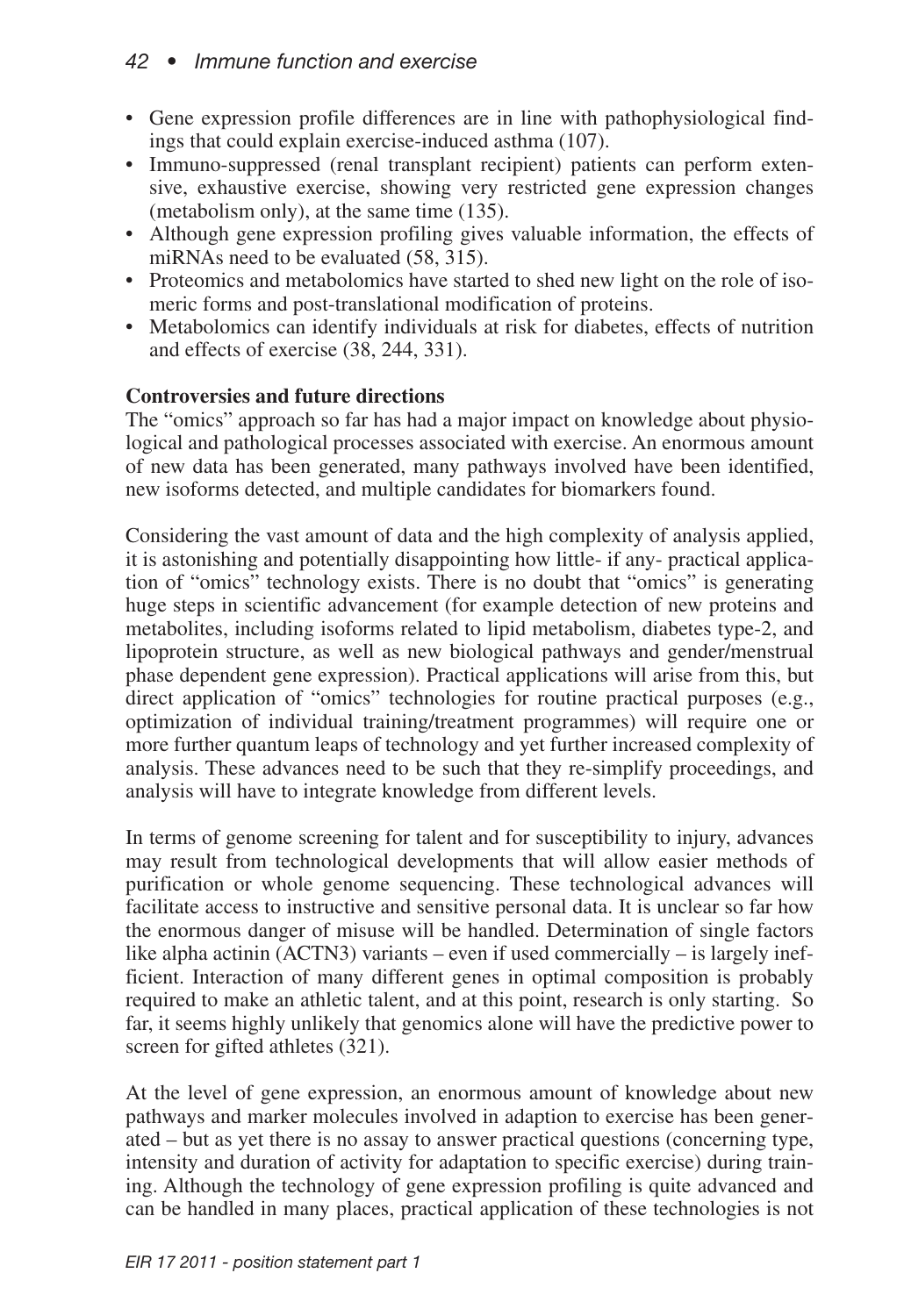## *42 • Immune function and exercise*

- Gene expression profile differences are in line with pathophysiological findings that could explain exercise-induced asthma (107).
- Immuno-suppressed (renal transplant recipient) patients can perform extensive, exhaustive exercise, showing very restricted gene expression changes (metabolism only), at the same time (135).
- Although gene expression profiling gives valuable information, the effects of miRNAs need to be evaluated (58, 315).
- Proteomics and metabolomics have started to shed new light on the role of isomeric forms and post-translational modification of proteins.
- Metabolomics can identify individuals at risk for diabetes, effects of nutrition and effects of exercise (38, 244, 331).

## **Controversies and future directions**

The "omics" approach so far has had a major impact on knowledge about physiological and pathological processes associated with exercise. An enormous amount of new data has been generated, many pathways involved have been identified, new isoforms detected, and multiple candidates for biomarkers found.

Considering the vast amount of data and the high complexity of analysis applied, it is astonishing and potentially disappointing how little- if any- practical application of "omics" technology exists. There is no doubt that "omics" is generating huge steps in scientific advancement (for example detection of new proteins and metabolites, including isoforms related to lipid metabolism, diabetes type-2, and lipoprotein structure, as well as new biological pathways and gender/menstrual phase dependent gene expression). Practical applications will arise from this, but direct application of "omics" technologies for routine practical purposes (e.g., optimization of individual training/treatment programmes) will require one or more further quantum leaps of technology and yet further increased complexity of analysis. These advances need to be such that they re-simplify proceedings, and analysis will have to integrate knowledge from different levels.

In terms of genome screening for talent and for susceptibility to injury, advances may result from technological developments that will allow easier methods of purification or whole genome sequencing. These technological advances will facilitate access to instructive and sensitive personal data. It is unclear so far how the enormous danger of misuse will be handled. Determination of single factors like alpha actinin (ACTN3) variants – even if used commercially – is largely inefficient. Interaction of many different genes in optimal composition is probably required to make an athletic talent, and at this point, research is only starting. So far, it seems highly unlikely that genomics alone will have the predictive power to screen for gifted athletes (321).

At the level of gene expression, an enormous amount of knowledge about new pathways and marker molecules involved in adaption to exercise has been generated – but as yet there is no assay to answer practical questions (concerning type, intensity and duration of activity for adaptation to specific exercise) during training. Although the technology of gene expression profiling is quite advanced and can be handled in many places, practical application of these technologies is not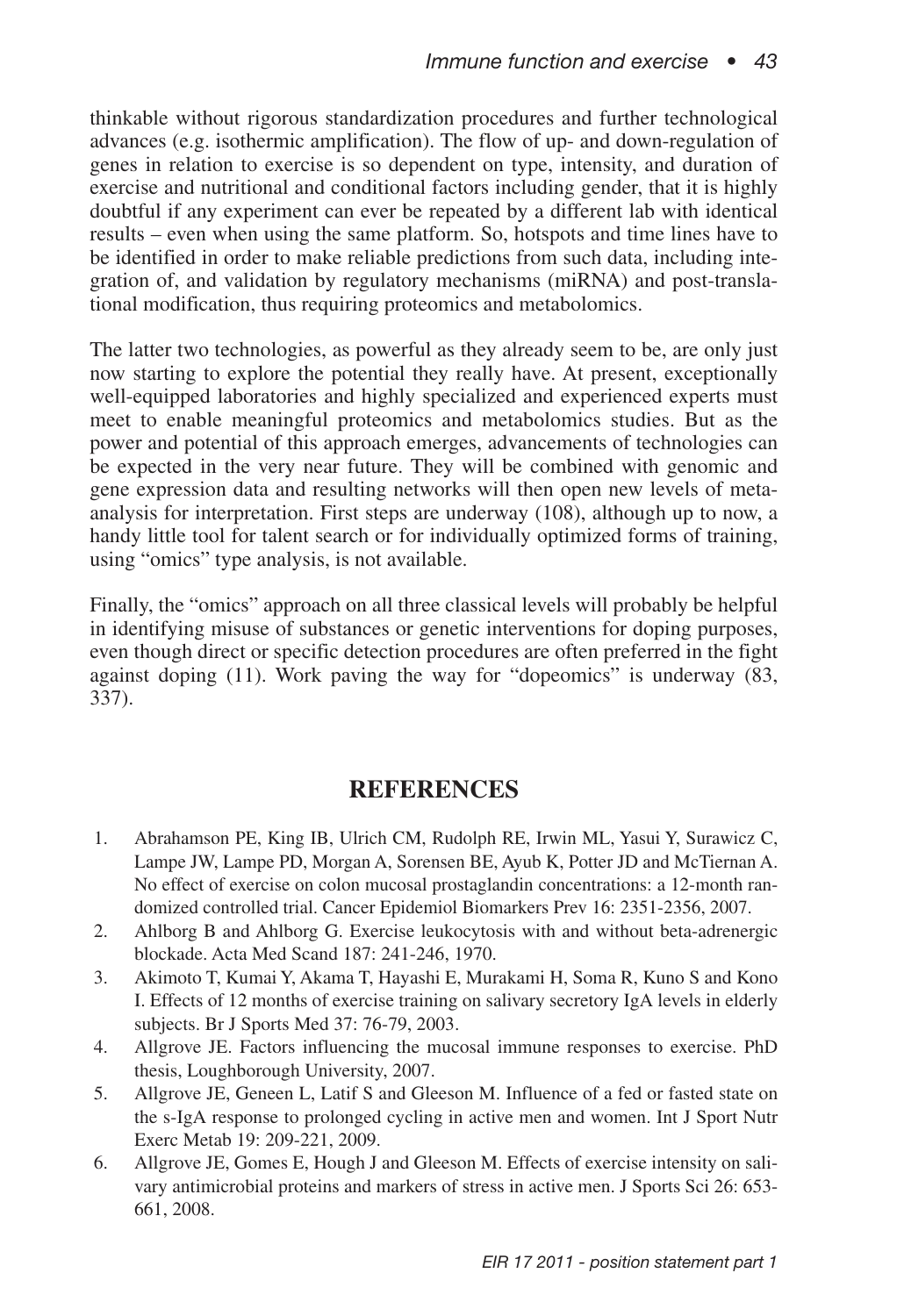thinkable without rigorous standardization procedures and further technological advances (e.g. isothermic amplification). The flow of up- and down-regulation of genes in relation to exercise is so dependent on type, intensity, and duration of exercise and nutritional and conditional factors including gender, that it is highly doubtful if any experiment can ever be repeated by a different lab with identical results – even when using the same platform. So, hotspots and time lines have to be identified in order to make reliable predictions from such data, including integration of, and validation by regulatory mechanisms (miRNA) and post-translational modification, thus requiring proteomics and metabolomics.

The latter two technologies, as powerful as they already seem to be, are only just now starting to explore the potential they really have. At present, exceptionally well-equipped laboratories and highly specialized and experienced experts must meet to enable meaningful proteomics and metabolomics studies. But as the power and potential of this approach emerges, advancements of technologies can be expected in the very near future. They will be combined with genomic and gene expression data and resulting networks will then open new levels of metaanalysis for interpretation. First steps are underway (108), although up to now, a handy little tool for talent search or for individually optimized forms of training, using "omics" type analysis, is not available.

Finally, the "omics" approach on all three classical levels will probably be helpful in identifying misuse of substances or genetic interventions for doping purposes, even though direct or specific detection procedures are often preferred in the fight against doping (11). Work paving the way for "dopeomics" is underway (83, 337).

## **REFERENCES**

- 1. Abrahamson PE, King IB, Ulrich CM, Rudolph RE, Irwin ML, Yasui Y, Surawicz C, Lampe JW, Lampe PD, Morgan A, Sorensen BE, Ayub K, Potter JD and McTiernan A. No effect of exercise on colon mucosal prostaglandin concentrations: a 12-month randomized controlled trial. Cancer Epidemiol Biomarkers Prev 16: 2351-2356, 2007.
- 2. Ahlborg B and Ahlborg G. Exercise leukocytosis with and without beta-adrenergic blockade. Acta Med Scand 187: 241-246, 1970.
- 3. Akimoto T, Kumai Y, Akama T, Hayashi E, Murakami H, Soma R, Kuno S and Kono I. Effects of 12 months of exercise training on salivary secretory IgA levels in elderly subjects. Br J Sports Med 37: 76-79, 2003.
- 4. Allgrove JE. Factors influencing the mucosal immune responses to exercise. PhD thesis, Loughborough University, 2007.
- 5. Allgrove JE, Geneen L, Latif S and Gleeson M. Influence of a fed or fasted state on the s-IgA response to prolonged cycling in active men and women. Int J Sport Nutr Exerc Metab 19: 209-221, 2009.
- 6. Allgrove JE, Gomes E, Hough J and Gleeson M. Effects of exercise intensity on salivary antimicrobial proteins and markers of stress in active men. J Sports Sci 26: 653- 661, 2008.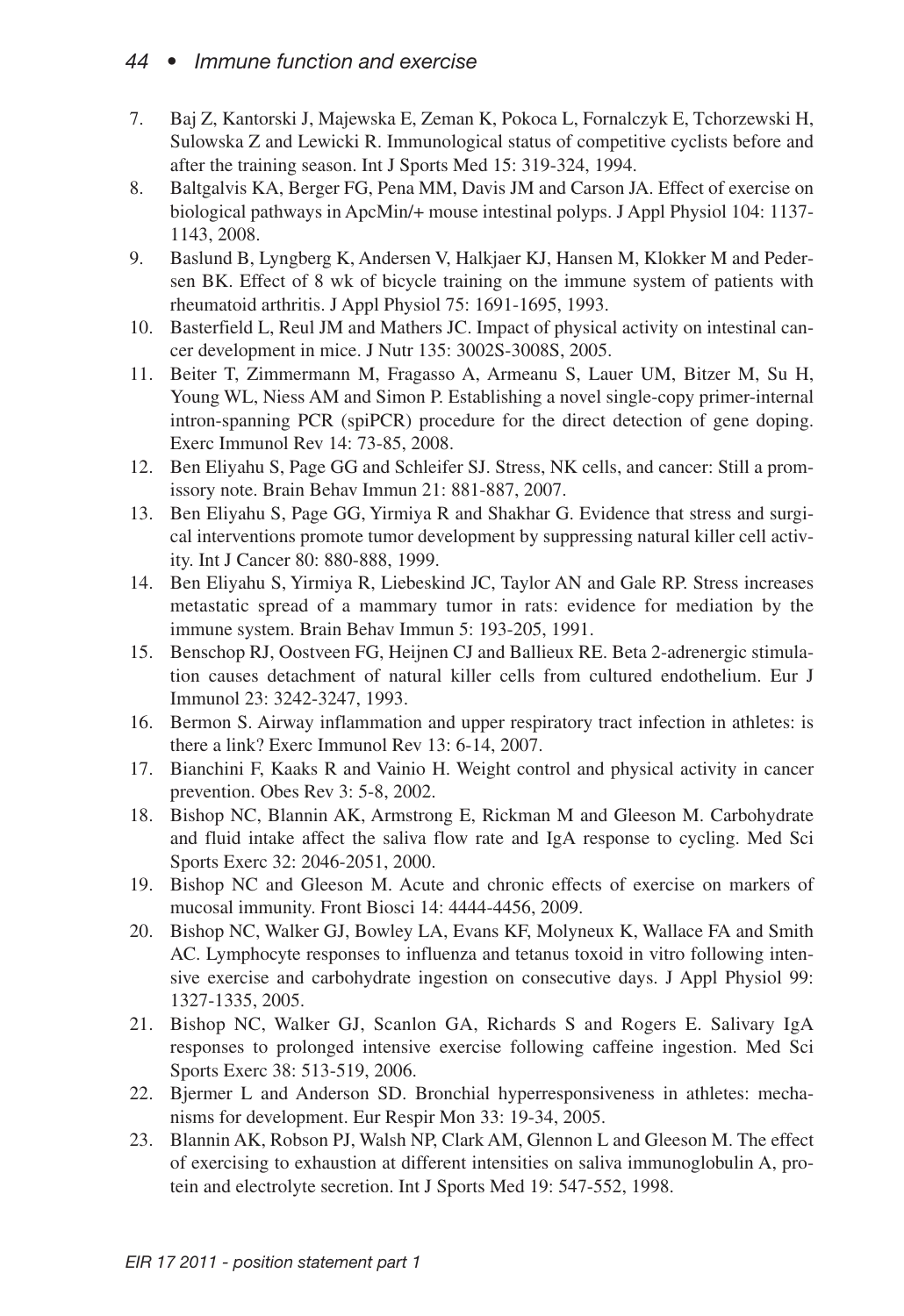## *44 • Immune function and exercise*

- 7. Baj Z, Kantorski J, Majewska E, Zeman K, Pokoca L, Fornalczyk E, Tchorzewski H, Sulowska Z and Lewicki R. Immunological status of competitive cyclists before and after the training season. Int J Sports Med 15: 319-324, 1994.
- 8. Baltgalvis KA, Berger FG, Pena MM, Davis JM and Carson JA. Effect of exercise on biological pathways in ApcMin/+ mouse intestinal polyps. J Appl Physiol 104: 1137- 1143, 2008.
- 9. Baslund B, Lyngberg K, Andersen V, Halkjaer KJ, Hansen M, Klokker M and Pedersen BK. Effect of 8 wk of bicycle training on the immune system of patients with rheumatoid arthritis. J Appl Physiol 75: 1691-1695, 1993.
- 10. Basterfield L, Reul JM and Mathers JC. Impact of physical activity on intestinal cancer development in mice. J Nutr 135: 3002S-3008S, 2005.
- 11. Beiter T, Zimmermann M, Fragasso A, Armeanu S, Lauer UM, Bitzer M, Su H, Young WL, Niess AM and Simon P. Establishing a novel single-copy primer-internal intron-spanning PCR (spiPCR) procedure for the direct detection of gene doping. Exerc Immunol Rev 14: 73-85, 2008.
- 12. Ben Eliyahu S, Page GG and Schleifer SJ. Stress, NK cells, and cancer: Still a promissory note. Brain Behav Immun 21: 881-887, 2007.
- 13. Ben Eliyahu S, Page GG, Yirmiya R and Shakhar G. Evidence that stress and surgical interventions promote tumor development by suppressing natural killer cell activity. Int J Cancer 80: 880-888, 1999.
- 14. Ben Eliyahu S, Yirmiya R, Liebeskind JC, Taylor AN and Gale RP. Stress increases metastatic spread of a mammary tumor in rats: evidence for mediation by the immune system. Brain Behav Immun 5: 193-205, 1991.
- 15. Benschop RJ, Oostveen FG, Heijnen CJ and Ballieux RE. Beta 2-adrenergic stimulation causes detachment of natural killer cells from cultured endothelium. Eur J Immunol 23: 3242-3247, 1993.
- 16. Bermon S. Airway inflammation and upper respiratory tract infection in athletes: is there a link? Exerc Immunol Rev 13: 6-14, 2007.
- 17. Bianchini F, Kaaks R and Vainio H. Weight control and physical activity in cancer prevention. Obes Rev 3: 5-8, 2002.
- 18. Bishop NC, Blannin AK, Armstrong E, Rickman M and Gleeson M. Carbohydrate and fluid intake affect the saliva flow rate and IgA response to cycling. Med Sci Sports Exerc 32: 2046-2051, 2000.
- 19. Bishop NC and Gleeson M. Acute and chronic effects of exercise on markers of mucosal immunity. Front Biosci 14: 4444-4456, 2009.
- 20. Bishop NC, Walker GJ, Bowley LA, Evans KF, Molyneux K, Wallace FA and Smith AC. Lymphocyte responses to influenza and tetanus toxoid in vitro following intensive exercise and carbohydrate ingestion on consecutive days. J Appl Physiol 99: 1327-1335, 2005.
- 21. Bishop NC, Walker GJ, Scanlon GA, Richards S and Rogers E. Salivary IgA responses to prolonged intensive exercise following caffeine ingestion. Med Sci Sports Exerc 38: 513-519, 2006.
- 22. Bjermer L and Anderson SD. Bronchial hyperresponsiveness in athletes: mechanisms for development. Eur Respir Mon 33: 19-34, 2005.
- 23. Blannin AK, Robson PJ, Walsh NP, Clark AM, Glennon L and Gleeson M. The effect of exercising to exhaustion at different intensities on saliva immunoglobulin A, protein and electrolyte secretion. Int J Sports Med 19: 547-552, 1998.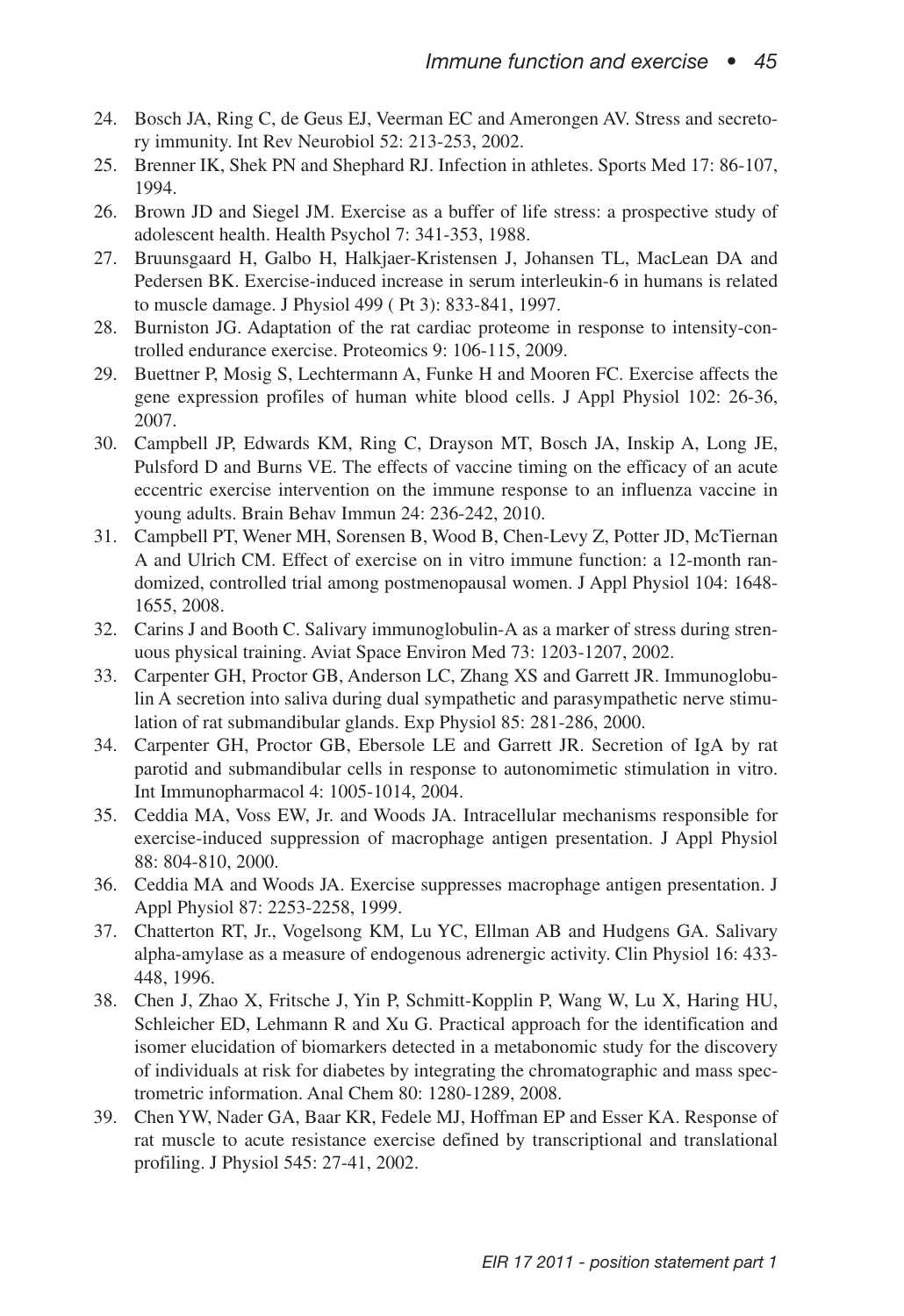- 24. Bosch JA, Ring C, de Geus EJ, Veerman EC and Amerongen AV. Stress and secretory immunity. Int Rev Neurobiol 52: 213-253, 2002.
- 25. Brenner IK, Shek PN and Shephard RJ. Infection in athletes. Sports Med 17: 86-107, 1994.
- 26. Brown JD and Siegel JM. Exercise as a buffer of life stress: a prospective study of adolescent health. Health Psychol 7: 341-353, 1988.
- 27. Bruunsgaard H, Galbo H, Halkjaer-Kristensen J, Johansen TL, MacLean DA and Pedersen BK. Exercise-induced increase in serum interleukin-6 in humans is related to muscle damage. J Physiol 499 ( Pt 3): 833-841, 1997.
- 28. Burniston JG. Adaptation of the rat cardiac proteome in response to intensity-controlled endurance exercise. Proteomics 9: 106-115, 2009.
- 29. Buettner P, Mosig S, Lechtermann A, Funke H and Mooren FC. Exercise affects the gene expression profiles of human white blood cells. J Appl Physiol 102: 26-36, 2007.
- 30. Campbell JP, Edwards KM, Ring C, Drayson MT, Bosch JA, Inskip A, Long JE, Pulsford D and Burns VE. The effects of vaccine timing on the efficacy of an acute eccentric exercise intervention on the immune response to an influenza vaccine in young adults. Brain Behav Immun 24: 236-242, 2010.
- 31. Campbell PT, Wener MH, Sorensen B, Wood B, Chen-Levy Z, Potter JD, McTiernan A and Ulrich CM. Effect of exercise on in vitro immune function: a 12-month randomized, controlled trial among postmenopausal women. J Appl Physiol 104: 1648- 1655, 2008.
- 32. Carins J and Booth C. Salivary immunoglobulin-A as a marker of stress during strenuous physical training. Aviat Space Environ Med 73: 1203-1207, 2002.
- 33. Carpenter GH, Proctor GB, Anderson LC, Zhang XS and Garrett JR. Immunoglobulin A secretion into saliva during dual sympathetic and parasympathetic nerve stimulation of rat submandibular glands. Exp Physiol 85: 281-286, 2000.
- 34. Carpenter GH, Proctor GB, Ebersole LE and Garrett JR. Secretion of IgA by rat parotid and submandibular cells in response to autonomimetic stimulation in vitro. Int Immunopharmacol 4: 1005-1014, 2004.
- 35. Ceddia MA, Voss EW, Jr. and Woods JA. Intracellular mechanisms responsible for exercise-induced suppression of macrophage antigen presentation. J Appl Physiol 88: 804-810, 2000.
- 36. Ceddia MA and Woods JA. Exercise suppresses macrophage antigen presentation. J Appl Physiol 87: 2253-2258, 1999.
- 37. Chatterton RT, Jr., Vogelsong KM, Lu YC, Ellman AB and Hudgens GA. Salivary alpha-amylase as a measure of endogenous adrenergic activity. Clin Physiol 16: 433- 448, 1996.
- 38. Chen J, Zhao X, Fritsche J, Yin P, Schmitt-Kopplin P, Wang W, Lu X, Haring HU, Schleicher ED, Lehmann R and Xu G. Practical approach for the identification and isomer elucidation of biomarkers detected in a metabonomic study for the discovery of individuals at risk for diabetes by integrating the chromatographic and mass spectrometric information. Anal Chem 80: 1280-1289, 2008.
- 39. Chen YW, Nader GA, Baar KR, Fedele MJ, Hoffman EP and Esser KA. Response of rat muscle to acute resistance exercise defined by transcriptional and translational profiling. J Physiol 545: 27-41, 2002.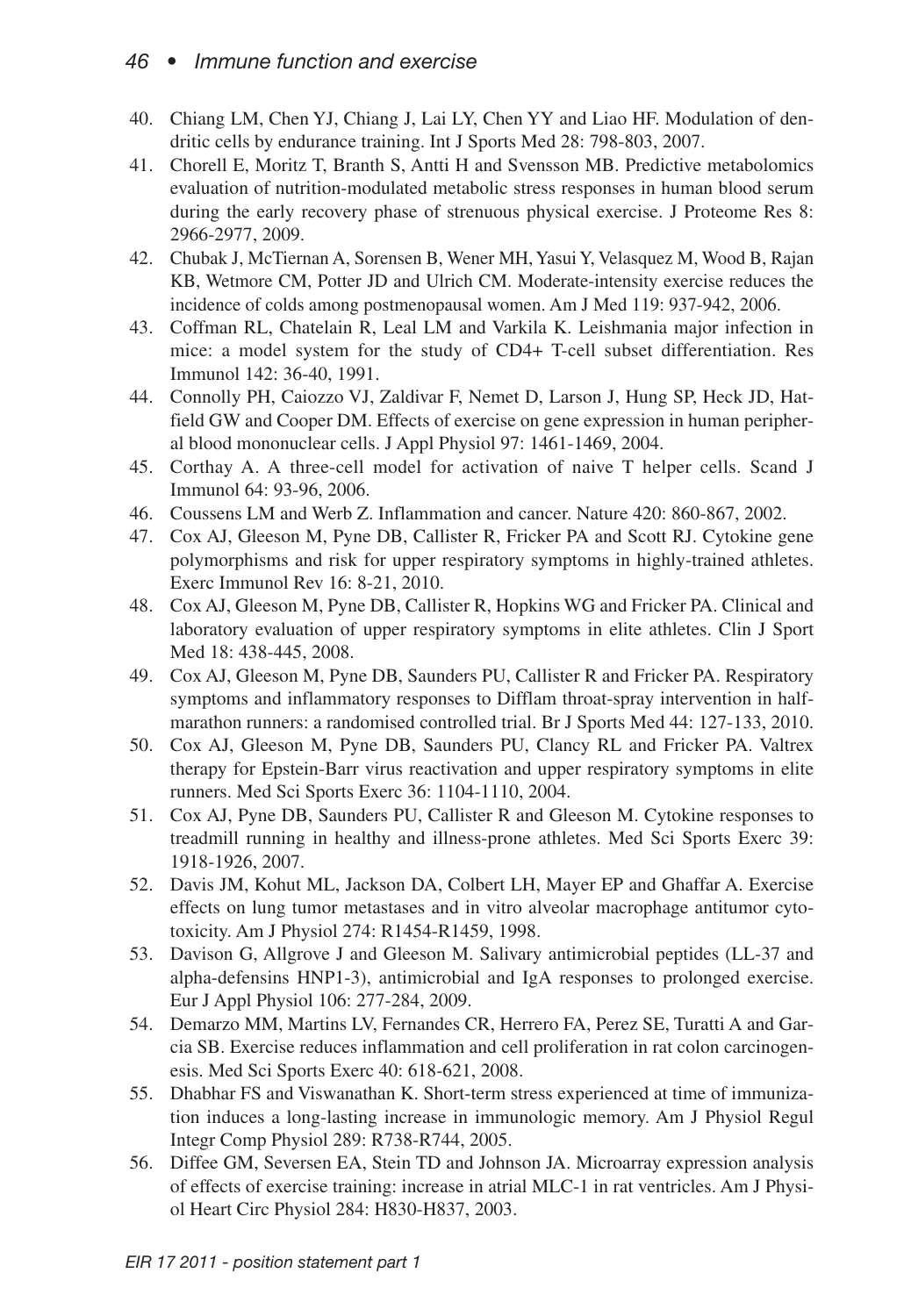- 40. Chiang LM, Chen YJ, Chiang J, Lai LY, Chen YY and Liao HF. Modulation of dendritic cells by endurance training. Int J Sports Med 28: 798-803, 2007.
- 41. Chorell E, Moritz T, Branth S, Antti H and Svensson MB. Predictive metabolomics evaluation of nutrition-modulated metabolic stress responses in human blood serum during the early recovery phase of strenuous physical exercise. J Proteome Res 8: 2966-2977, 2009.
- 42. Chubak J, McTiernan A, Sorensen B, Wener MH,YasuiY, Velasquez M, Wood B, Rajan KB, Wetmore CM, Potter JD and Ulrich CM. Moderate-intensity exercise reduces the incidence of colds among postmenopausal women. Am J Med 119: 937-942, 2006.
- 43. Coffman RL, Chatelain R, Leal LM and Varkila K. Leishmania major infection in mice: a model system for the study of CD4+ T-cell subset differentiation. Res Immunol 142: 36-40, 1991.
- 44. Connolly PH, Caiozzo VJ, Zaldivar F, Nemet D, Larson J, Hung SP, Heck JD, Hatfield GW and Cooper DM. Effects of exercise on gene expression in human peripheral blood mononuclear cells. J Appl Physiol 97: 1461-1469, 2004.
- 45. Corthay A. A three-cell model for activation of naive T helper cells. Scand J Immunol 64: 93-96, 2006.
- 46. Coussens LM and Werb Z. Inflammation and cancer. Nature 420: 860-867, 2002.
- 47. Cox AJ, Gleeson M, Pyne DB, Callister R, Fricker PA and Scott RJ. Cytokine gene polymorphisms and risk for upper respiratory symptoms in highly-trained athletes. Exerc Immunol Rev 16: 8-21, 2010.
- 48. Cox AJ, Gleeson M, Pyne DB, Callister R, Hopkins WG and Fricker PA. Clinical and laboratory evaluation of upper respiratory symptoms in elite athletes. Clin J Sport Med 18: 438-445, 2008.
- 49. Cox AJ, Gleeson M, Pyne DB, Saunders PU, Callister R and Fricker PA. Respiratory symptoms and inflammatory responses to Difflam throat-spray intervention in halfmarathon runners: a randomised controlled trial. Br J Sports Med 44: 127-133, 2010.
- 50. Cox AJ, Gleeson M, Pyne DB, Saunders PU, Clancy RL and Fricker PA. Valtrex therapy for Epstein-Barr virus reactivation and upper respiratory symptoms in elite runners. Med Sci Sports Exerc 36: 1104-1110, 2004.
- 51. Cox AJ, Pyne DB, Saunders PU, Callister R and Gleeson M. Cytokine responses to treadmill running in healthy and illness-prone athletes. Med Sci Sports Exerc 39: 1918-1926, 2007.
- 52. Davis JM, Kohut ML, Jackson DA, Colbert LH, Mayer EP and Ghaffar A. Exercise effects on lung tumor metastases and in vitro alveolar macrophage antitumor cytotoxicity. Am J Physiol 274: R1454-R1459, 1998.
- 53. Davison G, Allgrove J and Gleeson M. Salivary antimicrobial peptides (LL-37 and alpha-defensins HNP1-3), antimicrobial and IgA responses to prolonged exercise. Eur J Appl Physiol 106: 277-284, 2009.
- 54. Demarzo MM, Martins LV, Fernandes CR, Herrero FA, Perez SE, Turatti A and Garcia SB. Exercise reduces inflammation and cell proliferation in rat colon carcinogenesis. Med Sci Sports Exerc 40: 618-621, 2008.
- 55. Dhabhar FS and Viswanathan K. Short-term stress experienced at time of immunization induces a long-lasting increase in immunologic memory. Am J Physiol Regul Integr Comp Physiol 289: R738-R744, 2005.
- 56. Diffee GM, Seversen EA, Stein TD and Johnson JA. Microarray expression analysis of effects of exercise training: increase in atrial MLC-1 in rat ventricles. Am J Physiol Heart Circ Physiol 284: H830-H837, 2003.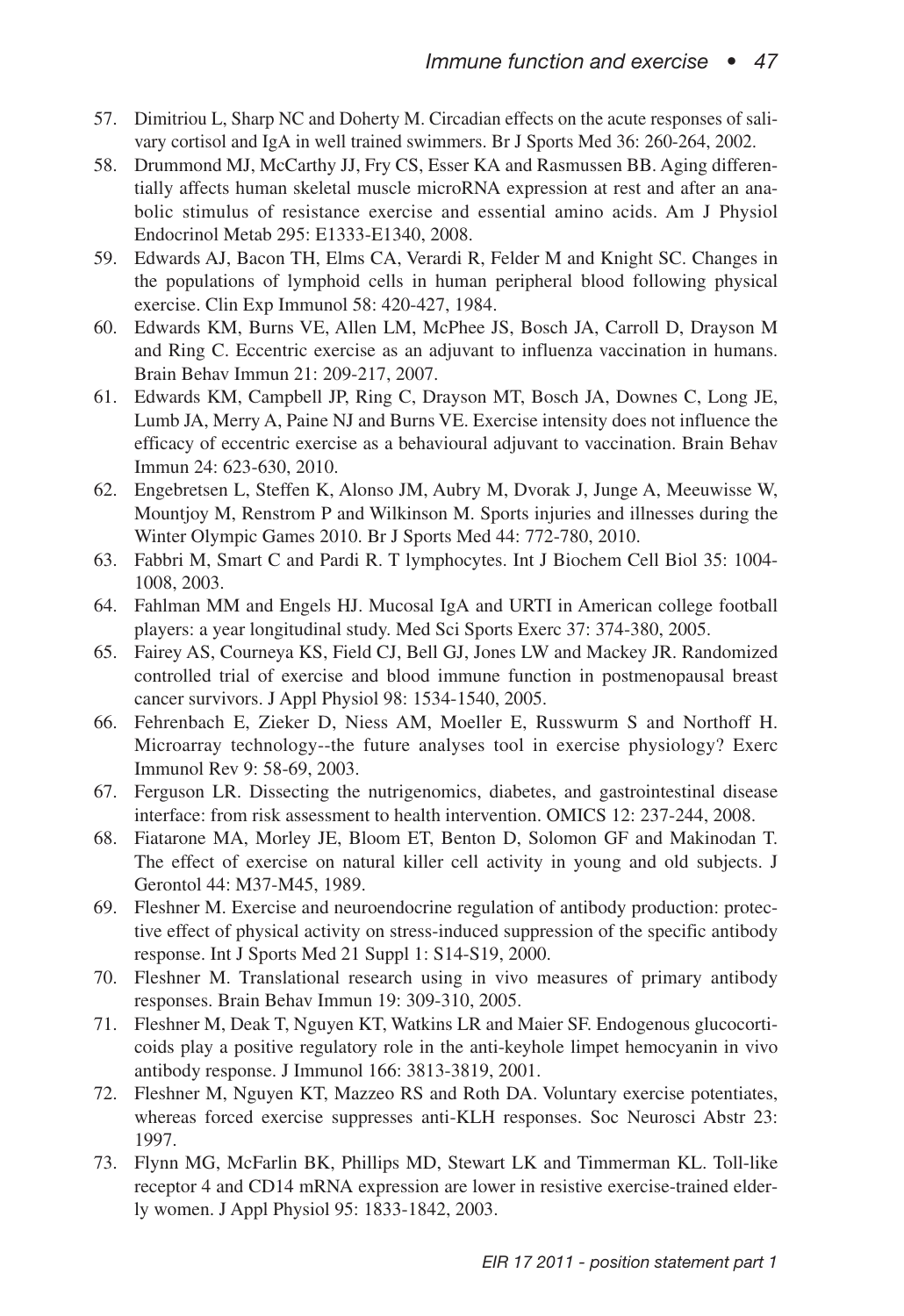- 57. Dimitriou L, Sharp NC and Doherty M. Circadian effects on the acute responses of salivary cortisol and IgA in well trained swimmers. Br J Sports Med 36: 260-264, 2002.
- 58. Drummond MJ, McCarthy JJ, Fry CS, Esser KA and Rasmussen BB. Aging differentially affects human skeletal muscle microRNA expression at rest and after an anabolic stimulus of resistance exercise and essential amino acids. Am J Physiol Endocrinol Metab 295: E1333-E1340, 2008.
- 59. Edwards AJ, Bacon TH, Elms CA, Verardi R, Felder M and Knight SC. Changes in the populations of lymphoid cells in human peripheral blood following physical exercise. Clin Exp Immunol 58: 420-427, 1984.
- 60. Edwards KM, Burns VE, Allen LM, McPhee JS, Bosch JA, Carroll D, Drayson M and Ring C. Eccentric exercise as an adjuvant to influenza vaccination in humans. Brain Behav Immun 21: 209-217, 2007.
- 61. Edwards KM, Campbell JP, Ring C, Drayson MT, Bosch JA, Downes C, Long JE, Lumb JA, Merry A, Paine NJ and Burns VE. Exercise intensity does not influence the efficacy of eccentric exercise as a behavioural adjuvant to vaccination. Brain Behav Immun 24: 623-630, 2010.
- 62. Engebretsen L, Steffen K, Alonso JM, Aubry M, Dvorak J, Junge A, Meeuwisse W, Mountjoy M, Renstrom P and Wilkinson M. Sports injuries and illnesses during the Winter Olympic Games 2010. Br J Sports Med 44: 772-780, 2010.
- 63. Fabbri M, Smart C and Pardi R. T lymphocytes. Int J Biochem Cell Biol 35: 1004- 1008, 2003.
- 64. Fahlman MM and Engels HJ. Mucosal IgA and URTI in American college football players: a year longitudinal study. Med Sci Sports Exerc 37: 374-380, 2005.
- 65. Fairey AS, Courneya KS, Field CJ, Bell GJ, Jones LW and Mackey JR. Randomized controlled trial of exercise and blood immune function in postmenopausal breast cancer survivors. J Appl Physiol 98: 1534-1540, 2005.
- 66. Fehrenbach E, Zieker D, Niess AM, Moeller E, Russwurm S and Northoff H. Microarray technology--the future analyses tool in exercise physiology? Exerc Immunol Rev 9: 58-69, 2003.
- 67. Ferguson LR. Dissecting the nutrigenomics, diabetes, and gastrointestinal disease interface: from risk assessment to health intervention. OMICS 12: 237-244, 2008.
- 68. Fiatarone MA, Morley JE, Bloom ET, Benton D, Solomon GF and Makinodan T. The effect of exercise on natural killer cell activity in young and old subjects. J Gerontol 44: M37-M45, 1989.
- 69. Fleshner M. Exercise and neuroendocrine regulation of antibody production: protective effect of physical activity on stress-induced suppression of the specific antibody response. Int J Sports Med 21 Suppl 1: S14-S19, 2000.
- 70. Fleshner M. Translational research using in vivo measures of primary antibody responses. Brain Behav Immun 19: 309-310, 2005.
- 71. Fleshner M, Deak T, Nguyen KT, Watkins LR and Maier SF. Endogenous glucocorticoids play a positive regulatory role in the anti-keyhole limpet hemocyanin in vivo antibody response. J Immunol 166: 3813-3819, 2001.
- 72. Fleshner M, Nguyen KT, Mazzeo RS and Roth DA. Voluntary exercise potentiates, whereas forced exercise suppresses anti-KLH responses. Soc Neurosci Abstr 23: 1997.
- 73. Flynn MG, McFarlin BK, Phillips MD, Stewart LK and Timmerman KL. Toll-like receptor 4 and CD14 mRNA expression are lower in resistive exercise-trained elderly women. J Appl Physiol 95: 1833-1842, 2003.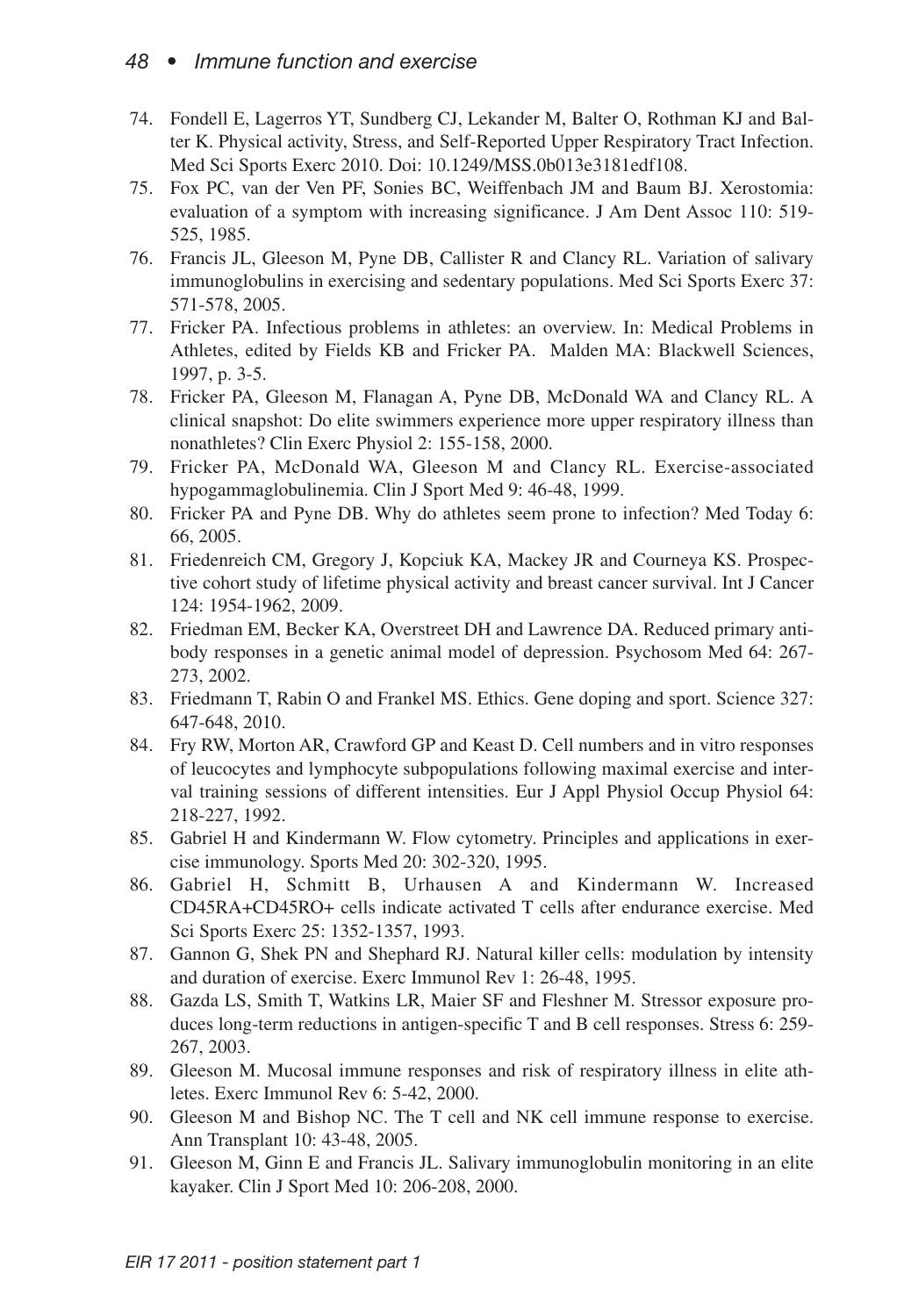- 74. Fondell E, Lagerros YT, Sundberg CJ, Lekander M, Balter O, Rothman KJ and Balter K. Physical activity, Stress, and Self-Reported Upper Respiratory Tract Infection. Med Sci Sports Exerc 2010. Doi: 10.1249/MSS.0b013e3181edf108.
- 75. Fox PC, van der Ven PF, Sonies BC, Weiffenbach JM and Baum BJ. Xerostomia: evaluation of a symptom with increasing significance. J Am Dent Assoc 110: 519- 525, 1985.
- 76. Francis JL, Gleeson M, Pyne DB, Callister R and Clancy RL. Variation of salivary immunoglobulins in exercising and sedentary populations. Med Sci Sports Exerc 37: 571-578, 2005.
- 77. Fricker PA. Infectious problems in athletes: an overview. In: Medical Problems in Athletes, edited by Fields KB and Fricker PA. Malden MA: Blackwell Sciences, 1997, p. 3-5.
- 78. Fricker PA, Gleeson M, Flanagan A, Pyne DB, McDonald WA and Clancy RL. A clinical snapshot: Do elite swimmers experience more upper respiratory illness than nonathletes? Clin Exerc Physiol 2: 155-158, 2000.
- 79. Fricker PA, McDonald WA, Gleeson M and Clancy RL. Exercise-associated hypogammaglobulinemia. Clin J Sport Med 9: 46-48, 1999.
- 80. Fricker PA and Pyne DB. Why do athletes seem prone to infection? Med Today 6: 66, 2005.
- 81. Friedenreich CM, Gregory J, Kopciuk KA, Mackey JR and Courneya KS. Prospective cohort study of lifetime physical activity and breast cancer survival. Int J Cancer 124: 1954-1962, 2009.
- 82. Friedman EM, Becker KA, Overstreet DH and Lawrence DA. Reduced primary antibody responses in a genetic animal model of depression. Psychosom Med 64: 267- 273, 2002.
- 83. Friedmann T, Rabin O and Frankel MS. Ethics. Gene doping and sport. Science 327: 647-648, 2010.
- 84. Fry RW, Morton AR, Crawford GP and Keast D. Cell numbers and in vitro responses of leucocytes and lymphocyte subpopulations following maximal exercise and interval training sessions of different intensities. Eur J Appl Physiol Occup Physiol 64: 218-227, 1992.
- 85. Gabriel H and Kindermann W. Flow cytometry. Principles and applications in exercise immunology. Sports Med 20: 302-320, 1995.
- 86. Gabriel H, Schmitt B, Urhausen A and Kindermann W. Increased CD45RA+CD45RO+ cells indicate activated T cells after endurance exercise. Med Sci Sports Exerc 25: 1352-1357, 1993.
- 87. Gannon G, Shek PN and Shephard RJ. Natural killer cells: modulation by intensity and duration of exercise. Exerc Immunol Rev 1: 26-48, 1995.
- 88. Gazda LS, Smith T, Watkins LR, Maier SF and Fleshner M. Stressor exposure produces long-term reductions in antigen-specific T and B cell responses. Stress 6: 259- 267, 2003.
- 89. Gleeson M. Mucosal immune responses and risk of respiratory illness in elite athletes. Exerc Immunol Rev 6: 5-42, 2000.
- 90. Gleeson M and Bishop NC. The T cell and NK cell immune response to exercise. Ann Transplant 10: 43-48, 2005.
- 91. Gleeson M, Ginn E and Francis JL. Salivary immunoglobulin monitoring in an elite kayaker. Clin J Sport Med 10: 206-208, 2000.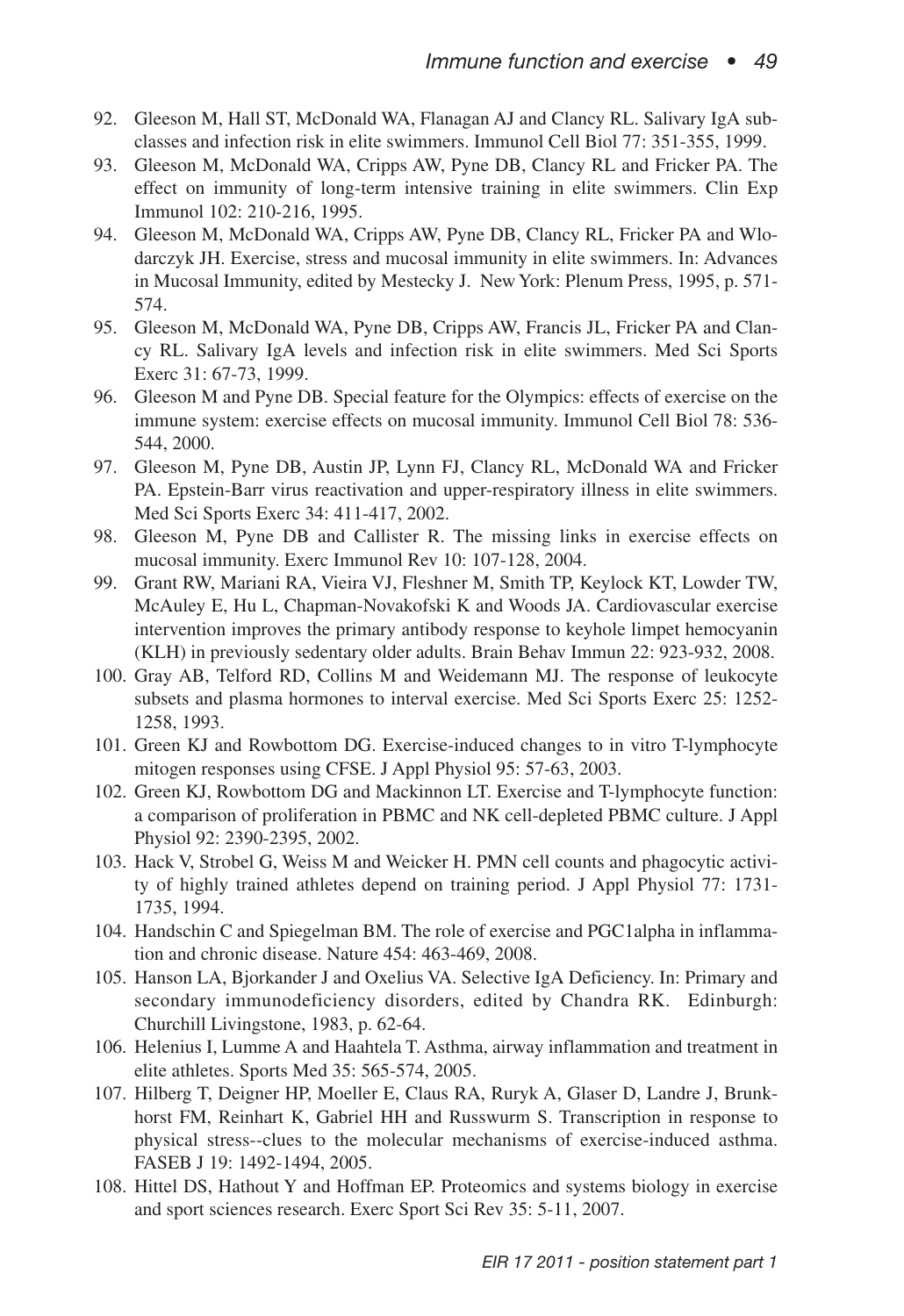- 92. Gleeson M, Hall ST, McDonald WA, Flanagan AJ and Clancy RL. Salivary IgA subclasses and infection risk in elite swimmers. Immunol Cell Biol 77: 351-355, 1999.
- 93. Gleeson M, McDonald WA, Cripps AW, Pyne DB, Clancy RL and Fricker PA. The effect on immunity of long-term intensive training in elite swimmers. Clin Exp Immunol 102: 210-216, 1995.
- 94. Gleeson M, McDonald WA, Cripps AW, Pyne DB, Clancy RL, Fricker PA and Wlodarczyk JH. Exercise, stress and mucosal immunity in elite swimmers. In: Advances in Mucosal Immunity, edited by Mestecky J. New York: Plenum Press, 1995, p. 571- 574.
- 95. Gleeson M, McDonald WA, Pyne DB, Cripps AW, Francis JL, Fricker PA and Clancy RL. Salivary IgA levels and infection risk in elite swimmers. Med Sci Sports Exerc 31: 67-73, 1999.
- 96. Gleeson M and Pyne DB. Special feature for the Olympics: effects of exercise on the immune system: exercise effects on mucosal immunity. Immunol Cell Biol 78: 536- 544, 2000.
- 97. Gleeson M, Pyne DB, Austin JP, Lynn FJ, Clancy RL, McDonald WA and Fricker PA. Epstein-Barr virus reactivation and upper-respiratory illness in elite swimmers. Med Sci Sports Exerc 34: 411-417, 2002.
- 98. Gleeson M, Pyne DB and Callister R. The missing links in exercise effects on mucosal immunity. Exerc Immunol Rev 10: 107-128, 2004.
- 99. Grant RW, Mariani RA, Vieira VJ, Fleshner M, Smith TP, Keylock KT, Lowder TW, McAuley E, Hu L, Chapman-Novakofski K and Woods JA. Cardiovascular exercise intervention improves the primary antibody response to keyhole limpet hemocyanin (KLH) in previously sedentary older adults. Brain Behav Immun 22: 923-932, 2008.
- 100. Gray AB, Telford RD, Collins M and Weidemann MJ. The response of leukocyte subsets and plasma hormones to interval exercise. Med Sci Sports Exerc 25: 1252- 1258, 1993.
- 101. Green KJ and Rowbottom DG. Exercise-induced changes to in vitro T-lymphocyte mitogen responses using CFSE. J Appl Physiol 95: 57-63, 2003.
- 102. Green KJ, Rowbottom DG and Mackinnon LT. Exercise and T-lymphocyte function: a comparison of proliferation in PBMC and NK cell-depleted PBMC culture. J Appl Physiol 92: 2390-2395, 2002.
- 103. Hack V, Strobel G, Weiss M and Weicker H. PMN cell counts and phagocytic activity of highly trained athletes depend on training period. J Appl Physiol 77: 1731- 1735, 1994.
- 104. Handschin C and Spiegelman BM. The role of exercise and PGC1alpha in inflammation and chronic disease. Nature 454: 463-469, 2008.
- 105. Hanson LA, Bjorkander J and Oxelius VA. Selective IgA Deficiency. In: Primary and secondary immunodeficiency disorders, edited by Chandra RK. Edinburgh: Churchill Livingstone, 1983, p. 62-64.
- 106. Helenius I, Lumme A and Haahtela T. Asthma, airway inflammation and treatment in elite athletes. Sports Med 35: 565-574, 2005.
- 107. Hilberg T, Deigner HP, Moeller E, Claus RA, Ruryk A, Glaser D, Landre J, Brunkhorst FM, Reinhart K, Gabriel HH and Russwurm S. Transcription in response to physical stress--clues to the molecular mechanisms of exercise-induced asthma. FASEB J 19: 1492-1494, 2005.
- 108. Hittel DS, Hathout Y and Hoffman EP. Proteomics and systems biology in exercise and sport sciences research. Exerc Sport Sci Rev 35: 5-11, 2007.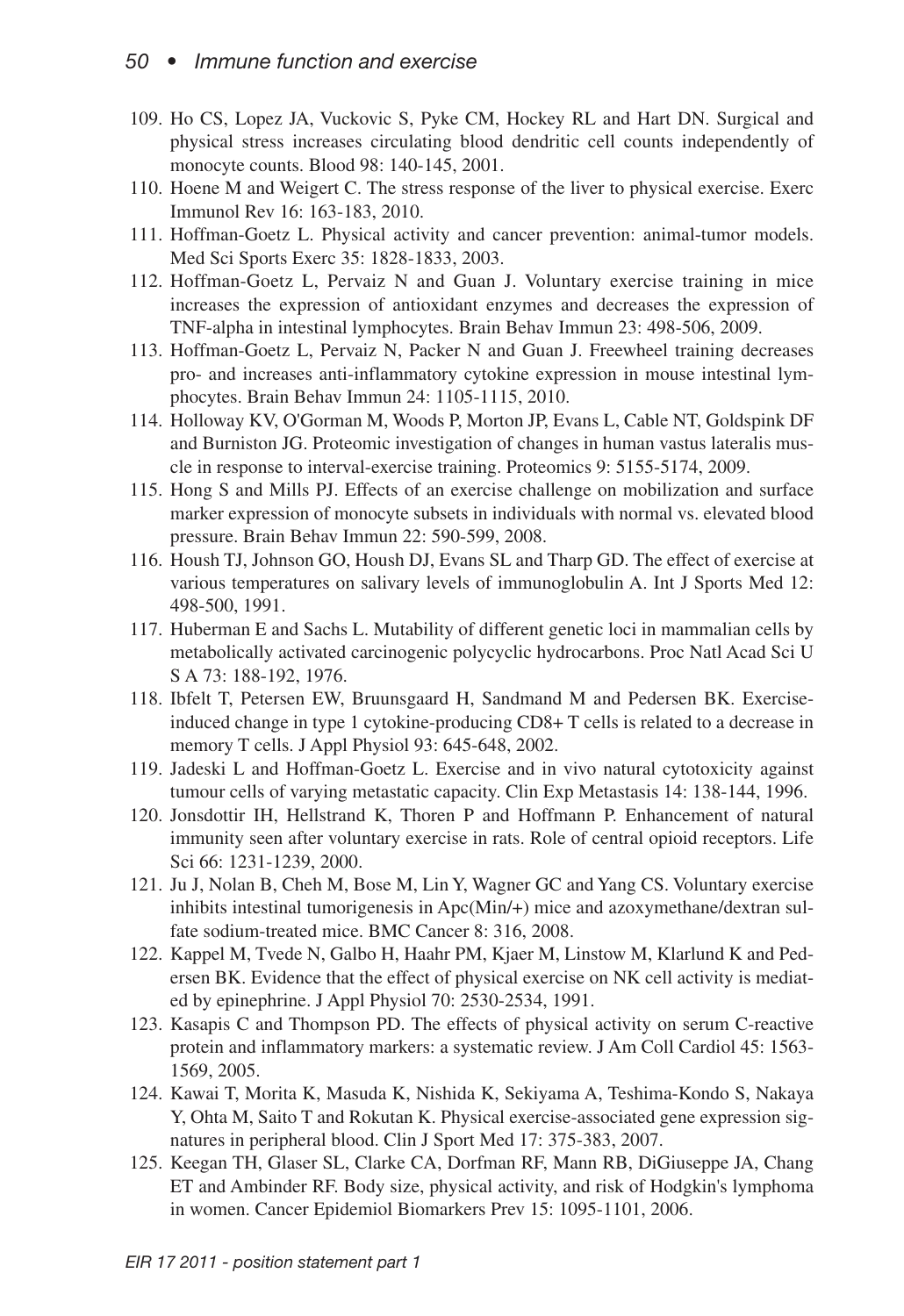- 109. Ho CS, Lopez JA, Vuckovic S, Pyke CM, Hockey RL and Hart DN. Surgical and physical stress increases circulating blood dendritic cell counts independently of monocyte counts. Blood 98: 140-145, 2001.
- 110. Hoene M and Weigert C. The stress response of the liver to physical exercise. Exerc Immunol Rev 16: 163-183, 2010.
- 111. Hoffman-Goetz L. Physical activity and cancer prevention: animal-tumor models. Med Sci Sports Exerc 35: 1828-1833, 2003.
- 112. Hoffman-Goetz L, Pervaiz N and Guan J. Voluntary exercise training in mice increases the expression of antioxidant enzymes and decreases the expression of TNF-alpha in intestinal lymphocytes. Brain Behav Immun 23: 498-506, 2009.
- 113. Hoffman-Goetz L, Pervaiz N, Packer N and Guan J. Freewheel training decreases pro- and increases anti-inflammatory cytokine expression in mouse intestinal lymphocytes. Brain Behav Immun 24: 1105-1115, 2010.
- 114. Holloway KV, O'Gorman M, Woods P, Morton JP, Evans L, Cable NT, Goldspink DF and Burniston JG. Proteomic investigation of changes in human vastus lateralis muscle in response to interval-exercise training. Proteomics 9: 5155-5174, 2009.
- 115. Hong S and Mills PJ. Effects of an exercise challenge on mobilization and surface marker expression of monocyte subsets in individuals with normal vs. elevated blood pressure. Brain Behav Immun 22: 590-599, 2008.
- 116. Housh TJ, Johnson GO, Housh DJ, Evans SL and Tharp GD. The effect of exercise at various temperatures on salivary levels of immunoglobulin A. Int J Sports Med 12: 498-500, 1991.
- 117. Huberman E and Sachs L. Mutability of different genetic loci in mammalian cells by metabolically activated carcinogenic polycyclic hydrocarbons. Proc Natl Acad Sci U S A 73: 188-192, 1976.
- 118. Ibfelt T, Petersen EW, Bruunsgaard H, Sandmand M and Pedersen BK. Exerciseinduced change in type 1 cytokine-producing CD8+ T cells is related to a decrease in memory T cells. J Appl Physiol 93: 645-648, 2002.
- 119. Jadeski L and Hoffman-Goetz L. Exercise and in vivo natural cytotoxicity against tumour cells of varying metastatic capacity. Clin Exp Metastasis 14: 138-144, 1996.
- 120. Jonsdottir IH, Hellstrand K, Thoren P and Hoffmann P. Enhancement of natural immunity seen after voluntary exercise in rats. Role of central opioid receptors. Life Sci 66: 1231-1239, 2000.
- 121. Ju J, Nolan B, Cheh M, Bose M, Lin Y, Wagner GC and Yang CS. Voluntary exercise inhibits intestinal tumorigenesis in Apc(Min/+) mice and azoxymethane/dextran sulfate sodium-treated mice. BMC Cancer 8: 316, 2008.
- 122. Kappel M, Tvede N, Galbo H, Haahr PM, Kjaer M, Linstow M, Klarlund K and Pedersen BK. Evidence that the effect of physical exercise on NK cell activity is mediated by epinephrine. J Appl Physiol 70: 2530-2534, 1991.
- 123. Kasapis C and Thompson PD. The effects of physical activity on serum C-reactive protein and inflammatory markers: a systematic review. J Am Coll Cardiol 45: 1563- 1569, 2005.
- 124. Kawai T, Morita K, Masuda K, Nishida K, Sekiyama A, Teshima-Kondo S, Nakaya Y, Ohta M, Saito T and Rokutan K. Physical exercise-associated gene expression signatures in peripheral blood. Clin J Sport Med 17: 375-383, 2007.
- 125. Keegan TH, Glaser SL, Clarke CA, Dorfman RF, Mann RB, DiGiuseppe JA, Chang ET and Ambinder RF. Body size, physical activity, and risk of Hodgkin's lymphoma in women. Cancer Epidemiol Biomarkers Prev 15: 1095-1101, 2006.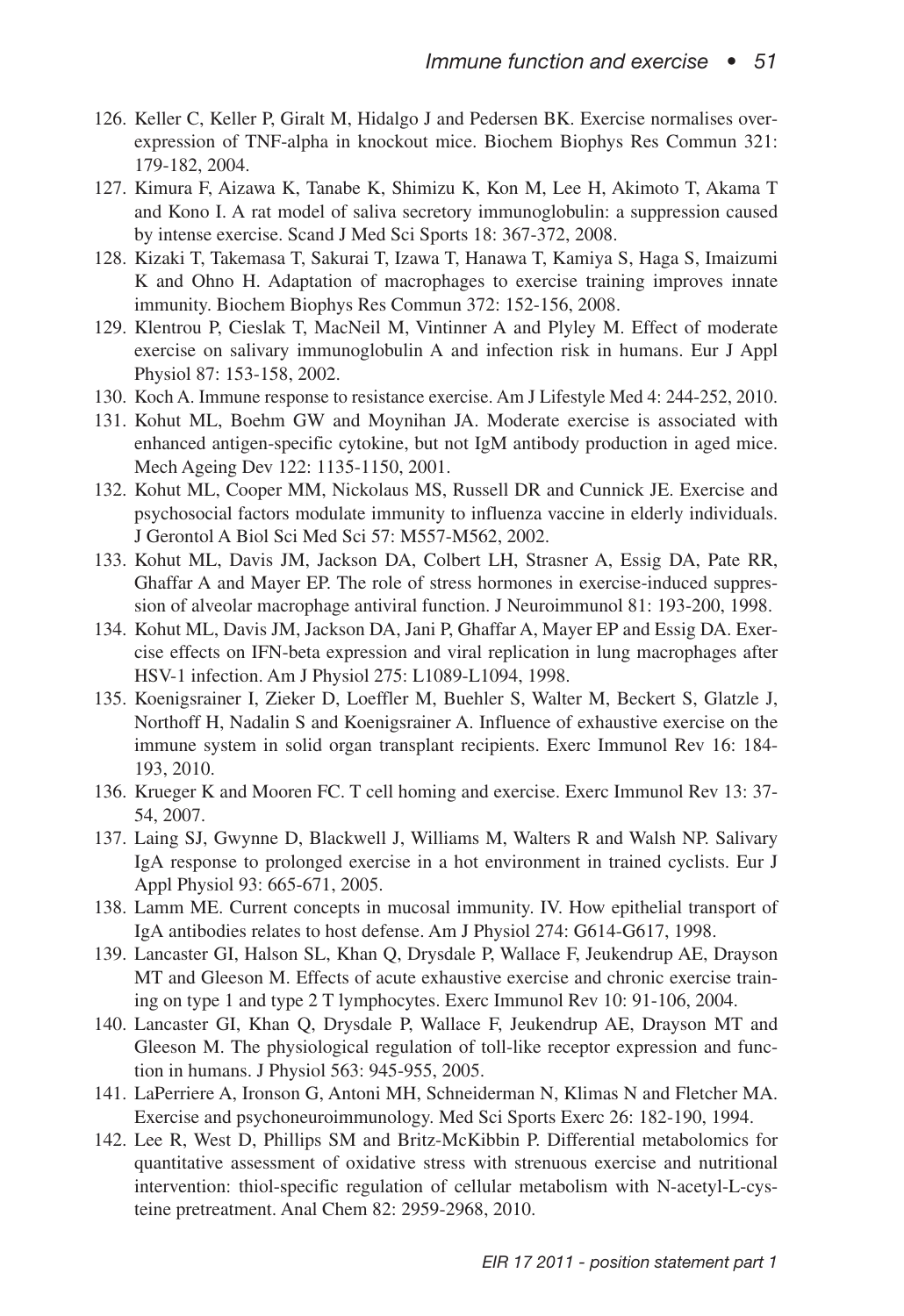- 126. Keller C, Keller P, Giralt M, Hidalgo J and Pedersen BK. Exercise normalises overexpression of TNF-alpha in knockout mice. Biochem Biophys Res Commun 321: 179-182, 2004.
- 127. Kimura F, Aizawa K, Tanabe K, Shimizu K, Kon M, Lee H, Akimoto T, Akama T and Kono I. A rat model of saliva secretory immunoglobulin: a suppression caused by intense exercise. Scand J Med Sci Sports 18: 367-372, 2008.
- 128. Kizaki T, Takemasa T, Sakurai T, Izawa T, Hanawa T, Kamiya S, Haga S, Imaizumi K and Ohno H. Adaptation of macrophages to exercise training improves innate immunity. Biochem Biophys Res Commun 372: 152-156, 2008.
- 129. Klentrou P, Cieslak T, MacNeil M, Vintinner A and Plyley M. Effect of moderate exercise on salivary immunoglobulin A and infection risk in humans. Eur J Appl Physiol 87: 153-158, 2002.
- 130. Koch A. Immune response to resistance exercise. Am J Lifestyle Med 4: 244-252, 2010.
- 131. Kohut ML, Boehm GW and Moynihan JA. Moderate exercise is associated with enhanced antigen-specific cytokine, but not IgM antibody production in aged mice. Mech Ageing Dev 122: 1135-1150, 2001.
- 132. Kohut ML, Cooper MM, Nickolaus MS, Russell DR and Cunnick JE. Exercise and psychosocial factors modulate immunity to influenza vaccine in elderly individuals. J Gerontol A Biol Sci Med Sci 57: M557-M562, 2002.
- 133. Kohut ML, Davis JM, Jackson DA, Colbert LH, Strasner A, Essig DA, Pate RR, Ghaffar A and Mayer EP. The role of stress hormones in exercise-induced suppression of alveolar macrophage antiviral function. J Neuroimmunol 81: 193-200, 1998.
- 134. Kohut ML, Davis JM, Jackson DA, Jani P, Ghaffar A, Mayer EP and Essig DA. Exercise effects on IFN-beta expression and viral replication in lung macrophages after HSV-1 infection. Am J Physiol 275: L1089-L1094, 1998.
- 135. Koenigsrainer I, Zieker D, Loeffler M, Buehler S, Walter M, Beckert S, Glatzle J, Northoff H, Nadalin S and Koenigsrainer A. Influence of exhaustive exercise on the immune system in solid organ transplant recipients. Exerc Immunol Rev 16: 184- 193, 2010.
- 136. Krueger K and Mooren FC. T cell homing and exercise. Exerc Immunol Rev 13: 37- 54, 2007.
- 137. Laing SJ, Gwynne D, Blackwell J, Williams M, Walters R and Walsh NP. Salivary IgA response to prolonged exercise in a hot environment in trained cyclists. Eur J Appl Physiol 93: 665-671, 2005.
- 138. Lamm ME. Current concepts in mucosal immunity. IV. How epithelial transport of IgA antibodies relates to host defense. Am J Physiol 274: G614-G617, 1998.
- 139. Lancaster GI, Halson SL, Khan Q, Drysdale P, Wallace F, Jeukendrup AE, Drayson MT and Gleeson M. Effects of acute exhaustive exercise and chronic exercise training on type 1 and type 2 T lymphocytes. Exerc Immunol Rev 10: 91-106, 2004.
- 140. Lancaster GI, Khan Q, Drysdale P, Wallace F, Jeukendrup AE, Drayson MT and Gleeson M. The physiological regulation of toll-like receptor expression and function in humans. J Physiol 563: 945-955, 2005.
- 141. LaPerriere A, Ironson G, Antoni MH, Schneiderman N, Klimas N and Fletcher MA. Exercise and psychoneuroimmunology. Med Sci Sports Exerc 26: 182-190, 1994.
- 142. Lee R, West D, Phillips SM and Britz-McKibbin P. Differential metabolomics for quantitative assessment of oxidative stress with strenuous exercise and nutritional intervention: thiol-specific regulation of cellular metabolism with N-acetyl-L-cysteine pretreatment. Anal Chem 82: 2959-2968, 2010.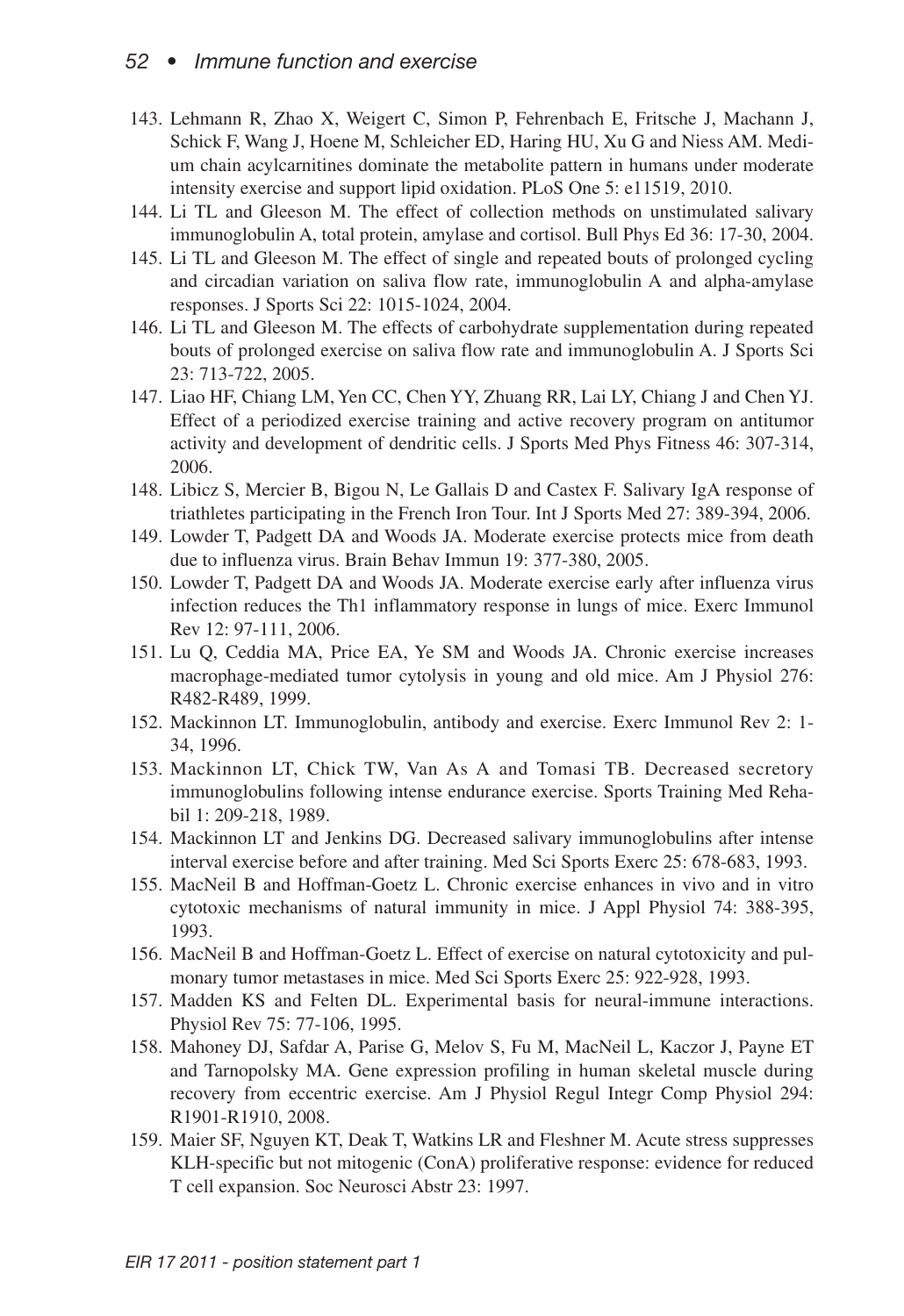- 143. Lehmann R, Zhao X, Weigert C, Simon P, Fehrenbach E, Fritsche J, Machann J, Schick F, Wang J, Hoene M, Schleicher ED, Haring HU, Xu G and Niess AM. Medium chain acylcarnitines dominate the metabolite pattern in humans under moderate intensity exercise and support lipid oxidation. PLoS One 5: e11519, 2010.
- 144. Li TL and Gleeson M. The effect of collection methods on unstimulated salivary immunoglobulin A, total protein, amylase and cortisol. Bull Phys Ed 36: 17-30, 2004.
- 145. Li TL and Gleeson M. The effect of single and repeated bouts of prolonged cycling and circadian variation on saliva flow rate, immunoglobulin A and alpha-amylase responses. J Sports Sci 22: 1015-1024, 2004.
- 146. Li TL and Gleeson M. The effects of carbohydrate supplementation during repeated bouts of prolonged exercise on saliva flow rate and immunoglobulin A. J Sports Sci 23: 713-722, 2005.
- 147. Liao HF, Chiang LM, Yen CC, Chen YY, Zhuang RR, Lai LY, Chiang J and Chen YJ. Effect of a periodized exercise training and active recovery program on antitumor activity and development of dendritic cells. J Sports Med Phys Fitness 46: 307-314, 2006.
- 148. Libicz S, Mercier B, Bigou N, Le Gallais D and Castex F. Salivary IgA response of triathletes participating in the French Iron Tour. Int J Sports Med 27: 389-394, 2006.
- 149. Lowder T, Padgett DA and Woods JA. Moderate exercise protects mice from death due to influenza virus. Brain Behav Immun 19: 377-380, 2005.
- 150. Lowder T, Padgett DA and Woods JA. Moderate exercise early after influenza virus infection reduces the Th1 inflammatory response in lungs of mice. Exerc Immunol Rev 12: 97-111, 2006.
- 151. Lu Q, Ceddia MA, Price EA, Ye SM and Woods JA. Chronic exercise increases macrophage-mediated tumor cytolysis in young and old mice. Am J Physiol 276: R482-R489, 1999.
- 152. Mackinnon LT. Immunoglobulin, antibody and exercise. Exerc Immunol Rev 2: 1- 34, 1996.
- 153. Mackinnon LT, Chick TW, Van As A and Tomasi TB. Decreased secretory immunoglobulins following intense endurance exercise. Sports Training Med Rehabil 1: 209-218, 1989.
- 154. Mackinnon LT and Jenkins DG. Decreased salivary immunoglobulins after intense interval exercise before and after training. Med Sci Sports Exerc 25: 678-683, 1993.
- 155. MacNeil B and Hoffman-Goetz L. Chronic exercise enhances in vivo and in vitro cytotoxic mechanisms of natural immunity in mice. J Appl Physiol 74: 388-395, 1993.
- 156. MacNeil B and Hoffman-Goetz L. Effect of exercise on natural cytotoxicity and pulmonary tumor metastases in mice. Med Sci Sports Exerc 25: 922-928, 1993.
- 157. Madden KS and Felten DL. Experimental basis for neural-immune interactions. Physiol Rev 75: 77-106, 1995.
- 158. Mahoney DJ, Safdar A, Parise G, Melov S, Fu M, MacNeil L, Kaczor J, Payne ET and Tarnopolsky MA. Gene expression profiling in human skeletal muscle during recovery from eccentric exercise. Am J Physiol Regul Integr Comp Physiol 294: R1901-R1910, 2008.
- 159. Maier SF, Nguyen KT, Deak T, Watkins LR and Fleshner M. Acute stress suppresses KLH-specific but not mitogenic (ConA) proliferative response: evidence for reduced T cell expansion. Soc Neurosci Abstr 23: 1997.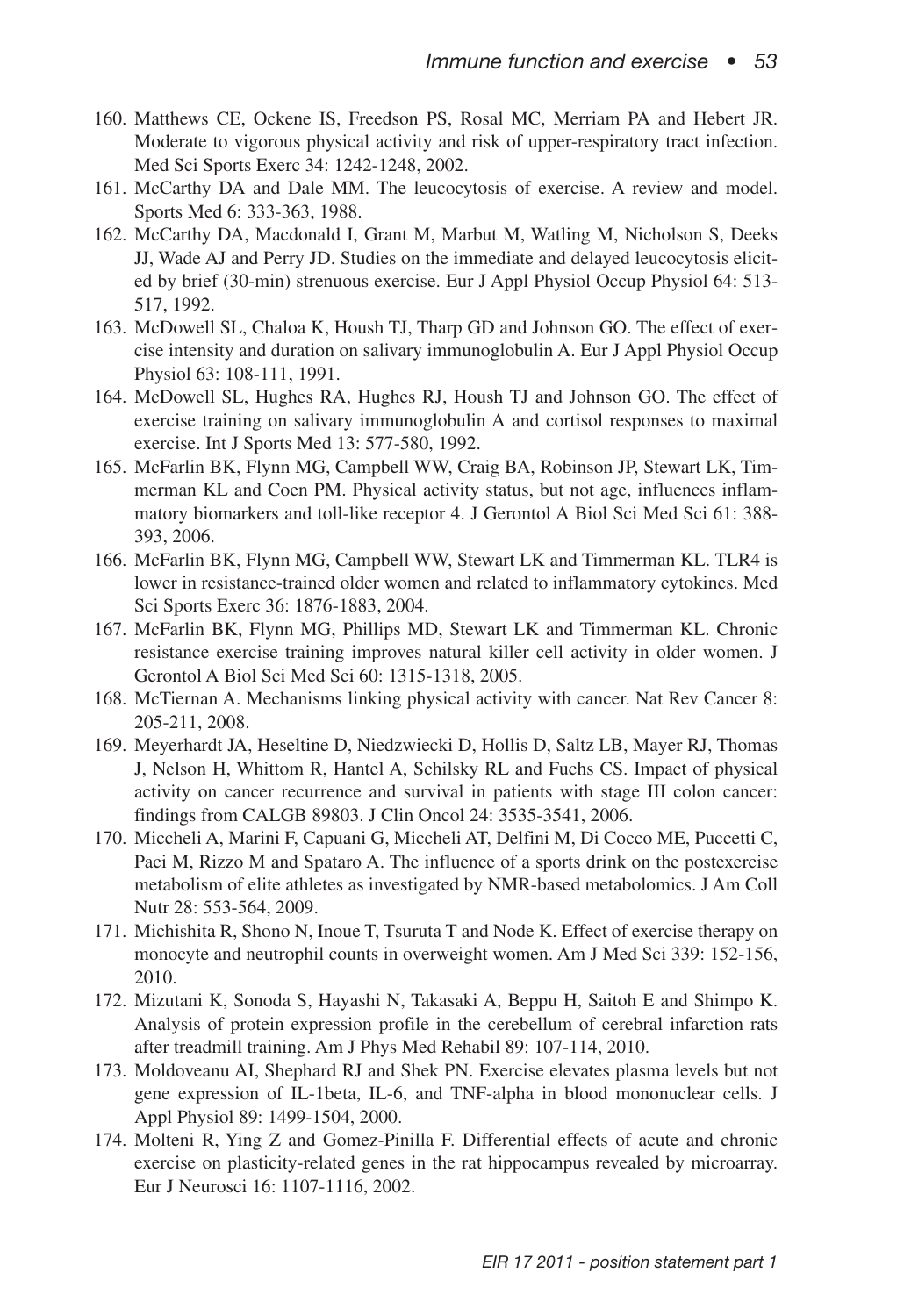- 160. Matthews CE, Ockene IS, Freedson PS, Rosal MC, Merriam PA and Hebert JR. Moderate to vigorous physical activity and risk of upper-respiratory tract infection. Med Sci Sports Exerc 34: 1242-1248, 2002.
- 161. McCarthy DA and Dale MM. The leucocytosis of exercise. A review and model. Sports Med 6: 333-363, 1988.
- 162. McCarthy DA, Macdonald I, Grant M, Marbut M, Watling M, Nicholson S, Deeks JJ, Wade AJ and Perry JD. Studies on the immediate and delayed leucocytosis elicited by brief (30-min) strenuous exercise. Eur J Appl Physiol Occup Physiol 64: 513- 517, 1992.
- 163. McDowell SL, Chaloa K, Housh TJ, Tharp GD and Johnson GO. The effect of exercise intensity and duration on salivary immunoglobulin A. Eur J Appl Physiol Occup Physiol 63: 108-111, 1991.
- 164. McDowell SL, Hughes RA, Hughes RJ, Housh TJ and Johnson GO. The effect of exercise training on salivary immunoglobulin A and cortisol responses to maximal exercise. Int J Sports Med 13: 577-580, 1992.
- 165. McFarlin BK, Flynn MG, Campbell WW, Craig BA, Robinson JP, Stewart LK, Timmerman KL and Coen PM. Physical activity status, but not age, influences inflammatory biomarkers and toll-like receptor 4. J Gerontol A Biol Sci Med Sci 61: 388- 393, 2006.
- 166. McFarlin BK, Flynn MG, Campbell WW, Stewart LK and Timmerman KL. TLR4 is lower in resistance-trained older women and related to inflammatory cytokines. Med Sci Sports Exerc 36: 1876-1883, 2004.
- 167. McFarlin BK, Flynn MG, Phillips MD, Stewart LK and Timmerman KL. Chronic resistance exercise training improves natural killer cell activity in older women. J Gerontol A Biol Sci Med Sci 60: 1315-1318, 2005.
- 168. McTiernan A. Mechanisms linking physical activity with cancer. Nat Rev Cancer 8: 205-211, 2008.
- 169. Meyerhardt JA, Heseltine D, Niedzwiecki D, Hollis D, Saltz LB, Mayer RJ, Thomas J, Nelson H, Whittom R, Hantel A, Schilsky RL and Fuchs CS. Impact of physical activity on cancer recurrence and survival in patients with stage III colon cancer: findings from CALGB 89803. J Clin Oncol 24: 3535-3541, 2006.
- 170. Miccheli A, Marini F, Capuani G, Miccheli AT, Delfini M, Di Cocco ME, Puccetti C, Paci M, Rizzo M and Spataro A. The influence of a sports drink on the postexercise metabolism of elite athletes as investigated by NMR-based metabolomics. J Am Coll Nutr 28: 553-564, 2009.
- 171. Michishita R, Shono N, Inoue T, Tsuruta T and Node K. Effect of exercise therapy on monocyte and neutrophil counts in overweight women. Am J Med Sci 339: 152-156, 2010.
- 172. Mizutani K, Sonoda S, Hayashi N, Takasaki A, Beppu H, Saitoh E and Shimpo K. Analysis of protein expression profile in the cerebellum of cerebral infarction rats after treadmill training. Am J Phys Med Rehabil 89: 107-114, 2010.
- 173. Moldoveanu AI, Shephard RJ and Shek PN. Exercise elevates plasma levels but not gene expression of IL-1beta, IL-6, and TNF-alpha in blood mononuclear cells. J Appl Physiol 89: 1499-1504, 2000.
- 174. Molteni R, Ying Z and Gomez-Pinilla F. Differential effects of acute and chronic exercise on plasticity-related genes in the rat hippocampus revealed by microarray. Eur J Neurosci 16: 1107-1116, 2002.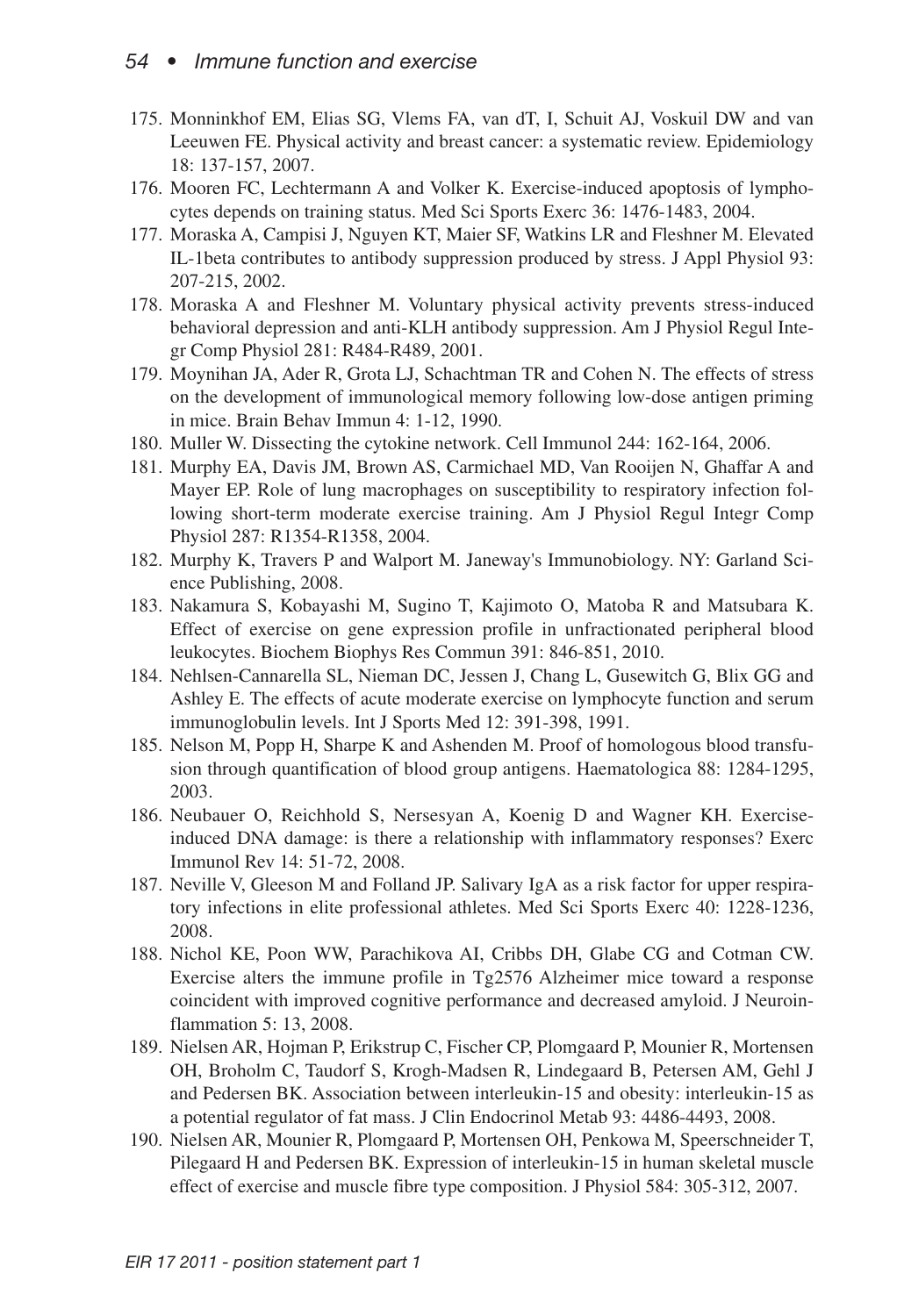- 175. Monninkhof EM, Elias SG, Vlems FA, van dT, I, Schuit AJ, Voskuil DW and van Leeuwen FE. Physical activity and breast cancer: a systematic review. Epidemiology 18: 137-157, 2007.
- 176. Mooren FC, Lechtermann A and Volker K. Exercise-induced apoptosis of lymphocytes depends on training status. Med Sci Sports Exerc 36: 1476-1483, 2004.
- 177. Moraska A, Campisi J, Nguyen KT, Maier SF, Watkins LR and Fleshner M. Elevated IL-1beta contributes to antibody suppression produced by stress. J Appl Physiol 93: 207-215, 2002.
- 178. Moraska A and Fleshner M. Voluntary physical activity prevents stress-induced behavioral depression and anti-KLH antibody suppression. Am J Physiol Regul Integr Comp Physiol 281: R484-R489, 2001.
- 179. Moynihan JA, Ader R, Grota LJ, Schachtman TR and Cohen N. The effects of stress on the development of immunological memory following low-dose antigen priming in mice. Brain Behav Immun 4: 1-12, 1990.
- 180. Muller W. Dissecting the cytokine network. Cell Immunol 244: 162-164, 2006.
- 181. Murphy EA, Davis JM, Brown AS, Carmichael MD, Van Rooijen N, Ghaffar A and Mayer EP. Role of lung macrophages on susceptibility to respiratory infection following short-term moderate exercise training. Am J Physiol Regul Integr Comp Physiol 287: R1354-R1358, 2004.
- 182. Murphy K, Travers P and Walport M. Janeway's Immunobiology. NY: Garland Science Publishing, 2008.
- 183. Nakamura S, Kobayashi M, Sugino T, Kajimoto O, Matoba R and Matsubara K. Effect of exercise on gene expression profile in unfractionated peripheral blood leukocytes. Biochem Biophys Res Commun 391: 846-851, 2010.
- 184. Nehlsen-Cannarella SL, Nieman DC, Jessen J, Chang L, Gusewitch G, Blix GG and Ashley E. The effects of acute moderate exercise on lymphocyte function and serum immunoglobulin levels. Int J Sports Med 12: 391-398, 1991.
- 185. Nelson M, Popp H, Sharpe K and Ashenden M. Proof of homologous blood transfusion through quantification of blood group antigens. Haematologica 88: 1284-1295, 2003.
- 186. Neubauer O, Reichhold S, Nersesyan A, Koenig D and Wagner KH. Exerciseinduced DNA damage: is there a relationship with inflammatory responses? Exerc Immunol Rev 14: 51-72, 2008.
- 187. Neville V, Gleeson M and Folland JP. Salivary IgA as a risk factor for upper respiratory infections in elite professional athletes. Med Sci Sports Exerc 40: 1228-1236, 2008.
- 188. Nichol KE, Poon WW, Parachikova AI, Cribbs DH, Glabe CG and Cotman CW. Exercise alters the immune profile in Tg2576 Alzheimer mice toward a response coincident with improved cognitive performance and decreased amyloid. J Neuroinflammation 5: 13, 2008.
- 189. Nielsen AR, Hojman P, Erikstrup C, Fischer CP, Plomgaard P, Mounier R, Mortensen OH, Broholm C, Taudorf S, Krogh-Madsen R, Lindegaard B, Petersen AM, Gehl J and Pedersen BK. Association between interleukin-15 and obesity: interleukin-15 as a potential regulator of fat mass. J Clin Endocrinol Metab 93: 4486-4493, 2008.
- 190. Nielsen AR, Mounier R, Plomgaard P, Mortensen OH, Penkowa M, Speerschneider T, Pilegaard H and Pedersen BK. Expression of interleukin-15 in human skeletal muscle effect of exercise and muscle fibre type composition. J Physiol 584: 305-312, 2007.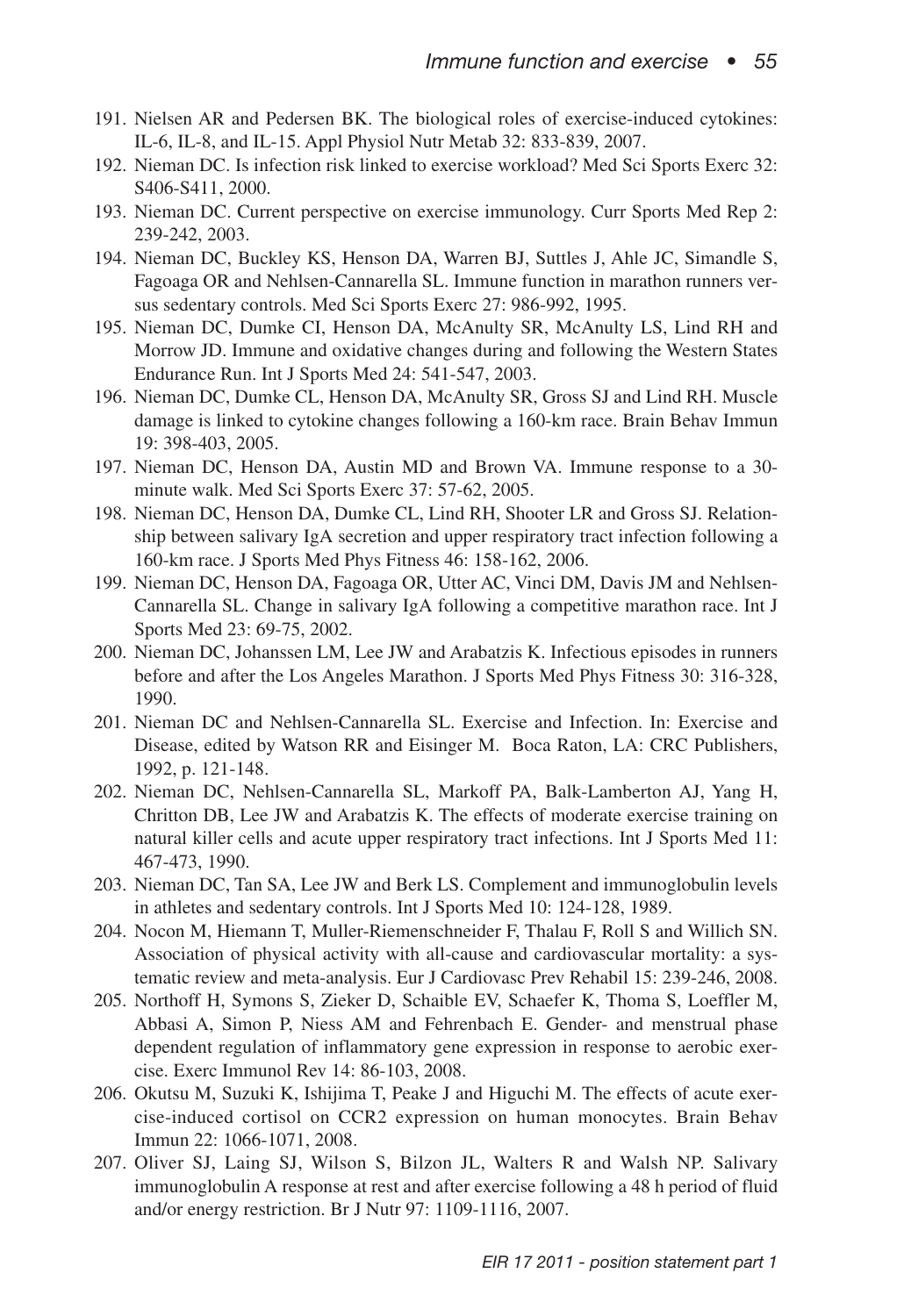- 191. Nielsen AR and Pedersen BK. The biological roles of exercise-induced cytokines: IL-6, IL-8, and IL-15. Appl Physiol Nutr Metab 32: 833-839, 2007.
- 192. Nieman DC. Is infection risk linked to exercise workload? Med Sci Sports Exerc 32: S406-S411, 2000.
- 193. Nieman DC. Current perspective on exercise immunology. Curr Sports Med Rep 2: 239-242, 2003.
- 194. Nieman DC, Buckley KS, Henson DA, Warren BJ, Suttles J, Ahle JC, Simandle S, Fagoaga OR and Nehlsen-Cannarella SL. Immune function in marathon runners versus sedentary controls. Med Sci Sports Exerc 27: 986-992, 1995.
- 195. Nieman DC, Dumke CI, Henson DA, McAnulty SR, McAnulty LS, Lind RH and Morrow JD. Immune and oxidative changes during and following the Western States Endurance Run. Int J Sports Med 24: 541-547, 2003.
- 196. Nieman DC, Dumke CL, Henson DA, McAnulty SR, Gross SJ and Lind RH. Muscle damage is linked to cytokine changes following a 160-km race. Brain Behav Immun 19: 398-403, 2005.
- 197. Nieman DC, Henson DA, Austin MD and Brown VA. Immune response to a 30 minute walk. Med Sci Sports Exerc 37: 57-62, 2005.
- 198. Nieman DC, Henson DA, Dumke CL, Lind RH, Shooter LR and Gross SJ. Relationship between salivary IgA secretion and upper respiratory tract infection following a 160-km race. J Sports Med Phys Fitness 46: 158-162, 2006.
- 199. Nieman DC, Henson DA, Fagoaga OR, Utter AC, Vinci DM, Davis JM and Nehlsen-Cannarella SL. Change in salivary IgA following a competitive marathon race. Int J Sports Med 23: 69-75, 2002.
- 200. Nieman DC, Johanssen LM, Lee JW and Arabatzis K. Infectious episodes in runners before and after the Los Angeles Marathon. J Sports Med Phys Fitness 30: 316-328, 1990.
- 201. Nieman DC and Nehlsen-Cannarella SL. Exercise and Infection. In: Exercise and Disease, edited by Watson RR and Eisinger M. Boca Raton, LA: CRC Publishers, 1992, p. 121-148.
- 202. Nieman DC, Nehlsen-Cannarella SL, Markoff PA, Balk-Lamberton AJ, Yang H, Chritton DB, Lee JW and Arabatzis K. The effects of moderate exercise training on natural killer cells and acute upper respiratory tract infections. Int J Sports Med 11: 467-473, 1990.
- 203. Nieman DC, Tan SA, Lee JW and Berk LS. Complement and immunoglobulin levels in athletes and sedentary controls. Int J Sports Med 10: 124-128, 1989.
- 204. Nocon M, Hiemann T, Muller-Riemenschneider F, Thalau F, Roll S and Willich SN. Association of physical activity with all-cause and cardiovascular mortality: a systematic review and meta-analysis. Eur J Cardiovasc Prev Rehabil 15: 239-246, 2008.
- 205. Northoff H, Symons S, Zieker D, Schaible EV, Schaefer K, Thoma S, Loeffler M, Abbasi A, Simon P, Niess AM and Fehrenbach E. Gender- and menstrual phase dependent regulation of inflammatory gene expression in response to aerobic exercise. Exerc Immunol Rev 14: 86-103, 2008.
- 206. Okutsu M, Suzuki K, Ishijima T, Peake J and Higuchi M. The effects of acute exercise-induced cortisol on CCR2 expression on human monocytes. Brain Behav Immun 22: 1066-1071, 2008.
- 207. Oliver SJ, Laing SJ, Wilson S, Bilzon JL, Walters R and Walsh NP. Salivary immunoglobulin A response at rest and after exercise following a 48 h period of fluid and/or energy restriction. Br J Nutr 97: 1109-1116, 2007.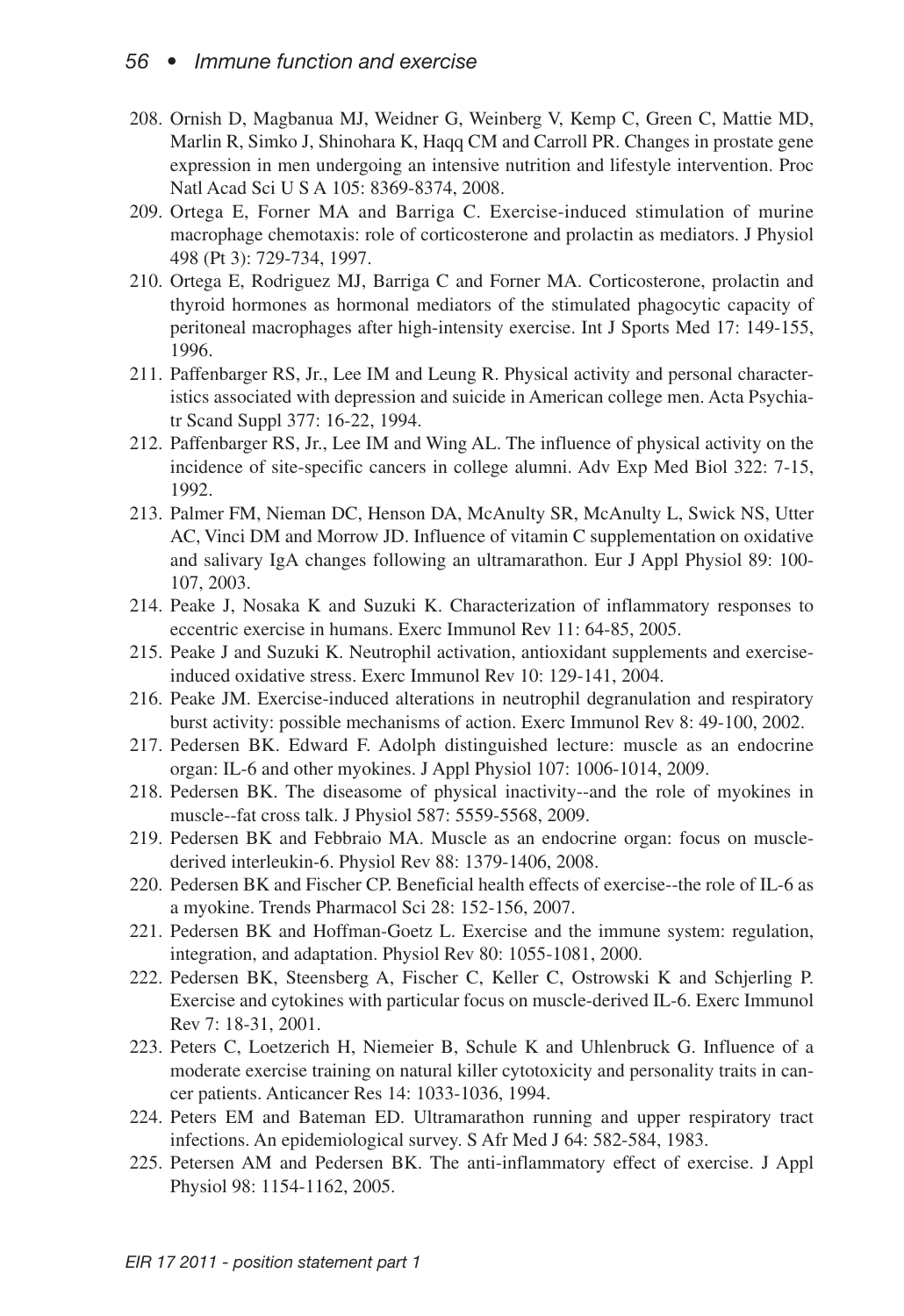- 208. Ornish D, Magbanua MJ, Weidner G, Weinberg V, Kemp C, Green C, Mattie MD, Marlin R, Simko J, Shinohara K, Haqq CM and Carroll PR. Changes in prostate gene expression in men undergoing an intensive nutrition and lifestyle intervention. Proc Natl Acad Sci U S A 105: 8369-8374, 2008.
- 209. Ortega E, Forner MA and Barriga C. Exercise-induced stimulation of murine macrophage chemotaxis: role of corticosterone and prolactin as mediators. J Physiol 498 (Pt 3): 729-734, 1997.
- 210. Ortega E, Rodriguez MJ, Barriga C and Forner MA. Corticosterone, prolactin and thyroid hormones as hormonal mediators of the stimulated phagocytic capacity of peritoneal macrophages after high-intensity exercise. Int J Sports Med 17: 149-155, 1996.
- 211. Paffenbarger RS, Jr., Lee IM and Leung R. Physical activity and personal characteristics associated with depression and suicide in American college men. Acta Psychiatr Scand Suppl 377: 16-22, 1994.
- 212. Paffenbarger RS, Jr., Lee IM and Wing AL. The influence of physical activity on the incidence of site-specific cancers in college alumni. Adv Exp Med Biol 322: 7-15, 1992.
- 213. Palmer FM, Nieman DC, Henson DA, McAnulty SR, McAnulty L, Swick NS, Utter AC, Vinci DM and Morrow JD. Influence of vitamin C supplementation on oxidative and salivary IgA changes following an ultramarathon. Eur J Appl Physiol 89: 100- 107, 2003.
- 214. Peake J, Nosaka K and Suzuki K. Characterization of inflammatory responses to eccentric exercise in humans. Exerc Immunol Rev 11: 64-85, 2005.
- 215. Peake J and Suzuki K. Neutrophil activation, antioxidant supplements and exerciseinduced oxidative stress. Exerc Immunol Rev 10: 129-141, 2004.
- 216. Peake JM. Exercise-induced alterations in neutrophil degranulation and respiratory burst activity: possible mechanisms of action. Exerc Immunol Rev 8: 49-100, 2002.
- 217. Pedersen BK. Edward F. Adolph distinguished lecture: muscle as an endocrine organ: IL-6 and other myokines. J Appl Physiol 107: 1006-1014, 2009.
- 218. Pedersen BK. The diseasome of physical inactivity--and the role of myokines in muscle--fat cross talk. J Physiol 587: 5559-5568, 2009.
- 219. Pedersen BK and Febbraio MA. Muscle as an endocrine organ: focus on musclederived interleukin-6. Physiol Rev 88: 1379-1406, 2008.
- 220. Pedersen BK and Fischer CP. Beneficial health effects of exercise--the role of IL-6 as a myokine. Trends Pharmacol Sci 28: 152-156, 2007.
- 221. Pedersen BK and Hoffman-Goetz L. Exercise and the immune system: regulation, integration, and adaptation. Physiol Rev 80: 1055-1081, 2000.
- 222. Pedersen BK, Steensberg A, Fischer C, Keller C, Ostrowski K and Schjerling P. Exercise and cytokines with particular focus on muscle-derived IL-6. Exerc Immunol Rev 7: 18-31, 2001.
- 223. Peters C, Loetzerich H, Niemeier B, Schule K and Uhlenbruck G. Influence of a moderate exercise training on natural killer cytotoxicity and personality traits in cancer patients. Anticancer Res 14: 1033-1036, 1994.
- 224. Peters EM and Bateman ED. Ultramarathon running and upper respiratory tract infections. An epidemiological survey. S Afr Med J 64: 582-584, 1983.
- 225. Petersen AM and Pedersen BK. The anti-inflammatory effect of exercise. J Appl Physiol 98: 1154-1162, 2005.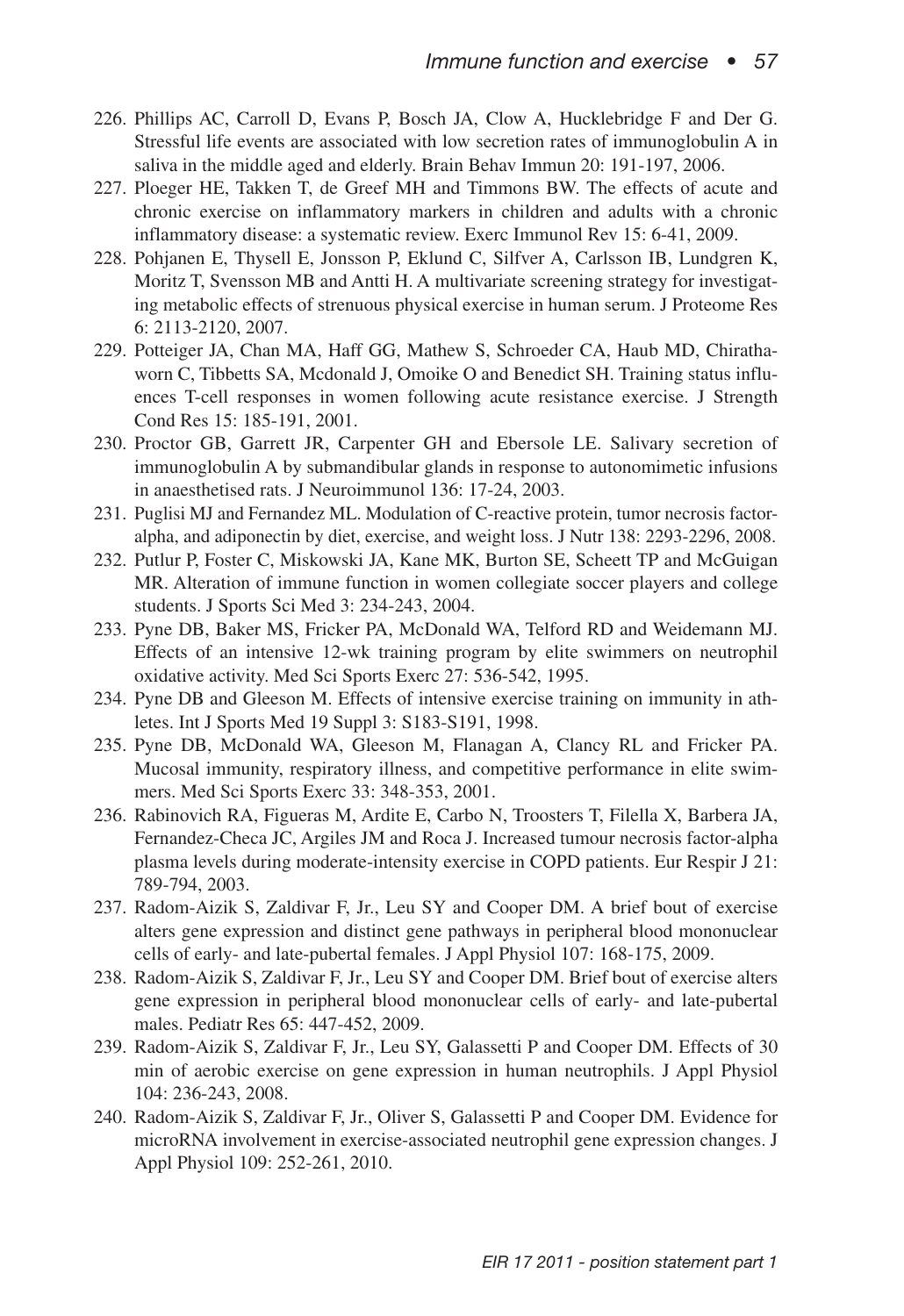- 226. Phillips AC, Carroll D, Evans P, Bosch JA, Clow A, Hucklebridge F and Der G. Stressful life events are associated with low secretion rates of immunoglobulin A in saliva in the middle aged and elderly. Brain Behav Immun 20: 191-197, 2006.
- 227. Ploeger HE, Takken T, de Greef MH and Timmons BW. The effects of acute and chronic exercise on inflammatory markers in children and adults with a chronic inflammatory disease: a systematic review. Exerc Immunol Rev 15: 6-41, 2009.
- 228. Pohjanen E, Thysell E, Jonsson P, Eklund C, Silfver A, Carlsson IB, Lundgren K, Moritz T, Svensson MB and Antti H. A multivariate screening strategy for investigating metabolic effects of strenuous physical exercise in human serum. J Proteome Res 6: 2113-2120, 2007.
- 229. Potteiger JA, Chan MA, Haff GG, Mathew S, Schroeder CA, Haub MD, Chirathaworn C, Tibbetts SA, Mcdonald J, Omoike O and Benedict SH. Training status influences T-cell responses in women following acute resistance exercise. J Strength Cond Res 15: 185-191, 2001.
- 230. Proctor GB, Garrett JR, Carpenter GH and Ebersole LE. Salivary secretion of immunoglobulin A by submandibular glands in response to autonomimetic infusions in anaesthetised rats. J Neuroimmunol 136: 17-24, 2003.
- 231. Puglisi MJ and Fernandez ML. Modulation of C-reactive protein, tumor necrosis factoralpha, and adiponectin by diet, exercise, and weight loss. J Nutr 138: 2293-2296, 2008.
- 232. Putlur P, Foster C, Miskowski JA, Kane MK, Burton SE, Scheett TP and McGuigan MR. Alteration of immune function in women collegiate soccer players and college students. J Sports Sci Med 3: 234-243, 2004.
- 233. Pyne DB, Baker MS, Fricker PA, McDonald WA, Telford RD and Weidemann MJ. Effects of an intensive 12-wk training program by elite swimmers on neutrophil oxidative activity. Med Sci Sports Exerc 27: 536-542, 1995.
- 234. Pyne DB and Gleeson M. Effects of intensive exercise training on immunity in athletes. Int J Sports Med 19 Suppl 3: S183-S191, 1998.
- 235. Pyne DB, McDonald WA, Gleeson M, Flanagan A, Clancy RL and Fricker PA. Mucosal immunity, respiratory illness, and competitive performance in elite swimmers. Med Sci Sports Exerc 33: 348-353, 2001.
- 236. Rabinovich RA, Figueras M, Ardite E, Carbo N, Troosters T, Filella X, Barbera JA, Fernandez-Checa JC, Argiles JM and Roca J. Increased tumour necrosis factor-alpha plasma levels during moderate-intensity exercise in COPD patients. Eur Respir J 21: 789-794, 2003.
- 237. Radom-Aizik S, Zaldivar F, Jr., Leu SY and Cooper DM. A brief bout of exercise alters gene expression and distinct gene pathways in peripheral blood mononuclear cells of early- and late-pubertal females. J Appl Physiol 107: 168-175, 2009.
- 238. Radom-Aizik S, Zaldivar F, Jr., Leu SY and Cooper DM. Brief bout of exercise alters gene expression in peripheral blood mononuclear cells of early- and late-pubertal males. Pediatr Res 65: 447-452, 2009.
- 239. Radom-Aizik S, Zaldivar F, Jr., Leu SY, Galassetti P and Cooper DM. Effects of 30 min of aerobic exercise on gene expression in human neutrophils. J Appl Physiol 104: 236-243, 2008.
- 240. Radom-Aizik S, Zaldivar F, Jr., Oliver S, Galassetti P and Cooper DM. Evidence for microRNA involvement in exercise-associated neutrophil gene expression changes. J Appl Physiol 109: 252-261, 2010.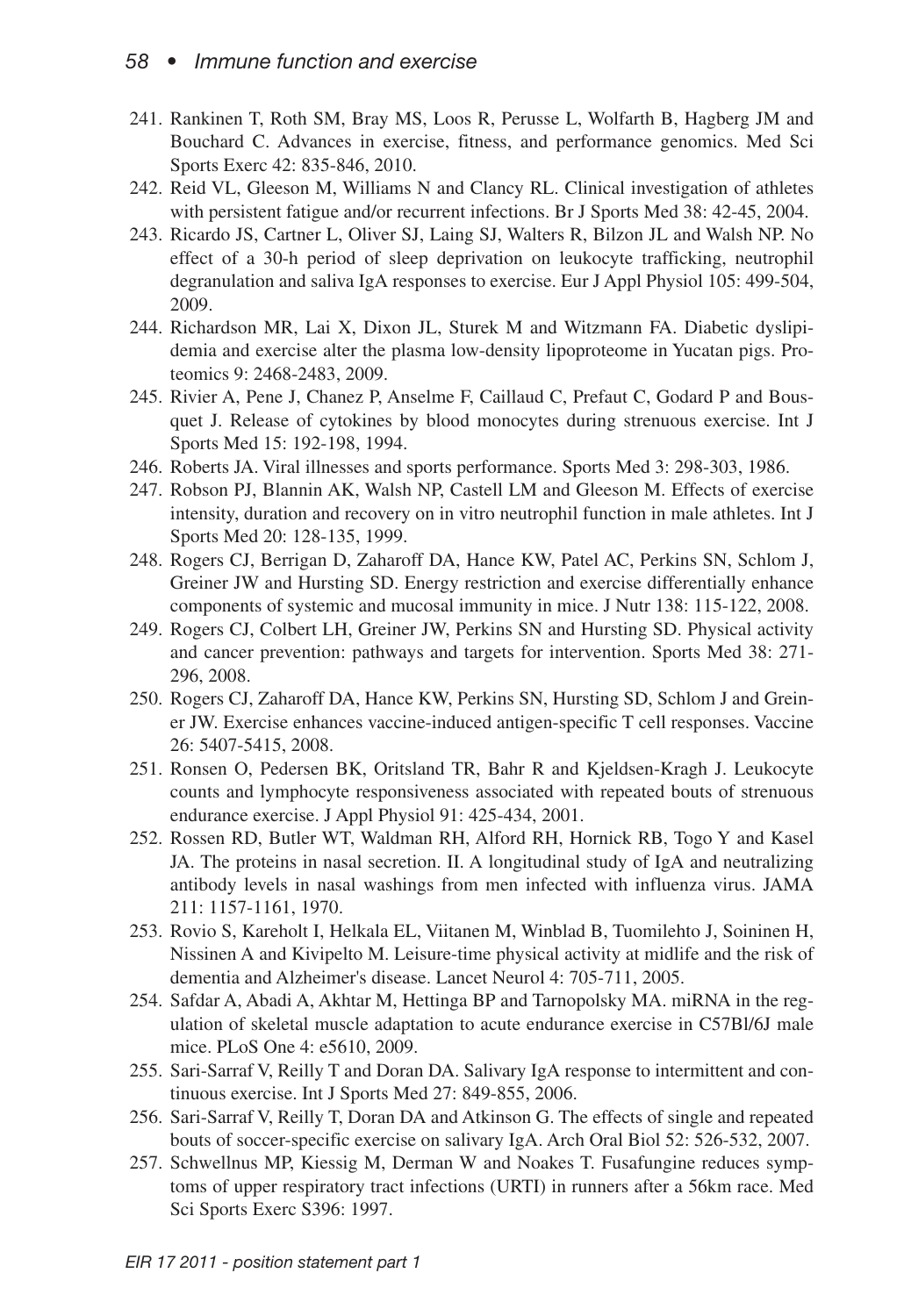- 241. Rankinen T, Roth SM, Bray MS, Loos R, Perusse L, Wolfarth B, Hagberg JM and Bouchard C. Advances in exercise, fitness, and performance genomics. Med Sci Sports Exerc 42: 835-846, 2010.
- 242. Reid VL, Gleeson M, Williams N and Clancy RL. Clinical investigation of athletes with persistent fatigue and/or recurrent infections. Br J Sports Med 38: 42-45, 2004.
- 243. Ricardo JS, Cartner L, Oliver SJ, Laing SJ, Walters R, Bilzon JL and Walsh NP. No effect of a 30-h period of sleep deprivation on leukocyte trafficking, neutrophil degranulation and saliva IgA responses to exercise. Eur J Appl Physiol 105: 499-504, 2009.
- 244. Richardson MR, Lai X, Dixon JL, Sturek M and Witzmann FA. Diabetic dyslipidemia and exercise alter the plasma low-density lipoproteome in Yucatan pigs. Proteomics 9: 2468-2483, 2009.
- 245. Rivier A, Pene J, Chanez P, Anselme F, Caillaud C, Prefaut C, Godard P and Bousquet J. Release of cytokines by blood monocytes during strenuous exercise. Int J Sports Med 15: 192-198, 1994.
- 246. Roberts JA. Viral illnesses and sports performance. Sports Med 3: 298-303, 1986.
- 247. Robson PJ, Blannin AK, Walsh NP, Castell LM and Gleeson M. Effects of exercise intensity, duration and recovery on in vitro neutrophil function in male athletes. Int J Sports Med 20: 128-135, 1999.
- 248. Rogers CJ, Berrigan D, Zaharoff DA, Hance KW, Patel AC, Perkins SN, Schlom J, Greiner JW and Hursting SD. Energy restriction and exercise differentially enhance components of systemic and mucosal immunity in mice. J Nutr 138: 115-122, 2008.
- 249. Rogers CJ, Colbert LH, Greiner JW, Perkins SN and Hursting SD. Physical activity and cancer prevention: pathways and targets for intervention. Sports Med 38: 271- 296, 2008.
- 250. Rogers CJ, Zaharoff DA, Hance KW, Perkins SN, Hursting SD, Schlom J and Greiner JW. Exercise enhances vaccine-induced antigen-specific T cell responses. Vaccine 26: 5407-5415, 2008.
- 251. Ronsen O, Pedersen BK, Oritsland TR, Bahr R and Kjeldsen-Kragh J. Leukocyte counts and lymphocyte responsiveness associated with repeated bouts of strenuous endurance exercise. J Appl Physiol 91: 425-434, 2001.
- 252. Rossen RD, Butler WT, Waldman RH, Alford RH, Hornick RB, Togo Y and Kasel JA. The proteins in nasal secretion. II. A longitudinal study of IgA and neutralizing antibody levels in nasal washings from men infected with influenza virus. JAMA 211: 1157-1161, 1970.
- 253. Rovio S, Kareholt I, Helkala EL, Viitanen M, Winblad B, Tuomilehto J, Soininen H, Nissinen A and Kivipelto M. Leisure-time physical activity at midlife and the risk of dementia and Alzheimer's disease. Lancet Neurol 4: 705-711, 2005.
- 254. Safdar A, Abadi A, Akhtar M, Hettinga BP and Tarnopolsky MA. miRNA in the regulation of skeletal muscle adaptation to acute endurance exercise in C57Bl/6J male mice. PLoS One 4: e5610, 2009.
- 255. Sari-Sarraf V, Reilly T and Doran DA. Salivary IgA response to intermittent and continuous exercise. Int J Sports Med 27: 849-855, 2006.
- 256. Sari-Sarraf V, Reilly T, Doran DA and Atkinson G. The effects of single and repeated bouts of soccer-specific exercise on salivary IgA. Arch Oral Biol 52: 526-532, 2007.
- 257. Schwellnus MP, Kiessig M, Derman W and Noakes T. Fusafungine reduces symptoms of upper respiratory tract infections (URTI) in runners after a 56km race. Med Sci Sports Exerc S396: 1997.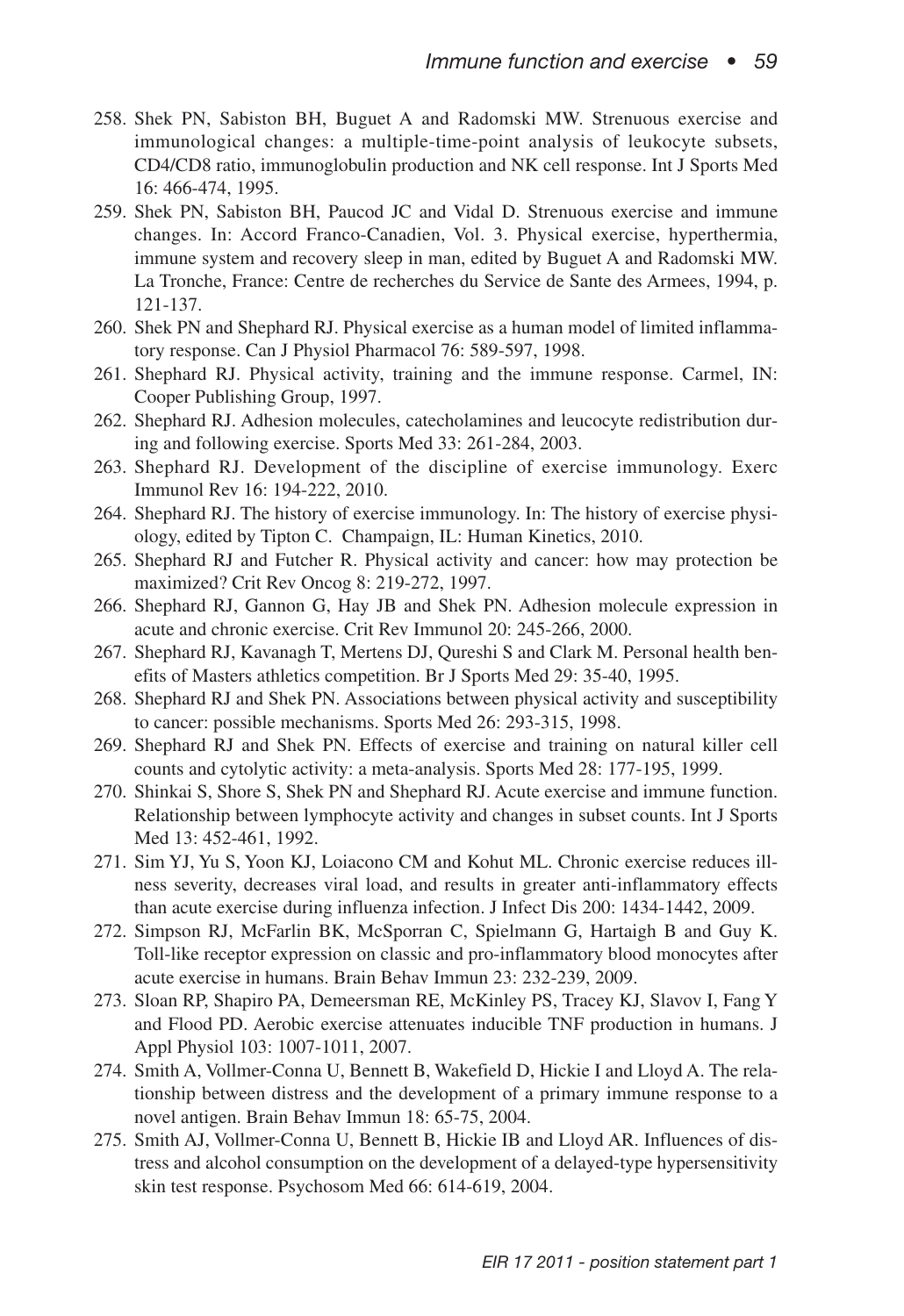- 258. Shek PN, Sabiston BH, Buguet A and Radomski MW. Strenuous exercise and immunological changes: a multiple-time-point analysis of leukocyte subsets, CD4/CD8 ratio, immunoglobulin production and NK cell response. Int J Sports Med 16: 466-474, 1995.
- 259. Shek PN, Sabiston BH, Paucod JC and Vidal D. Strenuous exercise and immune changes. In: Accord Franco-Canadien, Vol. 3. Physical exercise, hyperthermia, immune system and recovery sleep in man, edited by Buguet A and Radomski MW. La Tronche, France: Centre de recherches du Service de Sante des Armees, 1994, p. 121-137.
- 260. Shek PN and Shephard RJ. Physical exercise as a human model of limited inflammatory response. Can J Physiol Pharmacol 76: 589-597, 1998.
- 261. Shephard RJ. Physical activity, training and the immune response. Carmel, IN: Cooper Publishing Group, 1997.
- 262. Shephard RJ. Adhesion molecules, catecholamines and leucocyte redistribution during and following exercise. Sports Med 33: 261-284, 2003.
- 263. Shephard RJ. Development of the discipline of exercise immunology. Exerc Immunol Rev 16: 194-222, 2010.
- 264. Shephard RJ. The history of exercise immunology. In: The history of exercise physiology, edited by Tipton C. Champaign, IL: Human Kinetics, 2010.
- 265. Shephard RJ and Futcher R. Physical activity and cancer: how may protection be maximized? Crit Rev Oncog 8: 219-272, 1997.
- 266. Shephard RJ, Gannon G, Hay JB and Shek PN. Adhesion molecule expression in acute and chronic exercise. Crit Rev Immunol 20: 245-266, 2000.
- 267. Shephard RJ, Kavanagh T, Mertens DJ, Qureshi S and Clark M. Personal health benefits of Masters athletics competition. Br J Sports Med 29: 35-40, 1995.
- 268. Shephard RJ and Shek PN. Associations between physical activity and susceptibility to cancer: possible mechanisms. Sports Med 26: 293-315, 1998.
- 269. Shephard RJ and Shek PN. Effects of exercise and training on natural killer cell counts and cytolytic activity: a meta-analysis. Sports Med 28: 177-195, 1999.
- 270. Shinkai S, Shore S, Shek PN and Shephard RJ. Acute exercise and immune function. Relationship between lymphocyte activity and changes in subset counts. Int J Sports Med 13: 452-461, 1992.
- 271. Sim YJ, Yu S, Yoon KJ, Loiacono CM and Kohut ML. Chronic exercise reduces illness severity, decreases viral load, and results in greater anti-inflammatory effects than acute exercise during influenza infection. J Infect Dis 200: 1434-1442, 2009.
- 272. Simpson RJ, McFarlin BK, McSporran C, Spielmann G, Hartaigh B and Guy K. Toll-like receptor expression on classic and pro-inflammatory blood monocytes after acute exercise in humans. Brain Behav Immun 23: 232-239, 2009.
- 273. Sloan RP, Shapiro PA, Demeersman RE, McKinley PS, Tracey KJ, Slavov I, Fang Y and Flood PD. Aerobic exercise attenuates inducible TNF production in humans. J Appl Physiol 103: 1007-1011, 2007.
- 274. Smith A, Vollmer-Conna U, Bennett B, Wakefield D, Hickie I and Lloyd A. The relationship between distress and the development of a primary immune response to a novel antigen. Brain Behav Immun 18: 65-75, 2004.
- 275. Smith AJ, Vollmer-Conna U, Bennett B, Hickie IB and Lloyd AR. Influences of distress and alcohol consumption on the development of a delayed-type hypersensitivity skin test response. Psychosom Med 66: 614-619, 2004.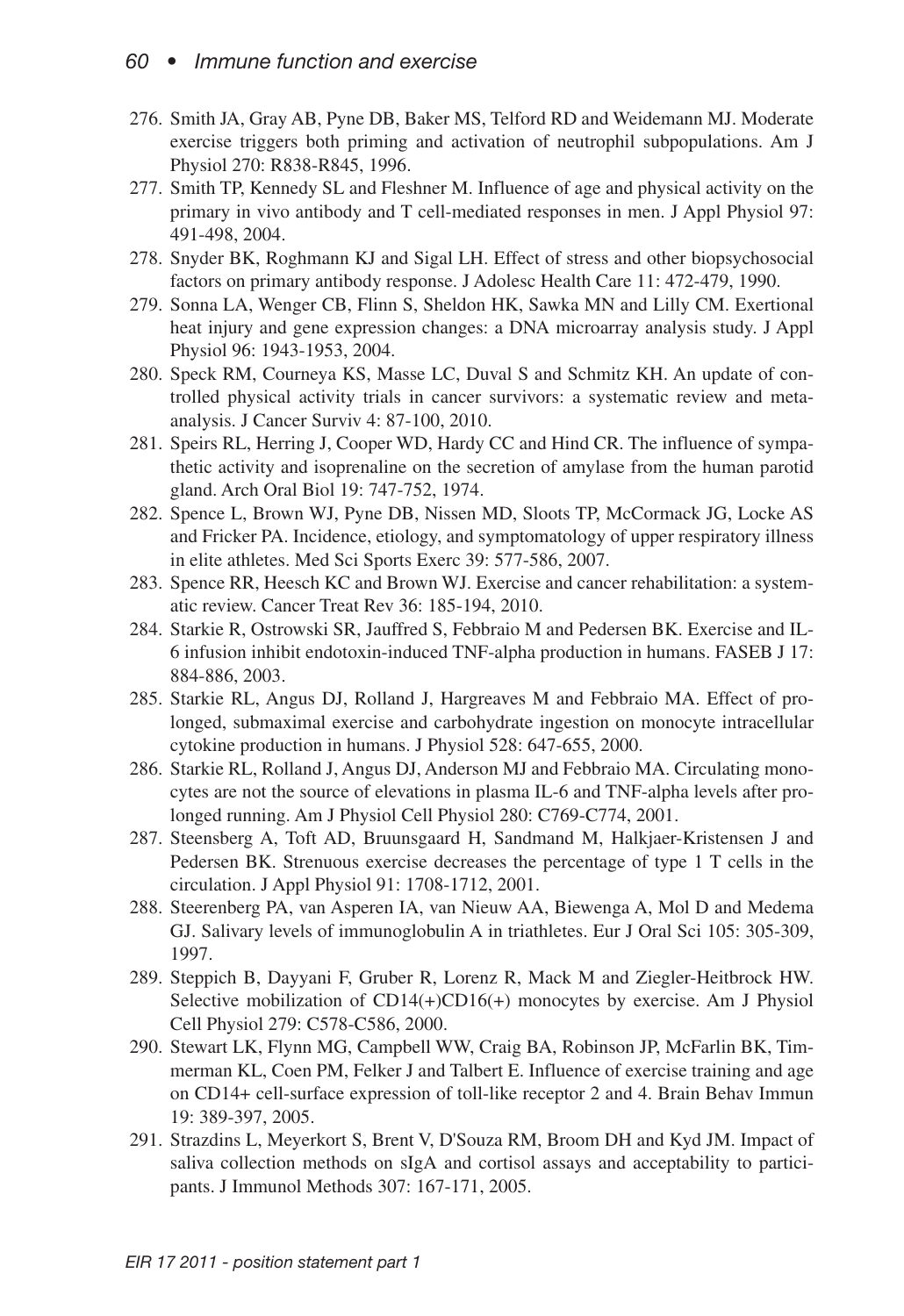- 276. Smith JA, Gray AB, Pyne DB, Baker MS, Telford RD and Weidemann MJ. Moderate exercise triggers both priming and activation of neutrophil subpopulations. Am J Physiol 270: R838-R845, 1996.
- 277. Smith TP, Kennedy SL and Fleshner M. Influence of age and physical activity on the primary in vivo antibody and T cell-mediated responses in men. J Appl Physiol 97: 491-498, 2004.
- 278. Snyder BK, Roghmann KJ and Sigal LH. Effect of stress and other biopsychosocial factors on primary antibody response. J Adolesc Health Care 11: 472-479, 1990.
- 279. Sonna LA, Wenger CB, Flinn S, Sheldon HK, Sawka MN and Lilly CM. Exertional heat injury and gene expression changes: a DNA microarray analysis study. J Appl Physiol 96: 1943-1953, 2004.
- 280. Speck RM, Courneya KS, Masse LC, Duval S and Schmitz KH. An update of controlled physical activity trials in cancer survivors: a systematic review and metaanalysis. J Cancer Surviv 4: 87-100, 2010.
- 281. Speirs RL, Herring J, Cooper WD, Hardy CC and Hind CR. The influence of sympathetic activity and isoprenaline on the secretion of amylase from the human parotid gland. Arch Oral Biol 19: 747-752, 1974.
- 282. Spence L, Brown WJ, Pyne DB, Nissen MD, Sloots TP, McCormack JG, Locke AS and Fricker PA. Incidence, etiology, and symptomatology of upper respiratory illness in elite athletes. Med Sci Sports Exerc 39: 577-586, 2007.
- 283. Spence RR, Heesch KC and Brown WJ. Exercise and cancer rehabilitation: a systematic review. Cancer Treat Rev 36: 185-194, 2010.
- 284. Starkie R, Ostrowski SR, Jauffred S, Febbraio M and Pedersen BK. Exercise and IL-6 infusion inhibit endotoxin-induced TNF-alpha production in humans. FASEB J 17: 884-886, 2003.
- 285. Starkie RL, Angus DJ, Rolland J, Hargreaves M and Febbraio MA. Effect of prolonged, submaximal exercise and carbohydrate ingestion on monocyte intracellular cytokine production in humans. J Physiol 528: 647-655, 2000.
- 286. Starkie RL, Rolland J, Angus DJ, Anderson MJ and Febbraio MA. Circulating monocytes are not the source of elevations in plasma IL-6 and TNF-alpha levels after prolonged running. Am J Physiol Cell Physiol 280: C769-C774, 2001.
- 287. Steensberg A, Toft AD, Bruunsgaard H, Sandmand M, Halkjaer-Kristensen J and Pedersen BK. Strenuous exercise decreases the percentage of type 1 T cells in the circulation. J Appl Physiol 91: 1708-1712, 2001.
- 288. Steerenberg PA, van Asperen IA, van Nieuw AA, Biewenga A, Mol D and Medema GJ. Salivary levels of immunoglobulin A in triathletes. Eur J Oral Sci 105: 305-309, 1997.
- 289. Steppich B, Dayyani F, Gruber R, Lorenz R, Mack M and Ziegler-Heitbrock HW. Selective mobilization of  $CD14(+)CD16(+)$  monocytes by exercise. Am J Physiol Cell Physiol 279: C578-C586, 2000.
- 290. Stewart LK, Flynn MG, Campbell WW, Craig BA, Robinson JP, McFarlin BK, Timmerman KL, Coen PM, Felker J and Talbert E. Influence of exercise training and age on CD14+ cell-surface expression of toll-like receptor 2 and 4. Brain Behav Immun 19: 389-397, 2005.
- 291. Strazdins L, Meyerkort S, Brent V, D'Souza RM, Broom DH and Kyd JM. Impact of saliva collection methods on sIgA and cortisol assays and acceptability to participants. J Immunol Methods 307: 167-171, 2005.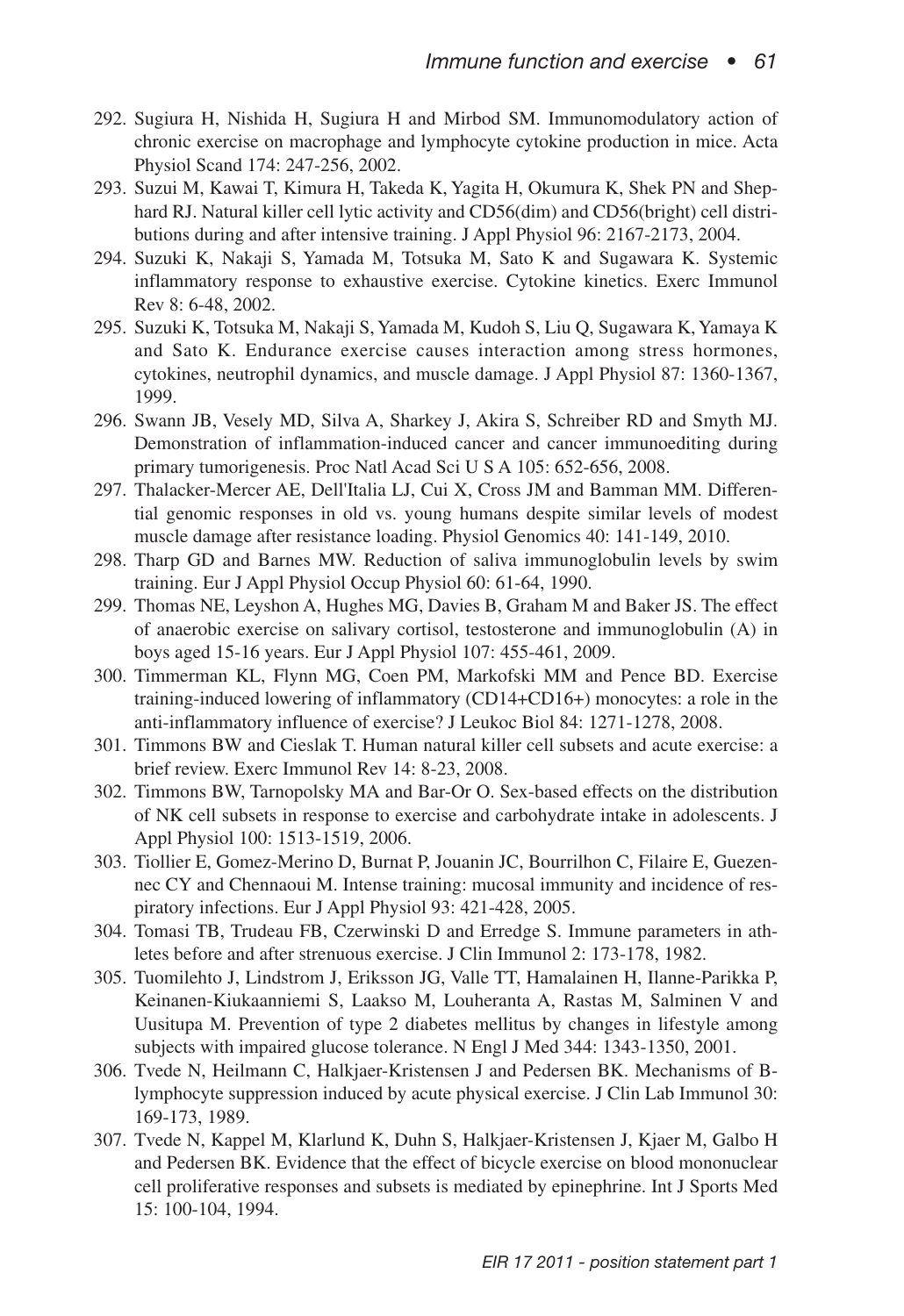- 292. Sugiura H, Nishida H, Sugiura H and Mirbod SM. Immunomodulatory action of chronic exercise on macrophage and lymphocyte cytokine production in mice. Acta Physiol Scand 174: 247-256, 2002.
- 293. Suzui M, Kawai T, Kimura H, Takeda K, Yagita H, Okumura K, Shek PN and Shephard RJ. Natural killer cell lytic activity and CD56(dim) and CD56(bright) cell distributions during and after intensive training. J Appl Physiol 96: 2167-2173, 2004.
- 294. Suzuki K, Nakaji S, Yamada M, Totsuka M, Sato K and Sugawara K. Systemic inflammatory response to exhaustive exercise. Cytokine kinetics. Exerc Immunol Rev 8: 6-48, 2002.
- 295. Suzuki K, Totsuka M, Nakaji S,Yamada M, Kudoh S, Liu Q, Sugawara K,Yamaya K and Sato K. Endurance exercise causes interaction among stress hormones, cytokines, neutrophil dynamics, and muscle damage. J Appl Physiol 87: 1360-1367, 1999.
- 296. Swann JB, Vesely MD, Silva A, Sharkey J, Akira S, Schreiber RD and Smyth MJ. Demonstration of inflammation-induced cancer and cancer immunoediting during primary tumorigenesis. Proc Natl Acad Sci U S A 105: 652-656, 2008.
- 297. Thalacker-Mercer AE, Dell'Italia LJ, Cui X, Cross JM and Bamman MM. Differential genomic responses in old vs. young humans despite similar levels of modest muscle damage after resistance loading. Physiol Genomics 40: 141-149, 2010.
- 298. Tharp GD and Barnes MW. Reduction of saliva immunoglobulin levels by swim training. Eur J Appl Physiol Occup Physiol 60: 61-64, 1990.
- 299. Thomas NE, Leyshon A, Hughes MG, Davies B, Graham M and Baker JS. The effect of anaerobic exercise on salivary cortisol, testosterone and immunoglobulin (A) in boys aged 15-16 years. Eur J Appl Physiol 107: 455-461, 2009.
- 300. Timmerman KL, Flynn MG, Coen PM, Markofski MM and Pence BD. Exercise training-induced lowering of inflammatory (CD14+CD16+) monocytes: a role in the anti-inflammatory influence of exercise? J Leukoc Biol 84: 1271-1278, 2008.
- 301. Timmons BW and Cieslak T. Human natural killer cell subsets and acute exercise: a brief review. Exerc Immunol Rev 14: 8-23, 2008.
- 302. Timmons BW, Tarnopolsky MA and Bar-Or O. Sex-based effects on the distribution of NK cell subsets in response to exercise and carbohydrate intake in adolescents. J Appl Physiol 100: 1513-1519, 2006.
- 303. Tiollier E, Gomez-Merino D, Burnat P, Jouanin JC, Bourrilhon C, Filaire E, Guezennec CY and Chennaoui M. Intense training: mucosal immunity and incidence of respiratory infections. Eur J Appl Physiol 93: 421-428, 2005.
- 304. Tomasi TB, Trudeau FB, Czerwinski D and Erredge S. Immune parameters in athletes before and after strenuous exercise. J Clin Immunol 2: 173-178, 1982.
- 305. Tuomilehto J, Lindstrom J, Eriksson JG, Valle TT, Hamalainen H, Ilanne-Parikka P, Keinanen-Kiukaanniemi S, Laakso M, Louheranta A, Rastas M, Salminen V and Uusitupa M. Prevention of type 2 diabetes mellitus by changes in lifestyle among subjects with impaired glucose tolerance. N Engl J Med 344: 1343-1350, 2001.
- 306. Tvede N, Heilmann C, Halkjaer-Kristensen J and Pedersen BK. Mechanisms of Blymphocyte suppression induced by acute physical exercise. J Clin Lab Immunol 30: 169-173, 1989.
- 307. Tvede N, Kappel M, Klarlund K, Duhn S, Halkjaer-Kristensen J, Kjaer M, Galbo H and Pedersen BK. Evidence that the effect of bicycle exercise on blood mononuclear cell proliferative responses and subsets is mediated by epinephrine. Int J Sports Med 15: 100-104, 1994.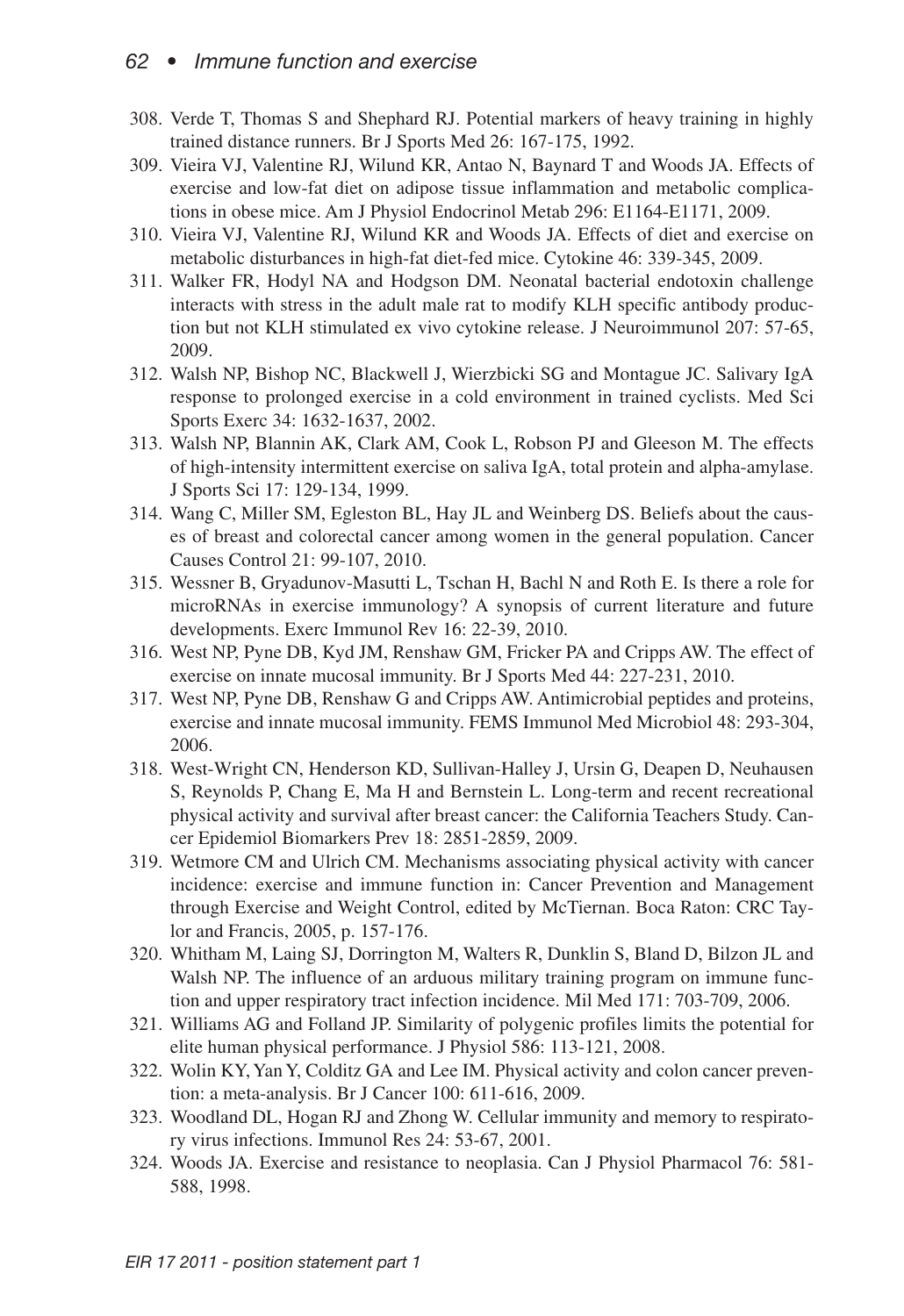### *62 • Immune function and exercise*

- 308. Verde T, Thomas S and Shephard RJ. Potential markers of heavy training in highly trained distance runners. Br J Sports Med 26: 167-175, 1992.
- 309. Vieira VJ, Valentine RJ, Wilund KR, Antao N, Baynard T and Woods JA. Effects of exercise and low-fat diet on adipose tissue inflammation and metabolic complications in obese mice. Am J Physiol Endocrinol Metab 296: E1164-E1171, 2009.
- 310. Vieira VJ, Valentine RJ, Wilund KR and Woods JA. Effects of diet and exercise on metabolic disturbances in high-fat diet-fed mice. Cytokine 46: 339-345, 2009.
- 311. Walker FR, Hodyl NA and Hodgson DM. Neonatal bacterial endotoxin challenge interacts with stress in the adult male rat to modify KLH specific antibody production but not KLH stimulated ex vivo cytokine release. J Neuroimmunol 207: 57-65, 2009.
- 312. Walsh NP, Bishop NC, Blackwell J, Wierzbicki SG and Montague JC. Salivary IgA response to prolonged exercise in a cold environment in trained cyclists. Med Sci Sports Exerc 34: 1632-1637, 2002.
- 313. Walsh NP, Blannin AK, Clark AM, Cook L, Robson PJ and Gleeson M. The effects of high-intensity intermittent exercise on saliva IgA, total protein and alpha-amylase. J Sports Sci 17: 129-134, 1999.
- 314. Wang C, Miller SM, Egleston BL, Hay JL and Weinberg DS. Beliefs about the causes of breast and colorectal cancer among women in the general population. Cancer Causes Control 21: 99-107, 2010.
- 315. Wessner B, Gryadunov-Masutti L, Tschan H, Bachl N and Roth E. Is there a role for microRNAs in exercise immunology? A synopsis of current literature and future developments. Exerc Immunol Rev 16: 22-39, 2010.
- 316. West NP, Pyne DB, Kyd JM, Renshaw GM, Fricker PA and Cripps AW. The effect of exercise on innate mucosal immunity. Br J Sports Med 44: 227-231, 2010.
- 317. West NP, Pyne DB, Renshaw G and Cripps AW. Antimicrobial peptides and proteins, exercise and innate mucosal immunity. FEMS Immunol Med Microbiol 48: 293-304, 2006.
- 318. West-Wright CN, Henderson KD, Sullivan-Halley J, Ursin G, Deapen D, Neuhausen S, Reynolds P, Chang E, Ma H and Bernstein L. Long-term and recent recreational physical activity and survival after breast cancer: the California Teachers Study. Cancer Epidemiol Biomarkers Prev 18: 2851-2859, 2009.
- 319. Wetmore CM and Ulrich CM. Mechanisms associating physical activity with cancer incidence: exercise and immune function in: Cancer Prevention and Management through Exercise and Weight Control, edited by McTiernan. Boca Raton: CRC Taylor and Francis, 2005, p. 157-176.
- 320. Whitham M, Laing SJ, Dorrington M, Walters R, Dunklin S, Bland D, Bilzon JL and Walsh NP. The influence of an arduous military training program on immune function and upper respiratory tract infection incidence. Mil Med 171: 703-709, 2006.
- 321. Williams AG and Folland JP. Similarity of polygenic profiles limits the potential for elite human physical performance. J Physiol 586: 113-121, 2008.
- 322. Wolin KY,YanY, Colditz GA and Lee IM. Physical activity and colon cancer prevention: a meta-analysis. Br J Cancer 100: 611-616, 2009.
- 323. Woodland DL, Hogan RJ and Zhong W. Cellular immunity and memory to respiratory virus infections. Immunol Res 24: 53-67, 2001.
- 324. Woods JA. Exercise and resistance to neoplasia. Can J Physiol Pharmacol 76: 581- 588, 1998.